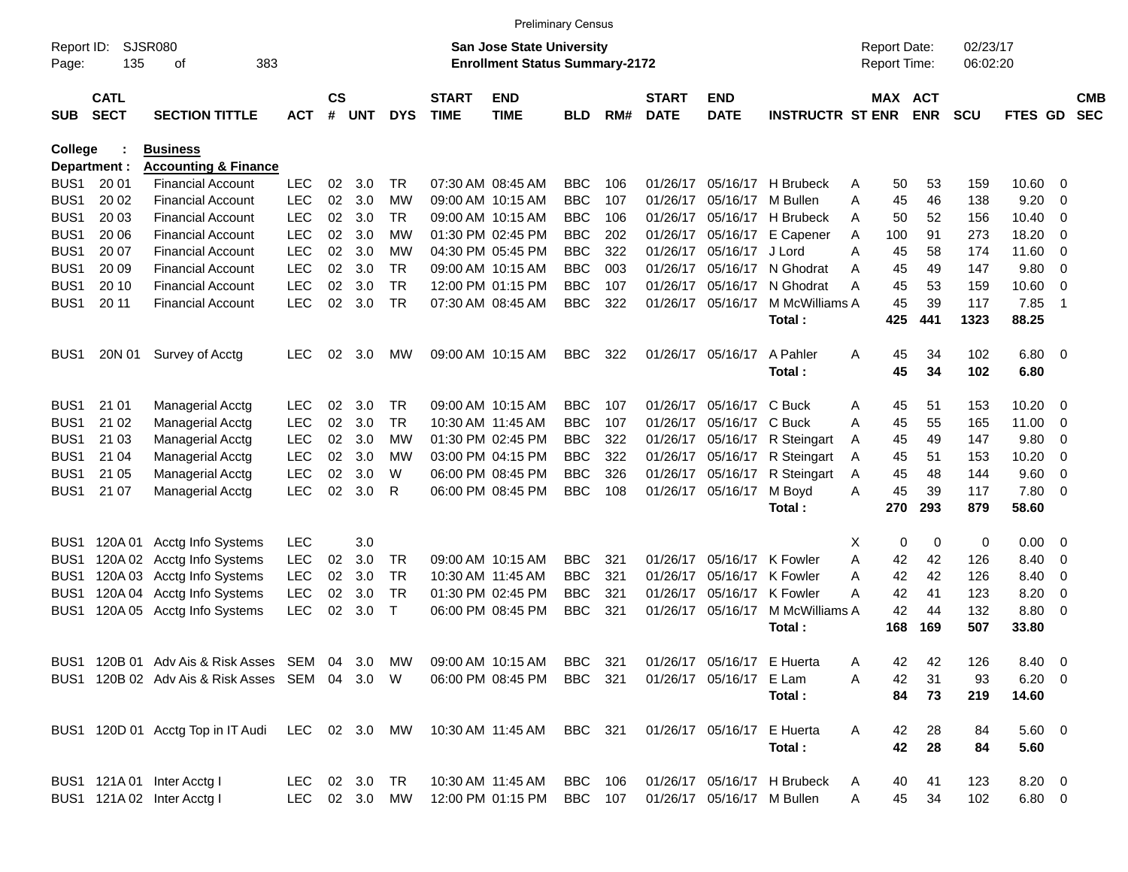|                  |                            |                                                                   |               |                    |            |            |                             |                                       | <b>Preliminary Census</b> |     |                             |                            |                             |                     |            |             |               |                          |                          |
|------------------|----------------------------|-------------------------------------------------------------------|---------------|--------------------|------------|------------|-----------------------------|---------------------------------------|---------------------------|-----|-----------------------------|----------------------------|-----------------------------|---------------------|------------|-------------|---------------|--------------------------|--------------------------|
| Report ID:       |                            | <b>SJSR080</b>                                                    |               |                    |            |            |                             | San Jose State University             |                           |     |                             |                            |                             | <b>Report Date:</b> |            | 02/23/17    |               |                          |                          |
| Page:            | 135                        | 383<br>οf                                                         |               |                    |            |            |                             | <b>Enrollment Status Summary-2172</b> |                           |     |                             |                            |                             | Report Time:        |            | 06:02:20    |               |                          |                          |
| <b>SUB</b>       | <b>CATL</b><br><b>SECT</b> | <b>SECTION TITTLE</b>                                             | <b>ACT</b>    | $\mathsf{cs}$<br># | <b>UNT</b> | <b>DYS</b> | <b>START</b><br><b>TIME</b> | <b>END</b><br><b>TIME</b>             | BLD                       | RM# | <b>START</b><br><b>DATE</b> | <b>END</b><br><b>DATE</b>  | <b>INSTRUCTR ST ENR</b>     | MAX ACT             | <b>ENR</b> | <b>SCU</b>  | FTES GD       |                          | <b>CMB</b><br><b>SEC</b> |
| College          |                            | <b>Business</b>                                                   |               |                    |            |            |                             |                                       |                           |     |                             |                            |                             |                     |            |             |               |                          |                          |
|                  | Department :               | <b>Accounting &amp; Finance</b>                                   |               |                    |            |            |                             |                                       |                           |     |                             |                            |                             |                     |            |             |               |                          |                          |
| BUS <sub>1</sub> | 20 01                      | <b>Financial Account</b>                                          | <b>LEC</b>    | 02                 | 3.0        | TR.        |                             | 07:30 AM 08:45 AM                     | <b>BBC</b>                | 106 | 01/26/17                    | 05/16/17                   | H Brubeck                   | 50<br>Α             | 53         | 159         | 10.60         | - 0                      |                          |
| BUS <sub>1</sub> | 20 02                      | <b>Financial Account</b>                                          | <b>LEC</b>    | 02                 | 3.0        | МW         |                             | 09:00 AM 10:15 AM                     | <b>BBC</b>                | 107 | 01/26/17                    | 05/16/17                   | M Bullen                    | Α<br>45             | 46         | 138         | 9.20          | 0                        |                          |
| BUS <sub>1</sub> | 20 03                      | <b>Financial Account</b>                                          | <b>LEC</b>    | 02                 | 3.0        | TR.        |                             | 09:00 AM 10:15 AM                     | <b>BBC</b>                | 106 | 01/26/17                    |                            | 05/16/17 H Brubeck          | 50<br>A             | 52         | 156         | 10.40         | 0                        |                          |
| BUS <sub>1</sub> | 20 06                      | <b>Financial Account</b>                                          | <b>LEC</b>    | 02                 | 3.0        | МW         |                             | 01:30 PM 02:45 PM                     | <b>BBC</b>                | 202 | 01/26/17                    | 05/16/17                   | E Capener                   | 100<br>A            | 91         | 273         | 18.20         | 0                        |                          |
| BUS <sub>1</sub> | 20 07                      | <b>Financial Account</b>                                          | <b>LEC</b>    | 02                 | 3.0        | МW         |                             | 04:30 PM 05:45 PM                     | <b>BBC</b>                | 322 | 01/26/17                    | 05/16/17                   | J Lord                      | 45<br>A             | 58         | 174         | 11.60         | $\overline{0}$           |                          |
| BUS <sub>1</sub> | 20 09                      | <b>Financial Account</b>                                          | <b>LEC</b>    | 02                 | 3.0        | TR.        |                             | 09:00 AM 10:15 AM                     | <b>BBC</b>                | 003 | 01/26/17                    |                            | 05/16/17 N Ghodrat          | 45<br>A             | 49         | 147         | 9.80          | $\overline{0}$           |                          |
| BUS <sub>1</sub> | 20 10                      | <b>Financial Account</b>                                          | <b>LEC</b>    | 02                 | 3.0        | <b>TR</b>  |                             | 12:00 PM 01:15 PM                     | <b>BBC</b>                | 107 | 01/26/17                    | 05/16/17                   | N Ghodrat                   | Α<br>45             | 53         | 159         | 10.60         | 0                        |                          |
| BUS <sub>1</sub> | 20 11                      | <b>Financial Account</b>                                          | <b>LEC</b>    | 02                 | 3.0        | <b>TR</b>  |                             | 07:30 AM 08:45 AM                     | <b>BBC</b>                | 322 | 01/26/17                    | 05/16/17                   | M McWilliams A<br>Total:    | 45<br>425           | 39<br>441  | 117<br>1323 | 7.85<br>88.25 | -1                       |                          |
| BUS <sub>1</sub> | 20N 01                     | Survey of Acctg                                                   | <b>LEC</b>    | 02                 | 3.0        | MW         |                             | 09:00 AM 10:15 AM                     | <b>BBC</b>                | 322 |                             | 01/26/17 05/16/17          | A Pahler                    | A<br>45             | 34         | 102         | $6.80$ 0      |                          |                          |
|                  |                            |                                                                   |               |                    |            |            |                             |                                       |                           |     |                             |                            | Total:                      | 45                  | 34         | 102         | 6.80          |                          |                          |
| BUS <sub>1</sub> | 21 01                      | <b>Managerial Acctg</b>                                           | <b>LEC</b>    | 02                 | 3.0        | TR.        |                             | 09:00 AM 10:15 AM                     | <b>BBC</b>                | 107 | 01/26/17                    | 05/16/17                   | C Buck                      | 45<br>Α             | 51         | 153         | 10.20         | - 0                      |                          |
| BUS <sub>1</sub> | 21 02                      | <b>Managerial Acctg</b>                                           | <b>LEC</b>    | 02                 | 3.0        | <b>TR</b>  |                             | 10:30 AM 11:45 AM                     | <b>BBC</b>                | 107 | 01/26/17                    | 05/16/17                   | C Buck                      | 45<br>A             | 55         | 165         | 11.00         | 0                        |                          |
| BUS <sub>1</sub> | 21 03                      | <b>Managerial Acctg</b>                                           | <b>LEC</b>    | 02                 | 3.0        | МW         |                             | 01:30 PM 02:45 PM                     | <b>BBC</b>                | 322 | 01/26/17                    | 05/16/17                   | R Steingart                 | 45<br>A             | 49         | 147         | 9.80          | 0                        |                          |
| BUS <sub>1</sub> | 21 04                      | <b>Managerial Acctg</b>                                           | <b>LEC</b>    | 02                 | 3.0        | МW         |                             | 03:00 PM 04:15 PM                     | <b>BBC</b>                | 322 | 01/26/17                    | 05/16/17                   | R Steingart                 | 45<br>A             | 51         | 153         | 10.20         | 0                        |                          |
| BUS <sub>1</sub> | 21 05                      | <b>Managerial Acctg</b>                                           | <b>LEC</b>    | 02                 | 3.0        | W          |                             | 06:00 PM 08:45 PM                     | <b>BBC</b>                | 326 | 01/26/17                    | 05/16/17                   | R Steingart                 | 45<br>Α             | 48         | 144         | 9.60          | $\overline{0}$           |                          |
| BUS <sub>1</sub> | 21 07                      | <b>Managerial Acctg</b>                                           | <b>LEC</b>    | 02                 | 3.0        | R          |                             | 06:00 PM 08:45 PM                     | <b>BBC</b>                | 108 | 01/26/17                    | 05/16/17                   | M Boyd                      | 45<br>Α             | 39         | 117         | 7.80          | $\overline{\phantom{0}}$ |                          |
|                  |                            |                                                                   |               |                    |            |            |                             |                                       |                           |     |                             |                            | Total:                      | 270                 | 293        | 879         | 58.60         |                          |                          |
| BUS <sub>1</sub> | 120A 01                    | Acctg Info Systems                                                | <b>LEC</b>    |                    | 3.0        |            |                             |                                       |                           |     |                             |                            |                             | х<br>0              | 0          | 0           | 0.00          | - 0                      |                          |
| BUS <sub>1</sub> | 120A 02                    | Acctg Info Systems                                                | <b>LEC</b>    | 02                 | 3.0        | TR         |                             | 09:00 AM 10:15 AM                     | <b>BBC</b>                | 321 | 01/26/17                    | 05/16/17                   | K Fowler                    | 42<br>Α             | 42         | 126         | 8.40          | - 0                      |                          |
| BUS1             | 120A03                     | Acctg Info Systems                                                | LEC           | 02                 | 3.0        | <b>TR</b>  | 10:30 AM 11:45 AM           |                                       | <b>BBC</b>                | 321 | 01/26/17                    | 05/16/17                   | K Fowler                    | 42<br>Α             | 42         | 126         | 8.40          | 0                        |                          |
| BUS1             | 120A 04                    | Acctg Info Systems                                                | LEC           | 02                 | 3.0        | <b>TR</b>  |                             | 01:30 PM 02:45 PM                     | <b>BBC</b>                | 321 | 01/26/17                    | 05/16/17                   | K Fowler                    | 42<br>А             | 41         | 123         | 8.20          | 0                        |                          |
| BUS1             | 120A 05                    | Acctg Info Systems                                                | <b>LEC</b>    | 02                 | 3.0        | Τ          |                             | 06:00 PM 08:45 PM                     | <b>BBC</b>                | 321 | 01/26/17                    | 05/16/17                   | M McWilliams A              | 42                  | 44         | 132         | 8.80          | 0                        |                          |
|                  |                            |                                                                   |               |                    |            |            |                             |                                       |                           |     |                             |                            | Total :                     | 168                 | 169        | 507         | 33.80         |                          |                          |
|                  |                            | BUS1 120B 01 Adv Ais & Risk Asses SEM 04 3.0 MW                   |               |                    |            |            |                             | 09:00 AM 10:15 AM                     | BBC 321                   |     |                             | 01/26/17 05/16/17 E Huerta |                             | 42<br>Α             | 42         | 126         | 8.40 0        |                          |                          |
|                  |                            | BUS1 120B 02 Adv Ais & Risk Asses SEM 04 3.0 W                    |               |                    |            |            |                             | 06:00 PM 08:45 PM                     | <b>BBC</b> 321            |     |                             | 01/26/17 05/16/17 E Lam    |                             | 42<br>Α             | 31         | 93          | $6.20 \ 0$    |                          |                          |
|                  |                            |                                                                   |               |                    |            |            |                             |                                       |                           |     |                             |                            | Total:                      | 84                  | 73         | 219         | 14.60         |                          |                          |
|                  |                            | BUS1 120D 01 Acctg Top in IT Audi LEC 02 3.0 MW 10:30 AM 11:45 AM |               |                    |            |            |                             |                                       | BBC 321                   |     |                             | 01/26/17 05/16/17 E Huerta |                             | 42<br>A             | 28         | 84          | $5.60$ 0      |                          |                          |
|                  |                            |                                                                   |               |                    |            |            |                             |                                       |                           |     |                             |                            | Total:                      | 42                  | 28         | 84          | 5.60          |                          |                          |
|                  |                            | BUS1 121A 01 Inter Acctg I                                        | LEC 02 3.0    |                    |            | TR         |                             | 10:30 AM 11:45 AM                     | <b>BBC</b> 106            |     |                             |                            | 01/26/17 05/16/17 H Brubeck | 40<br>A             | 41         | 123         | 8.20 0        |                          |                          |
|                  |                            | BUS1 121A 02 Inter Acctg I                                        | LEC 02 3.0 MW |                    |            |            |                             | 12:00 PM 01:15 PM                     | BBC 107                   |     |                             | 01/26/17 05/16/17 M Bullen |                             | 45<br>Α             | 34         | 102         | 6.80 0        |                          |                          |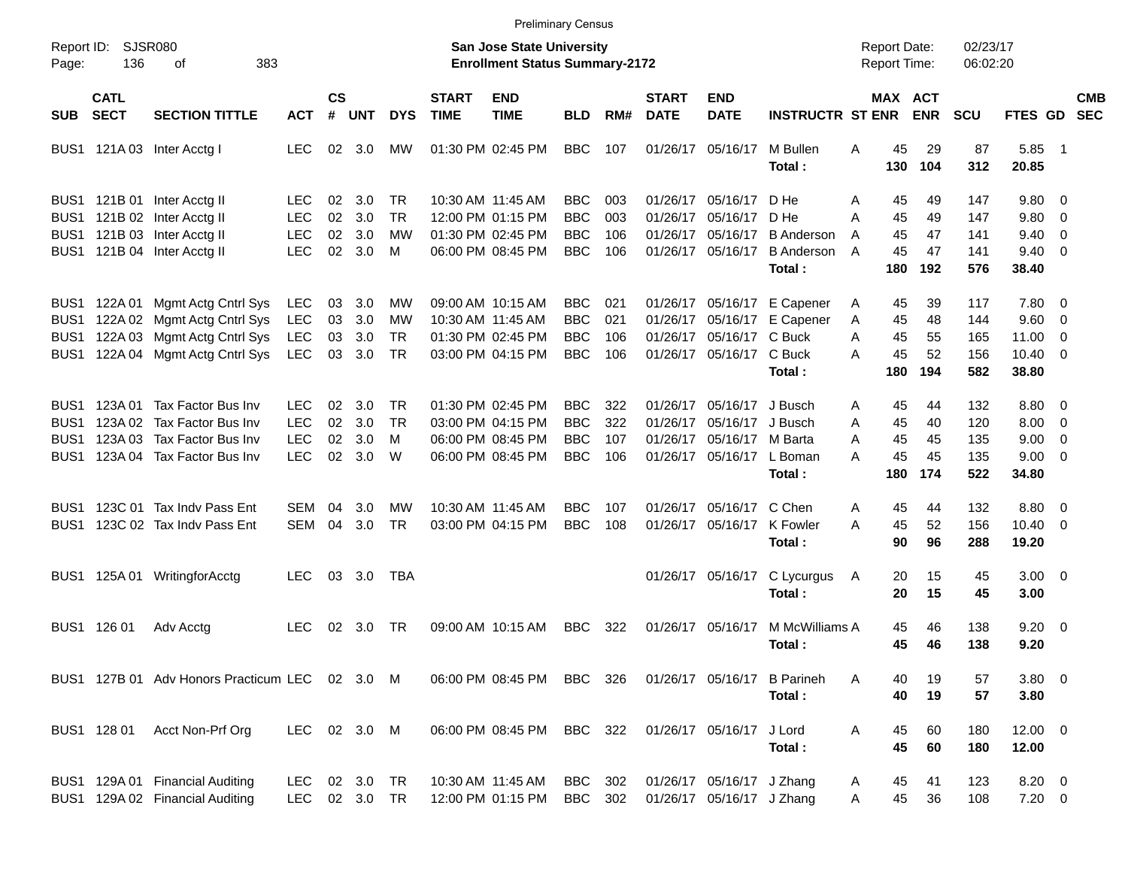|              |                            |                                                                    |                             |                    |            |                  |                             | <b>Preliminary Census</b>                                          |                          |            |                             |                                                        |                                                  |                                            |                 |                      |                                   |                          |                          |
|--------------|----------------------------|--------------------------------------------------------------------|-----------------------------|--------------------|------------|------------------|-----------------------------|--------------------------------------------------------------------|--------------------------|------------|-----------------------------|--------------------------------------------------------|--------------------------------------------------|--------------------------------------------|-----------------|----------------------|-----------------------------------|--------------------------|--------------------------|
| Page:        | Report ID: SJSR080<br>136  | 383<br>οf                                                          |                             |                    |            |                  |                             | San Jose State University<br><b>Enrollment Status Summary-2172</b> |                          |            |                             |                                                        |                                                  | <b>Report Date:</b><br><b>Report Time:</b> |                 | 02/23/17<br>06:02:20 |                                   |                          |                          |
| <b>SUB</b>   | <b>CATL</b><br><b>SECT</b> | <b>SECTION TITTLE</b>                                              | <b>ACT</b>                  | $\mathsf{cs}$<br># | <b>UNT</b> | <b>DYS</b>       | <b>START</b><br><b>TIME</b> | <b>END</b><br><b>TIME</b>                                          | <b>BLD</b>               | RM#        | <b>START</b><br><b>DATE</b> | <b>END</b><br><b>DATE</b>                              | <b>INSTRUCTR ST ENR</b>                          | <b>MAX ACT</b>                             | <b>ENR</b>      | <b>SCU</b>           | FTES GD                           |                          | <b>CMB</b><br><b>SEC</b> |
|              |                            | BUS1 121A 03 Inter Acctg I                                         | <b>LEC</b>                  | 02                 | 3.0        | MW               |                             | 01:30 PM 02:45 PM                                                  | <b>BBC</b>               | 107        |                             | 01/26/17 05/16/17                                      | M Bullen<br>Total:                               | 45<br>A<br>130                             | 29<br>104       | 87<br>312            | 5.85<br>20.85                     | - 1                      |                          |
| BUS1         |                            | BUS1 121B 01 Inter Acctg II<br>121B 02 Inter Acctg II              | LEC<br>LEC                  | 02<br>02           | 3.0<br>3.0 | TR.<br><b>TR</b> |                             | 10:30 AM 11:45 AM<br>12:00 PM 01:15 PM                             | BBC<br><b>BBC</b>        | 003<br>003 |                             | 01/26/17 05/16/17<br>01/26/17 05/16/17                 | D He<br>D He                                     | Α<br>45<br>А<br>45                         | 49<br>49        | 147<br>147           | $9.80 \quad 0$<br>9.80            | $\overline{\phantom{0}}$ |                          |
| BUS1         |                            | 121B 03 Inter Acctg II<br>BUS1 121B 04 Inter Acctg II              | <b>LEC</b><br><b>LEC</b>    | 02<br>02           | 3.0<br>3.0 | MW<br>M          |                             | 01:30 PM 02:45 PM<br>06:00 PM 08:45 PM                             | <b>BBC</b><br><b>BBC</b> | 106<br>106 |                             | 01/26/17 05/16/17<br>01/26/17 05/16/17                 | <b>B</b> Anderson<br><b>B</b> Anderson<br>Total: | 45<br>A<br>45<br>A<br>180                  | 47<br>47<br>192 | 141<br>141<br>576    | 9.40<br>$9.40 \quad 0$<br>38.40   | $\overline{0}$           |                          |
| BUS1<br>BUS1 |                            | 122A 01 Mgmt Actg Cntrl Sys<br>122A 02 Mgmt Actg Cntrl Sys         | <b>LEC</b><br><b>LEC</b>    | 03<br>03           | 3.0<br>3.0 | <b>MW</b><br>MW  |                             | 09:00 AM 10:15 AM<br>10:30 AM 11:45 AM                             | <b>BBC</b><br><b>BBC</b> | 021<br>021 |                             | 01/26/17 05/16/17<br>01/26/17 05/16/17                 | E Capener<br>E Capener                           | 45<br>Α<br>45<br>Α                         | 39<br>48        | 117<br>144           | 7.80 0<br>9.60                    | $\overline{\phantom{0}}$ |                          |
| BUS1<br>BUS1 |                            | 122A 03 Mgmt Actg Cntrl Sys<br>122A 04 Mgmt Actg Cntrl Sys         | <b>LEC</b><br><b>LEC</b>    | 03<br>03           | 3.0<br>3.0 | TR.<br><b>TR</b> |                             | 01:30 PM 02:45 PM<br>03:00 PM 04:15 PM                             | <b>BBC</b><br><b>BBC</b> | 106<br>106 |                             | 01/26/17 05/16/17 C Buck<br>01/26/17 05/16/17 C Buck   | Total:                                           | 45<br>A<br>45<br>А<br>180                  | 55<br>52<br>194 | 165<br>156<br>582    | 11.00<br>$10.40 \quad 0$<br>38.80 | $\overline{0}$           |                          |
| BUS1<br>BUS1 |                            | 123A 01 Tax Factor Bus Inv<br>123A 02 Tax Factor Bus Inv           | LEC.<br><b>LEC</b>          | 02<br>02           | 3.0<br>3.0 | TR.<br><b>TR</b> |                             | 01:30 PM 02:45 PM<br>03:00 PM 04:15 PM                             | BBC.<br><b>BBC</b>       | 322<br>322 |                             | 01/26/17 05/16/17<br>01/26/17 05/16/17                 | J Busch<br>J Busch                               | 45<br>Α<br>45<br>A                         | 44<br>40        | 132<br>120           | $8.80\quad 0$<br>8.00             | $\overline{\phantom{0}}$ |                          |
| BUS1<br>BUS1 | 123A 03                    | Tax Factor Bus Inv<br>123A 04 Tax Factor Bus Inv                   | <b>LEC</b><br><b>LEC</b>    | 02<br>02           | 3.0<br>3.0 | M<br>W           |                             | 06:00 PM 08:45 PM<br>06:00 PM 08:45 PM                             | <b>BBC</b><br><b>BBC</b> | 107<br>106 |                             | 01/26/17 05/16/17 M Barta<br>01/26/17 05/16/17         | L Boman                                          | 45<br>A<br>45<br>А                         | 45<br>45<br>174 | 135<br>135           | 9.00<br>$9.00 \t 0$               | $\overline{\phantom{0}}$ |                          |
| BUS1         |                            | 123C 01 Tax Indy Pass Ent                                          | SEM                         | 04                 | 3.0        | MW               |                             | 10:30 AM 11:45 AM                                                  | BBC                      | 107        |                             | 01/26/17 05/16/17                                      | Total:<br>C Chen                                 | 180<br>45<br>Α                             | 44              | 522<br>132           | 34.80<br>8.80 0                   |                          |                          |
| BUS1         |                            | 123C 02 Tax Indv Pass Ent                                          | <b>SEM</b>                  | 04                 | 3.0        | <b>TR</b>        |                             | 03:00 PM 04:15 PM                                                  | <b>BBC</b>               | 108        |                             | 01/26/17 05/16/17                                      | K Fowler<br>Total:                               | 45<br>А<br>90                              | 52<br>96        | 156<br>288           | $10.40 \quad 0$<br>19.20          |                          |                          |
|              |                            | BUS1 125A 01 WritingforAcctg                                       | <b>LEC</b>                  |                    | 03 3.0     | TBA              |                             |                                                                    |                          |            |                             | 01/26/17 05/16/17                                      | C Lycurgus<br>Total:                             | 20<br>A<br>20                              | 15<br>15        | 45<br>45             | $3.00 \ 0$<br>3.00                |                          |                          |
|              | BUS1 126 01                | Adv Acctg                                                          | <b>LEC</b>                  | 02                 | 3.0        | TR.              |                             | 09:00 AM 10:15 AM                                                  | <b>BBC</b>               | 322        |                             | 01/26/17 05/16/17                                      | M McWilliams A<br>Total :                        | 45<br>45                                   | 46<br>46        | 138<br>138           | $9.20 \ 0$<br>9.20                |                          |                          |
|              |                            | BUS1 127B 01 Adv Honors Practicum LEC 02 3.0 M                     |                             |                    |            |                  |                             | 06:00 PM 08:45 PM BBC 326                                          |                          |            |                             | 01/26/17 05/16/17                                      | <b>B</b> Parineh<br>Total:                       | A<br>40<br>40                              | 19<br>19        | 57<br>57             | 3.80 0<br>3.80                    |                          |                          |
|              | BUS1 128 01                | Acct Non-Prf Org                                                   | LEC 02 3.0 M                |                    |            |                  |                             | 06:00 PM 08:45 PM                                                  | BBC 322                  |            |                             | 01/26/17 05/16/17                                      | J Lord<br>Total:                                 | 45<br>Α<br>45                              | 60<br>60        | 180<br>180           | 12.00 0<br>12.00                  |                          |                          |
|              |                            | BUS1 129A 01 Financial Auditing<br>BUS1 129A 02 Financial Auditing | <b>LEC</b><br>LEC 02 3.0 TR |                    | 02 3.0 TR  |                  |                             | 10:30 AM 11:45 AM<br>12:00 PM 01:15 PM                             | BBC 302<br>BBC 302       |            |                             | 01/26/17 05/16/17 J Zhang<br>01/26/17 05/16/17 J Zhang |                                                  | 45<br>A<br>45<br>Α                         | 41<br>36        | 123<br>108           | 8.20 0<br>$7.20 \t 0$             |                          |                          |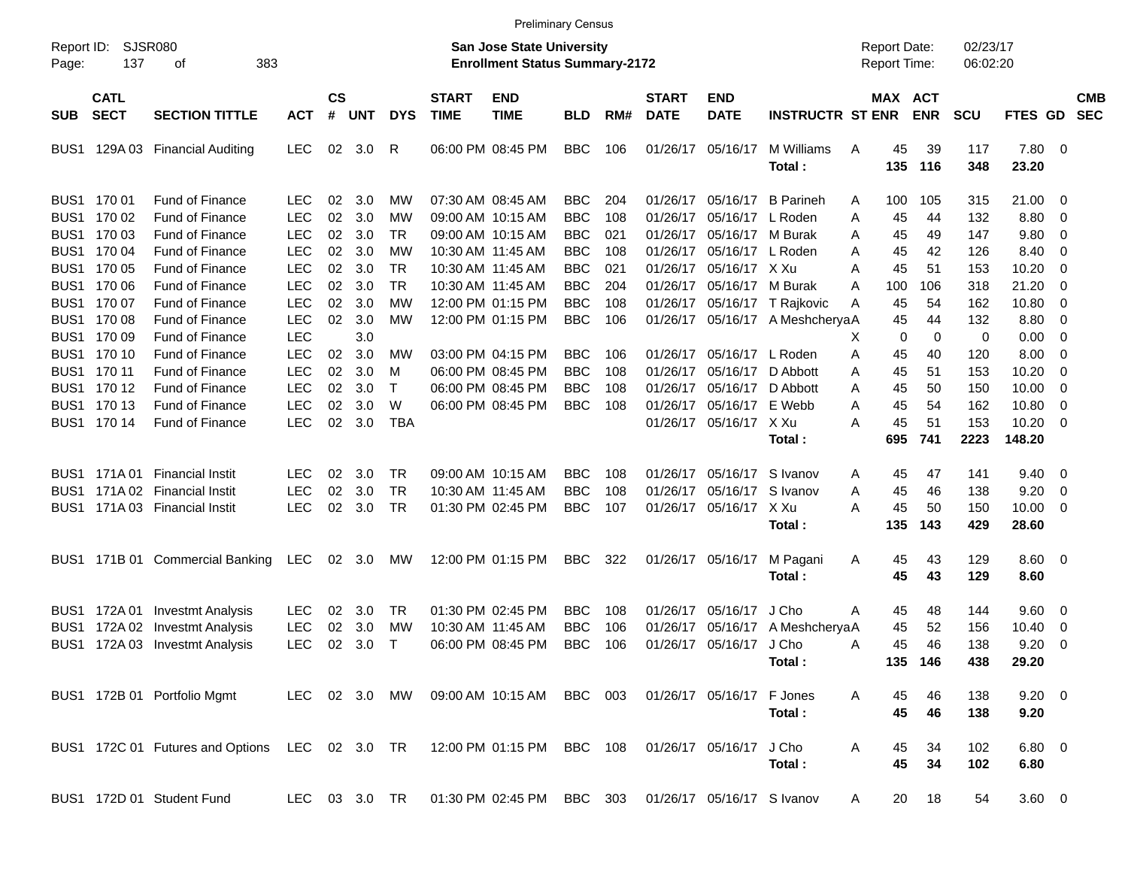|                     |                            |                                                                          |               |                             |            |              |                             |                                                                    | <b>Preliminary Census</b> |     |                             |                            |                                 |                                     |                              |                      |                 |                          |                          |
|---------------------|----------------------------|--------------------------------------------------------------------------|---------------|-----------------------------|------------|--------------|-----------------------------|--------------------------------------------------------------------|---------------------------|-----|-----------------------------|----------------------------|---------------------------------|-------------------------------------|------------------------------|----------------------|-----------------|--------------------------|--------------------------|
| Report ID:<br>Page: | 137                        | <b>SJSR080</b><br>383<br>οf                                              |               |                             |            |              |                             | San Jose State University<br><b>Enrollment Status Summary-2172</b> |                           |     |                             |                            |                                 | <b>Report Date:</b><br>Report Time: |                              | 02/23/17<br>06:02:20 |                 |                          |                          |
| <b>SUB</b>          | <b>CATL</b><br><b>SECT</b> | <b>SECTION TITTLE</b>                                                    | <b>ACT</b>    | $\mathbf{c}\mathbf{s}$<br># | <b>UNT</b> | <b>DYS</b>   | <b>START</b><br><b>TIME</b> | <b>END</b><br><b>TIME</b>                                          | <b>BLD</b>                | RM# | <b>START</b><br><b>DATE</b> | <b>END</b><br><b>DATE</b>  | <b>INSTRUCTR ST ENR</b>         |                                     | <b>MAX ACT</b><br><b>ENR</b> | <b>SCU</b>           | <b>FTES GD</b>  |                          | <b>CMB</b><br><b>SEC</b> |
| BUS1                |                            | 129A 03 Financial Auditing                                               | <b>LEC</b>    | 02                          | 3.0        | R            |                             | 06:00 PM 08:45 PM                                                  | <b>BBC</b>                | 106 |                             | 01/26/17 05/16/17          | M Williams<br>Total:            | Α<br>45<br>135                      | 39<br>116                    | 117<br>348           | 7.80 0<br>23.20 |                          |                          |
|                     | BUS1 170 01                | <b>Fund of Finance</b>                                                   | LEC           | 02                          | 3.0        | MW           |                             | 07:30 AM 08:45 AM                                                  | <b>BBC</b>                | 204 |                             | 01/26/17 05/16/17          | <b>B</b> Parineh                | 100<br>Α                            | 105                          | 315                  | 21.00           | - 0                      |                          |
| BUS1                | 170 02                     | <b>Fund of Finance</b>                                                   | <b>LEC</b>    | 02                          | 3.0        | MW           |                             | 09:00 AM 10:15 AM                                                  | <b>BBC</b>                | 108 | 01/26/17                    | 05/16/17                   | L Roden                         | 45<br>Α                             | 44                           | 132                  | 8.80            | $\overline{\phantom{0}}$ |                          |
| BUS1                | 170 03                     | Fund of Finance                                                          | LEC           | 02                          | 3.0        | TR.          |                             | 09:00 AM 10:15 AM                                                  | <b>BBC</b>                | 021 |                             | 01/26/17 05/16/17 M Burak  |                                 | 45<br>Α                             | 49                           | 147                  | 9.80            | 0                        |                          |
| BUS1                | 170 04                     | Fund of Finance                                                          | LEC           | 02                          | 3.0        | МW           |                             | 10:30 AM 11:45 AM                                                  | <b>BBC</b>                | 108 |                             | 01/26/17 05/16/17 L Roden  |                                 | 45<br>Α                             | 42                           | 126                  | 8.40            | 0                        |                          |
| BUS1                | 170 05                     | Fund of Finance                                                          | <b>LEC</b>    | 02                          | 3.0        | <b>TR</b>    |                             | 10:30 AM 11:45 AM                                                  | <b>BBC</b>                | 021 | 01/26/17                    | 05/16/17 X Xu              |                                 | Α<br>45                             | 51                           | 153                  | 10.20           | 0                        |                          |
|                     | BUS1 170 06                | Fund of Finance                                                          | <b>LEC</b>    | 02                          | 3.0        | <b>TR</b>    |                             | 10:30 AM 11:45 AM                                                  | <b>BBC</b>                | 204 |                             | 01/26/17 05/16/17 M Burak  |                                 | 100<br>A                            | 106                          | 318                  | 21.20           | $\overline{0}$           |                          |
|                     | BUS1 170 07                | Fund of Finance                                                          | <b>LEC</b>    | 02                          | 3.0        | МW           |                             | 12:00 PM 01:15 PM                                                  | <b>BBC</b>                | 108 |                             |                            | 01/26/17 05/16/17 T Rajkovic    | 45<br>Α                             | 54                           | 162                  | 10.80           | 0                        |                          |
|                     | BUS1 170 08                | Fund of Finance                                                          | <b>LEC</b>    | 02                          | 3.0        | MW           |                             | 12:00 PM 01:15 PM                                                  | <b>BBC</b>                | 106 |                             |                            | 01/26/17 05/16/17 A MeshcheryaA | 45                                  | 44                           | 132                  | 8.80            | $\overline{\mathbf{0}}$  |                          |
|                     | BUS1 170 09                | Fund of Finance                                                          | <b>LEC</b>    |                             | 3.0        |              |                             |                                                                    |                           |     |                             |                            |                                 |                                     | 0<br>0                       | 0                    | 0.00            | $\overline{\mathbf{0}}$  |                          |
|                     | BUS1 170 10                | Fund of Finance                                                          | <b>LEC</b>    | 02                          | 3.0        | MW           |                             | 03:00 PM 04:15 PM                                                  | BBC                       | 106 |                             | 01/26/17 05/16/17 L Roden  |                                 | х<br>45                             | 40                           | 120                  | 8.00            | $\overline{\mathbf{0}}$  |                          |
|                     | BUS1 170 11                | Fund of Finance                                                          | <b>LEC</b>    | 02                          | 3.0        |              |                             | 06:00 PM 08:45 PM                                                  | <b>BBC</b>                | 108 | 01/26/17                    | 05/16/17                   | D Abbott                        | Α<br>45                             | 51                           | 153                  | 10.20           | 0                        |                          |
|                     |                            |                                                                          |               |                             |            | м            |                             |                                                                    |                           |     |                             |                            |                                 | Α                                   |                              |                      |                 |                          |                          |
|                     | BUS1 170 12                | Fund of Finance                                                          | <b>LEC</b>    | 02                          | 3.0        | $\mathsf{T}$ |                             | 06:00 PM 08:45 PM                                                  | <b>BBC</b>                | 108 | 01/26/17                    | 05/16/17                   | D Abbott                        | 45<br>Α                             | 50                           | 150                  | 10.00           | 0                        |                          |
|                     | BUS1 170 13                | Fund of Finance                                                          | <b>LEC</b>    | 02                          | 3.0        | W            |                             | 06:00 PM 08:45 PM                                                  | <b>BBC</b>                | 108 |                             | 01/26/17 05/16/17 E Webb   |                                 | 45<br>Α                             | 54                           | 162                  | 10.80           | 0                        |                          |
|                     | BUS1 170 14                | <b>Fund of Finance</b>                                                   | <b>LEC</b>    | 02                          | 3.0        | <b>TBA</b>   |                             |                                                                    |                           |     |                             | 01/26/17 05/16/17 X Xu     |                                 | 45<br>А                             | 51                           | 153                  | 10.20           | - 0                      |                          |
|                     |                            |                                                                          |               |                             |            |              |                             |                                                                    |                           |     |                             |                            | Total:                          | 695                                 | 741                          | 2223                 | 148.20          |                          |                          |
| BUS1                |                            | 171A 01 Financial Instit                                                 | LEC           | 02                          | 3.0        | TR.          |                             | 09:00 AM 10:15 AM                                                  | <b>BBC</b>                | 108 |                             | 01/26/17 05/16/17          | S Ivanov                        | 45<br>Α                             | 47                           | 141                  | 9.40            | $\overline{\phantom{0}}$ |                          |
| BUS1                |                            | 171A 02 Financial Instit                                                 | LEC           | 02                          | 3.0        | <b>TR</b>    |                             | 10:30 AM 11:45 AM                                                  | <b>BBC</b>                | 108 | 01/26/17                    | 05/16/17                   | S Ivanov                        | Α<br>45                             | 46                           | 138                  | 9.20            | 0                        |                          |
| BUS1                |                            | 171A 03 Financial Instit                                                 | <b>LEC</b>    | 02                          | 3.0        | TR           |                             | 01:30 PM 02:45 PM                                                  | <b>BBC</b>                | 107 |                             | 01/26/17 05/16/17 X Xu     |                                 | 45<br>А                             | 50                           | 150                  | 10.00           | $\overline{\phantom{0}}$ |                          |
|                     |                            |                                                                          |               |                             |            |              |                             |                                                                    |                           |     |                             |                            | Total:                          | 135                                 | 143                          | 429                  | 28.60           |                          |                          |
|                     |                            |                                                                          |               |                             |            |              |                             |                                                                    |                           |     |                             |                            |                                 |                                     |                              |                      |                 |                          |                          |
| BUS1                |                            | 171B 01 Commercial Banking                                               | LEC           |                             | 02 3.0     | МW           |                             | 12:00 PM 01:15 PM                                                  | BBC                       | 322 |                             | 01/26/17 05/16/17          | M Pagani                        | 45<br>A                             | 43                           | 129                  | $8.60$ 0        |                          |                          |
|                     |                            |                                                                          |               |                             |            |              |                             |                                                                    |                           |     |                             |                            | Total:                          | 45                                  | 43                           | 129                  | 8.60            |                          |                          |
| BUS1                | 172A 01                    | Investmt Analysis                                                        | <b>LEC</b>    | 02                          | 3.0        | TR.          |                             | 01:30 PM 02:45 PM                                                  | <b>BBC</b>                | 108 | 01/26/17                    | 05/16/17                   | J Cho                           | 45<br>Α                             | 48                           | 144                  | 9.60            | $\overline{\phantom{0}}$ |                          |
| BUS <sub>1</sub>    | 172A 02                    | Investmt Analysis                                                        | LEC           | 02                          | 3.0        | MW           |                             | 10:30 AM 11:45 AM                                                  | <b>BBC</b>                | 106 | 01/26/17                    | 05/16/17                   | A MeshcheryaA                   | 45                                  | 52                           | 156                  | 10.40           | $\overline{\mathbf{0}}$  |                          |
|                     |                            | BUS1 172A 03 Investmt Analysis                                           | <b>LEC</b>    | 02                          | 3.0        | $\mathsf{T}$ |                             | 06:00 PM 08:45 PM                                                  | <b>BBC</b>                | 106 |                             | 01/26/17 05/16/17          | J Cho                           | 45<br>Α                             | 46                           | 138                  | 9.20            | - 0                      |                          |
|                     |                            |                                                                          |               |                             |            |              |                             |                                                                    |                           |     |                             |                            | Total:                          |                                     | 135 146                      | 438                  | 29.20           |                          |                          |
|                     |                            |                                                                          |               |                             |            |              |                             |                                                                    |                           |     |                             |                            |                                 |                                     |                              |                      |                 |                          |                          |
|                     |                            | BUS1 172B 01 Portfolio Mgmt                                              |               |                             |            |              |                             | LEC 02 3.0 MW 09:00 AM 10:15 AM BBC 003                            |                           |     |                             | 01/26/17 05/16/17          | F Jones                         | 45<br>A                             | 46                           | 138                  | $9.20 \ 0$      |                          |                          |
|                     |                            |                                                                          |               |                             |            |              |                             |                                                                    |                           |     |                             |                            | Total:                          | 45                                  | 46                           | 138                  | 9.20            |                          |                          |
|                     |                            | BUS1 172C 01 Futures and Options LEC 02 3.0 TR 12:00 PM 01:15 PM BBC 108 |               |                             |            |              |                             |                                                                    |                           |     |                             | 01/26/17 05/16/17          | J Cho                           | 45<br>Α                             | 34                           | 102                  | $6.80$ 0        |                          |                          |
|                     |                            |                                                                          |               |                             |            |              |                             |                                                                    |                           |     |                             |                            | Total:                          | 45                                  | 34                           | 102                  | 6.80            |                          |                          |
|                     |                            |                                                                          |               |                             |            |              |                             |                                                                    |                           |     |                             |                            |                                 |                                     |                              |                      |                 |                          |                          |
|                     |                            | BUS1 172D 01 Student Fund                                                | LEC 03 3.0 TR |                             |            |              |                             | 01:30 PM 02:45 PM BBC 303                                          |                           |     |                             | 01/26/17 05/16/17 S Ivanov |                                 | 20<br>A                             | 18                           | 54                   | $3.60 \ 0$      |                          |                          |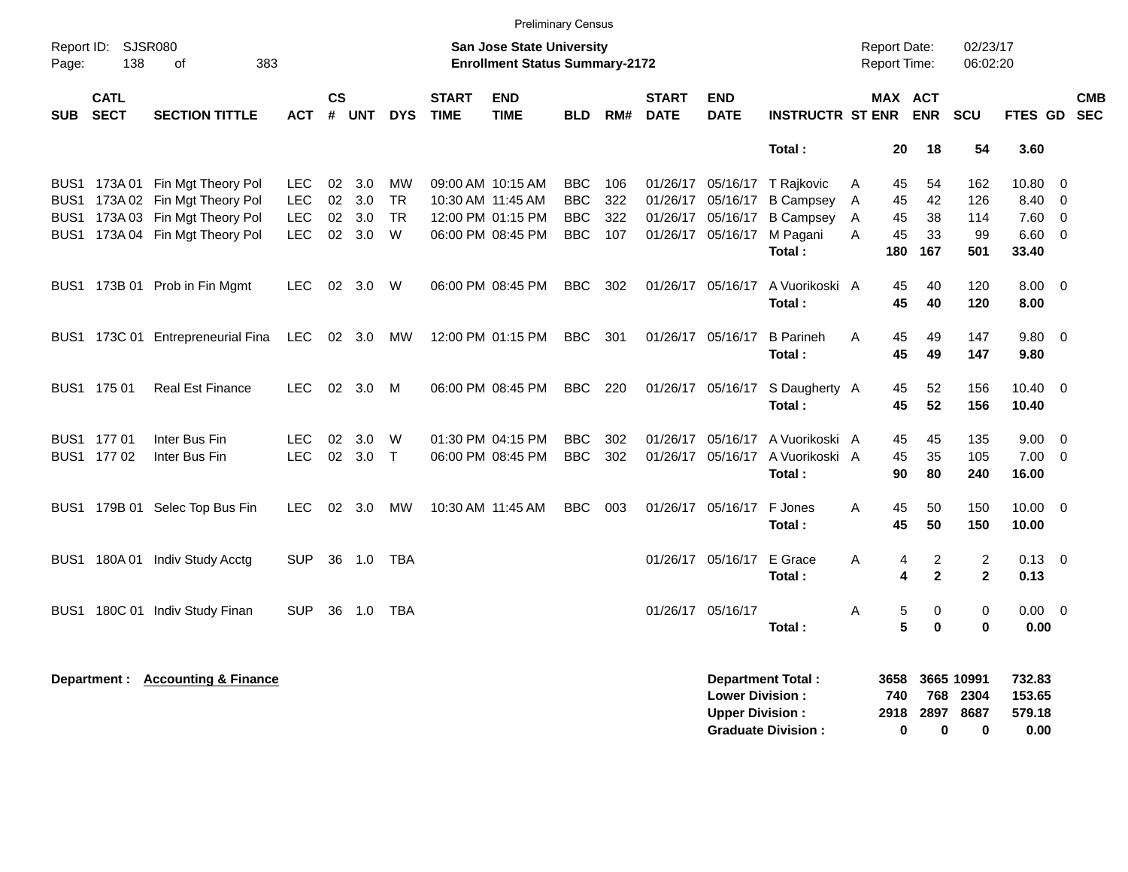|            |                            |                                                                                                                                          |                                                |                   |                             |                                   |                             | <b>Preliminary Census</b>                                                        |                                                      |                          |                             |                                                  |                                                                                                              |                                            |                             |                               |                                |                                                       |                          |                          |
|------------|----------------------------|------------------------------------------------------------------------------------------------------------------------------------------|------------------------------------------------|-------------------|-----------------------------|-----------------------------------|-----------------------------|----------------------------------------------------------------------------------|------------------------------------------------------|--------------------------|-----------------------------|--------------------------------------------------|--------------------------------------------------------------------------------------------------------------|--------------------------------------------|-----------------------------|-------------------------------|--------------------------------|-------------------------------------------------------|--------------------------|--------------------------|
| Page:      | Report ID: SJSR080<br>138  | 383<br>of                                                                                                                                |                                                |                   |                             |                                   |                             | San Jose State University<br><b>Enrollment Status Summary-2172</b>               |                                                      |                          |                             |                                                  |                                                                                                              | <b>Report Date:</b><br><b>Report Time:</b> |                             |                               | 02/23/17<br>06:02:20           |                                                       |                          |                          |
| <b>SUB</b> | <b>CATL</b><br><b>SECT</b> | <b>SECTION TITTLE</b>                                                                                                                    | <b>ACT</b>                                     | <b>CS</b><br>$\#$ | <b>UNT</b>                  | <b>DYS</b>                        | <b>START</b><br><b>TIME</b> | <b>END</b><br><b>TIME</b>                                                        | <b>BLD</b>                                           | RM#                      | <b>START</b><br><b>DATE</b> | <b>END</b><br><b>DATE</b>                        | <b>INSTRUCTR ST ENR</b>                                                                                      |                                            |                             | MAX ACT<br><b>ENR</b>         | <b>SCU</b>                     | <b>FTES GD</b>                                        |                          | <b>CMB</b><br><b>SEC</b> |
|            |                            |                                                                                                                                          |                                                |                   |                             |                                   |                             |                                                                                  |                                                      |                          |                             |                                                  | Total:                                                                                                       |                                            | 20                          | 18                            | 54                             | 3.60                                                  |                          |                          |
|            |                            | BUS1 173A 01 Fin Mgt Theory Pol<br>BUS1 173A 02 Fin Mgt Theory Pol<br>BUS1 173A 03 Fin Mgt Theory Pol<br>BUS1 173A 04 Fin Mgt Theory Pol | LEC.<br><b>LEC</b><br><b>LEC</b><br><b>LEC</b> | 02<br>02<br>02    | 3.0<br>3.0<br>3.0<br>02 3.0 | MW<br><b>TR</b><br><b>TR</b><br>W |                             | 09:00 AM 10:15 AM<br>10:30 AM 11:45 AM<br>12:00 PM 01:15 PM<br>06:00 PM 08:45 PM | <b>BBC</b><br><b>BBC</b><br><b>BBC</b><br><b>BBC</b> | 106<br>322<br>322<br>107 |                             | 01/26/17 05/16/17<br>01/26/17 05/16/17           | 01/26/17 05/16/17 T Rajkovic<br><b>B Campsey</b><br><b>B Campsey</b><br>01/26/17 05/16/17 M Pagani<br>Total: | A<br>Α<br>Α<br>A                           | 45<br>45<br>45<br>45<br>180 | 54<br>42<br>38<br>33<br>167   | 162<br>126<br>114<br>99<br>501 | $10.80 \t 0$<br>8.40<br>$7.60$ 0<br>$6.60$ 0<br>33.40 | $\overline{\phantom{0}}$ |                          |
|            |                            | BUS1 173B 01 Prob in Fin Mgmt                                                                                                            | LEC.                                           | 02                | 3.0                         | W                                 |                             | 06:00 PM 08:45 PM                                                                | BBC                                                  | 302                      |                             | 01/26/17 05/16/17                                | A Vuorikoski A<br>Total:                                                                                     |                                            | 45<br>45                    | 40<br>40                      | 120<br>120                     | $8.00 \quad 0$<br>8.00                                |                          |                          |
|            |                            | BUS1 173C 01 Entrepreneurial Fina                                                                                                        | LEC                                            |                   | 02 3.0                      | МW                                |                             | 12:00 PM 01:15 PM                                                                | BBC.                                                 | 301                      |                             | 01/26/17 05/16/17                                | <b>B</b> Parineh<br>Total:                                                                                   | Α                                          | 45<br>45                    | 49<br>49                      | 147<br>147                     | $9.80 \quad 0$<br>9.80                                |                          |                          |
|            | BUS1 175 01                | <b>Real Est Finance</b>                                                                                                                  | <b>LEC</b>                                     |                   | 02 3.0                      | M                                 |                             | 06:00 PM 08:45 PM                                                                | BBC.                                                 | 220                      |                             |                                                  | 01/26/17 05/16/17 S Daugherty A<br>Total:                                                                    |                                            | 45<br>45                    | 52<br>52                      | 156<br>156                     | $10.40 \quad 0$<br>10.40                              |                          |                          |
|            | BUS1 177 01<br>BUS1 177 02 | Inter Bus Fin<br>Inter Bus Fin                                                                                                           | <b>LEC</b><br><b>LEC</b>                       | 02                | 3.0<br>02 3.0               | W<br>$\top$                       |                             | 01:30 PM 04:15 PM<br>06:00 PM 08:45 PM                                           | <b>BBC</b><br><b>BBC</b>                             | 302<br>302               |                             | 01/26/17 05/16/17<br>01/26/17 05/16/17           | A Vuorikoski A<br>A Vuorikoski A<br>Total:                                                                   |                                            | 45<br>45<br>90              | 45<br>35<br>80                | 135<br>105<br>240              | 9.00<br>$7.00 \t 0$<br>16.00                          | $\overline{\phantom{0}}$ |                          |
|            |                            | BUS1 179B 01 Selec Top Bus Fin                                                                                                           | <b>LEC</b>                                     |                   | 02 3.0                      | MW                                |                             | 10:30 AM 11:45 AM                                                                | BBC.                                                 | 003                      |                             | 01/26/17 05/16/17                                | F Jones<br>Total :                                                                                           | A                                          | 45<br>45                    | 50<br>50                      | 150<br>150                     | $10.00 \t 0$<br>10.00                                 |                          |                          |
|            |                            | BUS1 180A 01 Indiv Study Acctg                                                                                                           | <b>SUP</b>                                     |                   | 36 1.0                      | TBA                               |                             |                                                                                  |                                                      |                          |                             | 01/26/17 05/16/17                                | E Grace<br>Total:                                                                                            | A                                          | 4<br>4                      | $\overline{c}$<br>$\mathbf 2$ | 2<br>$\mathbf{2}$              | $0.13 \quad 0$<br>0.13                                |                          |                          |
|            |                            | BUS1 180C 01 Indiv Study Finan                                                                                                           | <b>SUP</b>                                     |                   | 36 1.0                      | TBA                               |                             |                                                                                  |                                                      |                          |                             | 01/26/17 05/16/17                                | Total:                                                                                                       | Α                                          | 5<br>5                      | 0<br>$\bf{0}$                 | 0<br>$\bf{0}$                  | $0.00 \quad 0$<br>0.00                                |                          |                          |
|            |                            | Department: Accounting & Finance                                                                                                         |                                                |                   |                             |                                   |                             |                                                                                  |                                                      |                          |                             | <b>Lower Division:</b><br><b>Upper Division:</b> | <b>Department Total:</b>                                                                                     |                                            | 3658<br>740                 | 768<br>2918 2897              | 3665 10991<br>2304<br>8687     | 732.83<br>153.65<br>579.18                            |                          |                          |

**Graduate Division : 0 0 0 0.00**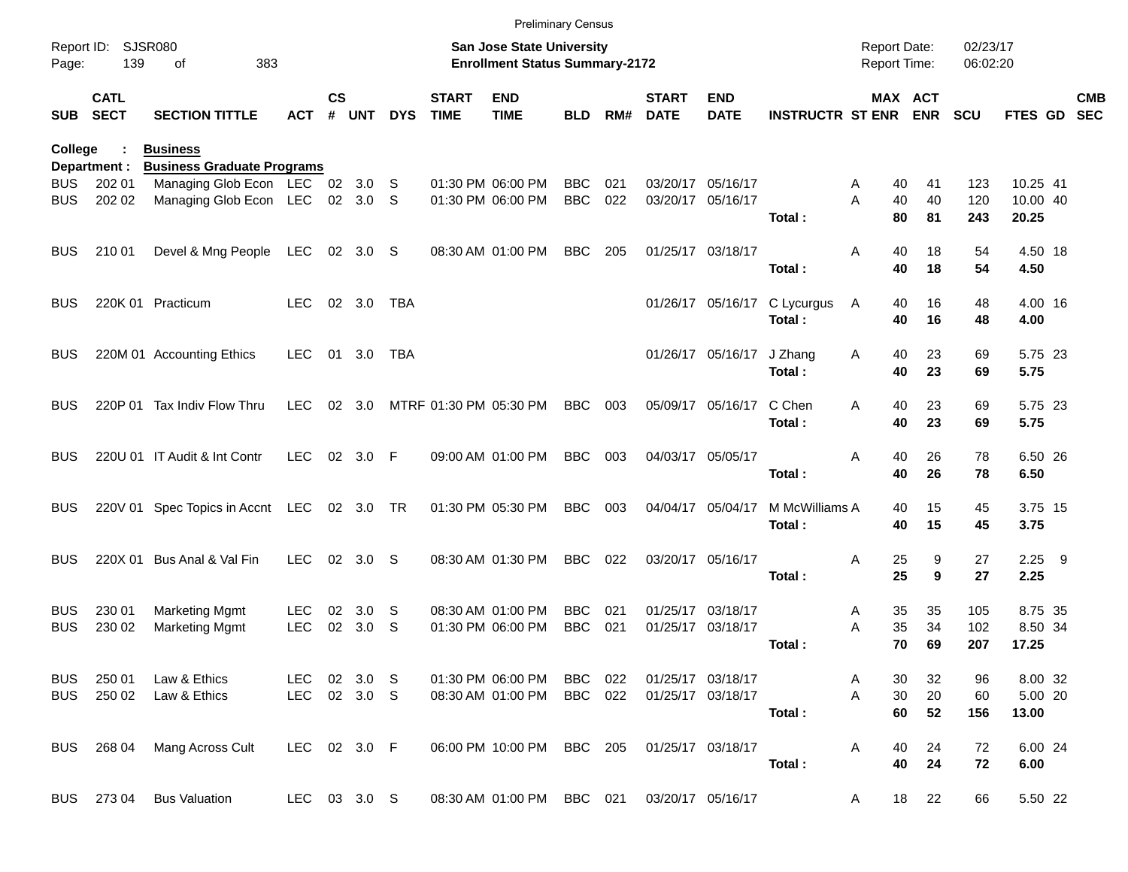|                     |                            |                                                      |              |               |           |            |                             | <b>Preliminary Census</b>                                                 |            |     |                             |                           |                             |                                            |         |                      |             |            |
|---------------------|----------------------------|------------------------------------------------------|--------------|---------------|-----------|------------|-----------------------------|---------------------------------------------------------------------------|------------|-----|-----------------------------|---------------------------|-----------------------------|--------------------------------------------|---------|----------------------|-------------|------------|
| Report ID:<br>Page: | 139                        | <b>SJSR080</b><br>383<br>οf                          |              |               |           |            |                             | <b>San Jose State University</b><br><b>Enrollment Status Summary-2172</b> |            |     |                             |                           |                             | <b>Report Date:</b><br><b>Report Time:</b> |         | 02/23/17<br>06:02:20 |             |            |
| <b>SUB</b>          | <b>CATL</b><br><b>SECT</b> | <b>SECTION TITTLE</b>                                | <b>ACT</b>   | $\mathsf{cs}$ | # UNT     | <b>DYS</b> | <b>START</b><br><b>TIME</b> | <b>END</b><br><b>TIME</b>                                                 | <b>BLD</b> | RM# | <b>START</b><br><b>DATE</b> | <b>END</b><br><b>DATE</b> | <b>INSTRUCTR ST ENR ENR</b> |                                            | MAX ACT | <b>SCU</b>           | FTES GD SEC | <b>CMB</b> |
| College             | Department :               | <b>Business</b><br><b>Business Graduate Programs</b> |              |               |           |            |                             |                                                                           |            |     |                             |                           |                             |                                            |         |                      |             |            |
| <b>BUS</b>          | 202 01                     | Managing Glob Econ LEC 02 3.0 S                      |              |               |           |            |                             | 01:30 PM 06:00 PM                                                         | <b>BBC</b> | 021 |                             | 03/20/17 05/16/17         |                             | 40<br>Α                                    | 41      | 123                  | 10.25 41    |            |
| <b>BUS</b>          | 202 02                     | Managing Glob Econ LEC                               |              |               | 02 3.0 S  |            |                             | 01:30 PM 06:00 PM                                                         | <b>BBC</b> | 022 |                             | 03/20/17 05/16/17         |                             | 40<br>Α                                    | 40      | 120                  | 10.00 40    |            |
|                     |                            |                                                      |              |               |           |            |                             |                                                                           |            |     |                             |                           | Total:                      | 80                                         | 81      | 243                  | 20.25       |            |
| <b>BUS</b>          | 210 01                     | Devel & Mng People                                   | LEC          |               | 02 3.0 S  |            |                             | 08:30 AM 01:00 PM                                                         | <b>BBC</b> | 205 |                             | 01/25/17 03/18/17         |                             | 40<br>Α                                    | 18      | 54                   | 4.50 18     |            |
|                     |                            |                                                      |              |               |           |            |                             |                                                                           |            |     |                             |                           | Total:                      | 40                                         | 18      | 54                   | 4.50        |            |
| <b>BUS</b>          |                            | 220K 01 Practicum                                    | LEC.         |               | 02 3.0    | TBA        |                             |                                                                           |            |     |                             | 01/26/17 05/16/17         | C Lycurgus                  | A<br>40                                    | 16      | 48                   | 4.00 16     |            |
|                     |                            |                                                      |              |               |           |            |                             |                                                                           |            |     |                             |                           | Total:                      | 40                                         | 16      | 48                   | 4.00        |            |
| <b>BUS</b>          |                            | 220M 01 Accounting Ethics                            | LEC.         | 01            | 3.0       | TBA        |                             |                                                                           |            |     |                             | 01/26/17 05/16/17         | J Zhang                     | 40<br>A                                    | 23      | 69                   | 5.75 23     |            |
|                     |                            |                                                      |              |               |           |            |                             |                                                                           |            |     |                             |                           | Total:                      | 40                                         | 23      | 69                   | 5.75        |            |
| <b>BUS</b>          |                            | 220P 01 Tax Indiv Flow Thru                          | LEC.         | 02            | 3.0       |            |                             | MTRF 01:30 PM 05:30 PM                                                    | <b>BBC</b> | 003 |                             | 05/09/17 05/16/17         | C Chen                      | A<br>40                                    | 23      | 69                   | 5.75 23     |            |
|                     |                            |                                                      |              |               |           |            |                             |                                                                           |            |     |                             |                           | Total:                      | 40                                         | 23      | 69                   | 5.75        |            |
| <b>BUS</b>          |                            | 220U 01 IT Audit & Int Contr                         | <b>LEC</b>   |               | 02 3.0 F  |            |                             | 09:00 AM 01:00 PM                                                         | <b>BBC</b> | 003 |                             | 04/03/17 05/05/17         |                             | 40<br>Α                                    | 26      | 78                   | 6.50 26     |            |
|                     |                            |                                                      |              |               |           |            |                             |                                                                           |            |     |                             |                           | Total:                      | 40                                         | 26      | 78                   | 6.50        |            |
| <b>BUS</b>          |                            | 220V 01 Spec Topics in Accnt LEC                     |              |               | 02 3.0 TR |            |                             | 01:30 PM 05:30 PM                                                         | <b>BBC</b> | 003 |                             | 04/04/17 05/04/17         | M McWilliams A              | 40                                         | 15      | 45                   | 3.75 15     |            |
|                     |                            |                                                      |              |               |           |            |                             |                                                                           |            |     |                             |                           | Total:                      | 40                                         | 15      | 45                   | 3.75        |            |
| <b>BUS</b>          |                            | 220X 01 Bus Anal & Val Fin                           | <b>LEC</b>   | 02            | 3.0       | -S         |                             | 08:30 AM 01:30 PM                                                         | <b>BBC</b> | 022 |                             | 03/20/17 05/16/17         |                             | 25<br>Α                                    | 9       | 27                   | $2.25$ 9    |            |
|                     |                            |                                                      |              |               |           |            |                             |                                                                           |            |     |                             |                           | Total:                      | 25                                         | 9       | 27                   | 2.25        |            |
| <b>BUS</b>          | 230 01                     | <b>Marketing Mgmt</b>                                | <b>LEC</b>   | 02            | 3.0       | S.         |                             | 08:30 AM 01:00 PM                                                         | <b>BBC</b> | 021 |                             | 01/25/17 03/18/17         |                             | 35<br>Α                                    | 35      | 105                  | 8.75 35     |            |
| <b>BUS</b>          | 230 02                     | <b>Marketing Mgmt</b>                                | <b>LEC</b>   | 02            | 3.0       | S          |                             | 01:30 PM 06:00 PM                                                         | <b>BBC</b> | 021 |                             | 01/25/17 03/18/17         |                             | 35<br>Α                                    | 34      | 102                  | 8.50 34     |            |
|                     |                            |                                                      |              |               |           |            |                             |                                                                           |            |     |                             |                           | Total:                      | 70                                         | 69      | 207                  | 17.25       |            |
|                     | BUS 250 01                 | Law & Ethics                                         | LEC 02 3.0 S |               |           |            |                             | 01:30 PM 06:00 PM                                                         | BBC 022    |     |                             | 01/25/17 03/18/17         |                             | 30<br>A                                    | 32      | 96                   | 8.00 32     |            |
|                     | BUS 250 02                 | Law & Ethics                                         | LEC 02 3.0 S |               |           |            |                             | 08:30 AM 01:00 PM                                                         | BBC 022    |     |                             | 01/25/17 03/18/17         |                             | A<br>30                                    | 20      | 60                   | 5.00 20     |            |
|                     |                            |                                                      |              |               |           |            |                             |                                                                           |            |     |                             |                           | Total:                      | 60                                         | 52      | 156                  | 13.00       |            |
|                     | BUS 268 04                 | Mang Across Cult                                     | LEC 02 3.0 F |               |           |            |                             | 06:00 PM 10:00 PM BBC 205                                                 |            |     |                             | 01/25/17 03/18/17         |                             | A<br>40                                    | 24      | 72                   | 6.00 24     |            |
|                     |                            |                                                      |              |               |           |            |                             |                                                                           |            |     |                             |                           | Total:                      | 40                                         | 24      | 72                   | 6.00        |            |
| BUS                 | 27304                      | <b>Bus Valuation</b>                                 | LEC 03 3.0 S |               |           |            |                             | 08:30 AM 01:00 PM BBC 021 03/20/17 05/16/17                               |            |     |                             |                           |                             | A                                          | 18 22   | 66                   | 5.50 22     |            |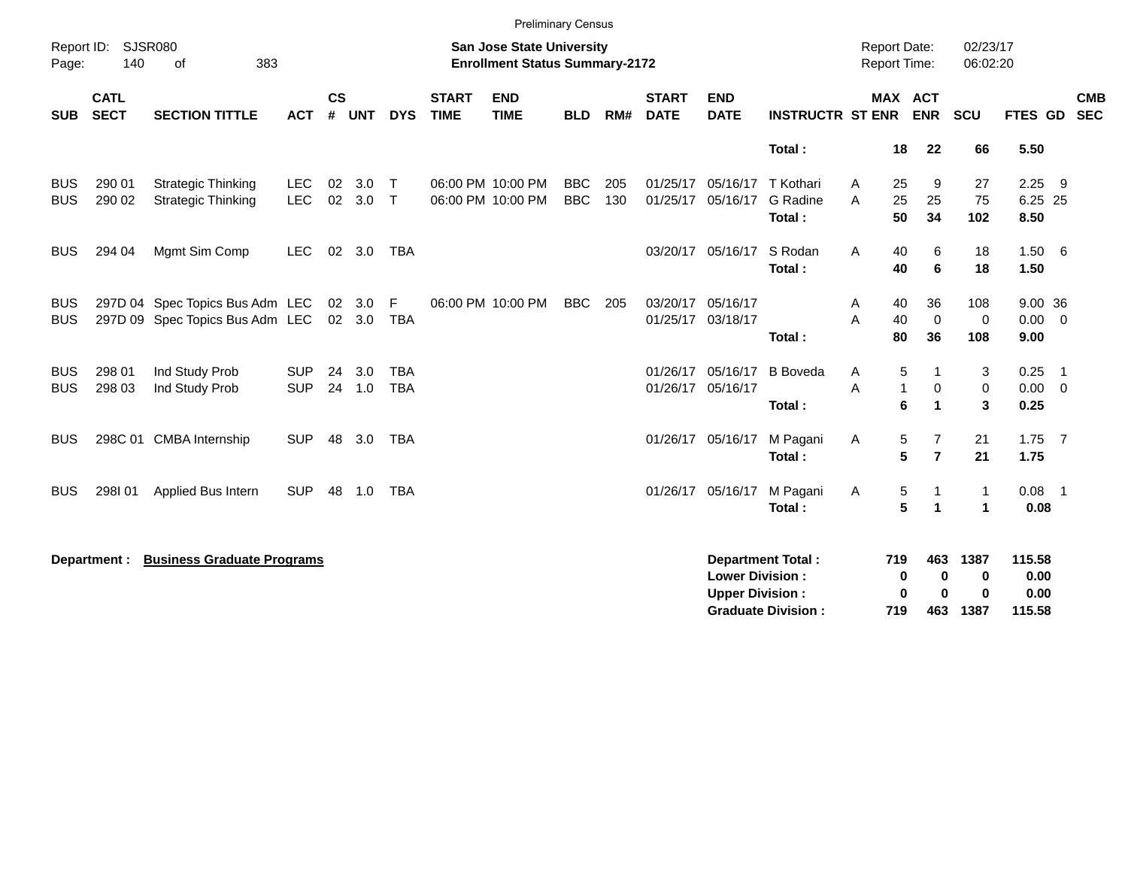|                          |                                                                                                                     |                                                                    |                          |                |                  |                          |                             | <b>Preliminary Census</b>              |                          |            |                               |                                                  |                                                       |                                            |                                                                    |                               |                                  |                            |
|--------------------------|---------------------------------------------------------------------------------------------------------------------|--------------------------------------------------------------------|--------------------------|----------------|------------------|--------------------------|-----------------------------|----------------------------------------|--------------------------|------------|-------------------------------|--------------------------------------------------|-------------------------------------------------------|--------------------------------------------|--------------------------------------------------------------------|-------------------------------|----------------------------------|----------------------------|
| Page:                    | Report ID: SJSR080<br><b>San Jose State University</b><br>140<br>383<br><b>Enrollment Status Summary-2172</b><br>of |                                                                    |                          |                |                  |                          |                             |                                        |                          |            |                               |                                                  |                                                       | <b>Report Date:</b><br><b>Report Time:</b> |                                                                    | 02/23/17<br>06:02:20          |                                  |                            |
| <b>SUB</b>               | <b>CATL</b><br><b>SECT</b>                                                                                          | <b>SECTION TITTLE</b>                                              | <b>ACT</b>               | <b>CS</b><br># | <b>UNT</b>       | <b>DYS</b>               | <b>START</b><br><b>TIME</b> | <b>END</b><br><b>TIME</b>              | <b>BLD</b>               | RM#        | <b>START</b><br><b>DATE</b>   | <b>END</b><br><b>DATE</b>                        | <b>INSTRUCTR ST ENR</b>                               |                                            | MAX ACT<br><b>ENR</b>                                              | SCU                           | FTES GD                          | <b>CMB</b><br><b>SEC</b>   |
|                          |                                                                                                                     |                                                                    |                          |                |                  |                          |                             |                                        |                          |            |                               |                                                  | Total:                                                | 18                                         | 22                                                                 | 66                            | 5.50                             |                            |
| <b>BUS</b><br><b>BUS</b> | 290 01<br>290 02                                                                                                    | <b>Strategic Thinking</b><br><b>Strategic Thinking</b>             | <b>LEC</b><br><b>LEC</b> | 02<br>02       | 3.0<br>3.0       | $\top$<br>$\mathsf{T}$   |                             | 06:00 PM 10:00 PM<br>06:00 PM 10:00 PM | <b>BBC</b><br><b>BBC</b> | 205<br>130 | 01/25/17<br>01/25/17          | 05/16/17<br>05/16/17                             | T Kothari<br>G Radine<br>Total:                       | 25<br>Α<br>25<br>A<br>50                   | 9<br>25<br>34                                                      | 27<br>75<br>102               | 2.25<br>6.25 25<br>8.50          | - 9                        |
| <b>BUS</b>               | 294 04                                                                                                              | Mgmt Sim Comp                                                      | <b>LEC</b>               |                | 02 3.0           | <b>TBA</b>               |                             |                                        |                          |            |                               | 03/20/17 05/16/17                                | S Rodan<br>Total:                                     | 40<br>Α<br>40                              | 6<br>6                                                             | 18<br>18                      | 1.50 6<br>1.50                   |                            |
| <b>BUS</b><br><b>BUS</b> |                                                                                                                     | 297D 04 Spec Topics Bus Adm LEC<br>297D 09 Spec Topics Bus Adm LEC |                          |                | 02 3.0<br>02 3.0 | F<br>TBA                 |                             | 06:00 PM 10:00 PM                      | <b>BBC</b>               | 205        | 01/25/17 03/18/17             | 03/20/17 05/16/17                                | Total:                                                | A<br>40<br>A<br>40<br>80                   | 36<br>$\mathbf 0$<br>36                                            | 108<br>0<br>108               | 9.00 36<br>0.00<br>9.00          | $\overline{\mathbf{0}}$    |
| <b>BUS</b><br><b>BUS</b> | 298 01<br>298 03                                                                                                    | Ind Study Prob<br>Ind Study Prob                                   | <b>SUP</b><br><b>SUP</b> | 24             | 3.0<br>24 1.0    | <b>TBA</b><br><b>TBA</b> |                             |                                        |                          |            | 01/26/17<br>01/26/17 05/16/17 | 05/16/17                                         | <b>B</b> Boveda<br>Total:                             | Α<br>A                                     | 5<br>1<br>$\mathbf{1}$<br>$\mathbf 0$<br>6<br>$\blacktriangleleft$ | 3<br>$\mathbf 0$<br>3         | 0.25<br>$0.00 \t 0$<br>0.25      | $\overline{\phantom{0}}$ 1 |
| <b>BUS</b>               |                                                                                                                     | 298C 01 CMBA Internship                                            | <b>SUP</b>               | 48             | 3.0              | <b>TBA</b>               |                             |                                        |                          |            |                               | 01/26/17 05/16/17                                | M Pagani<br>Total:                                    | Α                                          | 5<br>7<br>5<br>$\overline{7}$                                      | 21<br>21                      | $1.75$ 7<br>1.75                 |                            |
| <b>BUS</b>               | 298101                                                                                                              | Applied Bus Intern                                                 | <b>SUP</b>               | 48             | 1.0              | <b>TBA</b>               |                             |                                        |                          |            | 01/26/17                      | 05/16/17                                         | M Pagani<br>Total:                                    | Α                                          | 5<br>-1<br>5<br>$\blacktriangleleft$                               | $\mathbf 1$<br>$\overline{1}$ | $0.08$ 1<br>0.08                 |                            |
|                          | Department :                                                                                                        | <b>Business Graduate Programs</b>                                  |                          |                |                  |                          |                             |                                        |                          |            |                               | <b>Lower Division:</b><br><b>Upper Division:</b> | <b>Department Total:</b><br><b>Graduate Division:</b> | 719<br>719                                 | 463<br>0<br>0<br>0<br>0<br>463                                     | 1387<br>0<br>0<br>1387        | 115.58<br>0.00<br>0.00<br>115.58 |                            |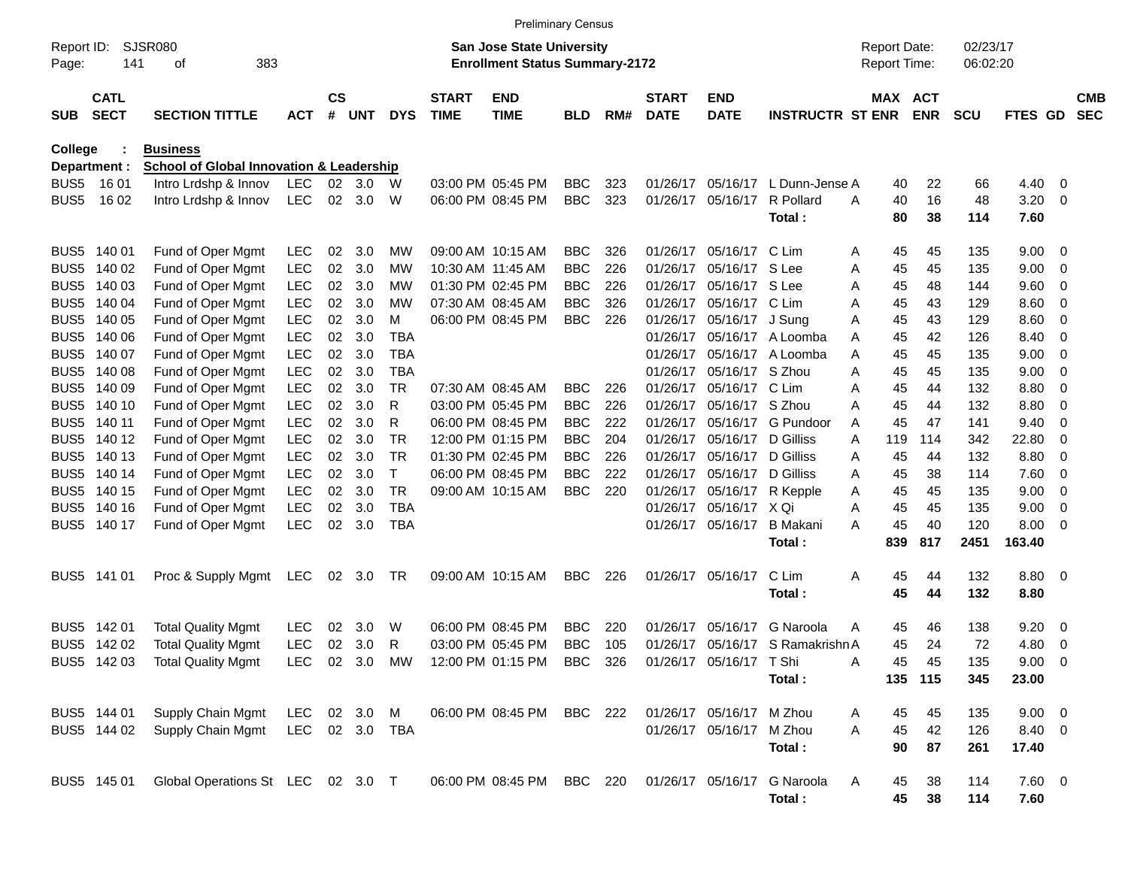|                     |                            |                                                     |                |               |        |              |                             |                                                                           | <b>Preliminary Census</b> |     |                             |                           |                             |   |                                            |               |                      |                      |                         |                          |
|---------------------|----------------------------|-----------------------------------------------------|----------------|---------------|--------|--------------|-----------------------------|---------------------------------------------------------------------------|---------------------------|-----|-----------------------------|---------------------------|-----------------------------|---|--------------------------------------------|---------------|----------------------|----------------------|-------------------------|--------------------------|
| Report ID:<br>Page: | 141                        | <b>SJSR080</b><br>383<br>οf                         |                |               |        |              |                             | <b>San Jose State University</b><br><b>Enrollment Status Summary-2172</b> |                           |     |                             |                           |                             |   | <b>Report Date:</b><br><b>Report Time:</b> |               | 02/23/17<br>06:02:20 |                      |                         |                          |
| <b>SUB</b>          | <b>CATL</b><br><b>SECT</b> | <b>SECTION TITTLE</b>                               | <b>ACT</b>     | $\mathsf{cs}$ | # UNT  | <b>DYS</b>   | <b>START</b><br><b>TIME</b> | <b>END</b><br><b>TIME</b>                                                 | <b>BLD</b>                | RM# | <b>START</b><br><b>DATE</b> | <b>END</b><br><b>DATE</b> | <b>INSTRUCTR ST ENR</b>     |   | MAX ACT                                    | <b>ENR</b>    | <b>SCU</b>           | <b>FTES GD</b>       |                         | <b>CMB</b><br><b>SEC</b> |
| <b>College</b>      |                            | <b>Business</b>                                     |                |               |        |              |                             |                                                                           |                           |     |                             |                           |                             |   |                                            |               |                      |                      |                         |                          |
|                     | Department :               | <b>School of Global Innovation &amp; Leadership</b> |                |               |        |              |                             |                                                                           |                           |     |                             |                           |                             |   |                                            |               |                      |                      |                         |                          |
| BUS <sub>5</sub>    | 1601                       | Intro Lrdshp & Innov                                | LEC            | 02            | 3.0    | W            |                             | 03:00 PM 05:45 PM                                                         | <b>BBC</b>                | 323 | 01/26/17                    | 05/16/17                  | L Dunn-Jense A              |   | 40                                         | 22            | 66                   | 4.40                 | 0                       |                          |
| BUS <sub>5</sub>    | 16 02                      | Intro Lrdshp & Innov                                | <b>LEC</b>     |               | 02 3.0 | W            |                             | 06:00 PM 08:45 PM                                                         | <b>BBC</b>                | 323 | 01/26/17                    | 05/16/17                  | R Pollard<br>Total:         | A | 40<br>80                                   | 16<br>38      | 48<br>114            | 3.20<br>7.60         | - 0                     |                          |
| BUS <sub>5</sub>    | 140 01                     | Fund of Oper Mgmt                                   | <b>LEC</b>     | 02            | 3.0    | МW           |                             | 09:00 AM 10:15 AM                                                         | <b>BBC</b>                | 326 | 01/26/17                    | 05/16/17                  | C Lim                       | A | 45                                         | 45            | 135                  | 9.00                 | - 0                     |                          |
| BUS <sub>5</sub>    | 140 02                     | Fund of Oper Mgmt                                   | <b>LEC</b>     | 02            | 3.0    | МW           |                             | 10:30 AM 11:45 AM                                                         | <b>BBC</b>                | 226 | 01/26/17                    | 05/16/17 S Lee            |                             | A | 45                                         | 45            | 135                  | 9.00                 | - 0                     |                          |
| BUS <sub>5</sub>    | 140 03                     | Fund of Oper Mgmt                                   | <b>LEC</b>     | 02            | 3.0    | МW           |                             | 01:30 PM 02:45 PM                                                         | <b>BBC</b>                | 226 | 01/26/17                    | 05/16/17 S Lee            |                             | A | 45                                         | 48            | 144                  | 9.60                 | 0                       |                          |
| BUS <sub>5</sub>    | 140 04                     | Fund of Oper Mgmt                                   | <b>LEC</b>     | 02            | 3.0    | МW           |                             | 07:30 AM 08:45 AM                                                         | <b>BBC</b>                | 326 | 01/26/17                    | 05/16/17 C Lim            |                             | A | 45                                         | 43            | 129                  | 8.60                 | 0                       |                          |
| BUS <sub>5</sub>    | 140 05                     | Fund of Oper Mgmt                                   | <b>LEC</b>     | 02            | 3.0    | м            |                             | 06:00 PM 08:45 PM                                                         | <b>BBC</b>                | 226 | 01/26/17                    | 05/16/17 J Sung           |                             | A | 45                                         | 43            | 129                  | 8.60                 | 0                       |                          |
| BUS <sub>5</sub>    | 140 06                     | Fund of Oper Mgmt                                   | <b>LEC</b>     | 02            | 3.0    | TBA          |                             |                                                                           |                           |     | 01/26/17                    |                           | 05/16/17 A Loomba           | A | 45                                         | 42            | 126                  | 8.40                 | 0                       |                          |
| BUS <sub>5</sub>    | 140 07                     | Fund of Oper Mgmt                                   | <b>LEC</b>     | 02            | 3.0    | <b>TBA</b>   |                             |                                                                           |                           |     | 01/26/17                    |                           | 05/16/17 A Loomba           | A | 45                                         | 45            | 135                  | 9.00                 | 0                       |                          |
| BUS <sub>5</sub>    | 140 08                     | Fund of Oper Mgmt                                   | <b>LEC</b>     | 02            | 3.0    | <b>TBA</b>   |                             |                                                                           |                           |     | 01/26/17                    | 05/16/17 S Zhou           |                             | A | 45                                         | 45            | 135                  | 9.00                 | 0                       |                          |
| BUS <sub>5</sub>    | 140 09                     | Fund of Oper Mgmt                                   | <b>LEC</b>     | 02            | 3.0    | <b>TR</b>    |                             | 07:30 AM 08:45 AM                                                         | <b>BBC</b>                | 226 | 01/26/17                    | 05/16/17 C Lim            |                             | A | 45                                         | 44            | 132                  | 8.80                 | 0                       |                          |
| BUS <sub>5</sub>    | 140 10                     | Fund of Oper Mgmt                                   | <b>LEC</b>     | 02            | 3.0    | R            |                             | 03:00 PM 05:45 PM                                                         | <b>BBC</b>                | 226 | 01/26/17                    | 05/16/17 S Zhou           |                             | A | 45                                         | 44            | 132                  | 8.80                 | 0                       |                          |
| BUS <sub>5</sub>    | 140 11                     | Fund of Oper Mgmt                                   | <b>LEC</b>     | 02            | 3.0    | R            |                             | 06:00 PM 08:45 PM                                                         | <b>BBC</b>                | 222 | 01/26/17                    |                           | 05/16/17 G Pundoor          | A | 45                                         | 47            | 141                  | 9.40                 | 0                       |                          |
| BUS <sub>5</sub>    | 140 12                     | Fund of Oper Mgmt                                   | <b>LEC</b>     | 02            | 3.0    | TR           |                             | 12:00 PM 01:15 PM                                                         | <b>BBC</b>                | 204 | 01/26/17                    | 05/16/17 D Gilliss        |                             | A | 119                                        | 114           | 342                  | 22.80                | 0                       |                          |
| BUS <sub>5</sub>    | 140 13                     | Fund of Oper Mgmt                                   | <b>LEC</b>     | 02            | 3.0    | TR           |                             | 01:30 PM 02:45 PM                                                         | <b>BBC</b>                | 226 | 01/26/17                    | 05/16/17 D Gilliss        |                             | A | 45                                         | 44            | 132                  | 8.80                 | 0                       |                          |
|                     | BUS5 140 14                | Fund of Oper Mgmt                                   | <b>LEC</b>     | 02            | 3.0    | $\mathsf{T}$ |                             | 06:00 PM 08:45 PM                                                         | <b>BBC</b>                | 222 | 01/26/17                    | 05/16/17 D Gilliss        |                             | A | 45                                         | 38            | 114                  | 7.60                 | 0                       |                          |
|                     | BUS5 140 15                | Fund of Oper Mgmt                                   | <b>LEC</b>     | 02            | 3.0    | TR           |                             | 09:00 AM 10:15 AM                                                         | <b>BBC</b>                | 220 | 01/26/17                    |                           | 05/16/17 R Kepple           | A | 45                                         | 45            | 135                  | 9.00                 | 0                       |                          |
|                     | BUS5 140 16                | Fund of Oper Mgmt                                   | <b>LEC</b>     | 02            | 3.0    | <b>TBA</b>   |                             |                                                                           |                           |     | 01/26/17                    | 05/16/17 X Qi             |                             | A | 45                                         | 45            | 135                  | 9.00                 | - 0                     |                          |
|                     | BUS5 140 17                | Fund of Oper Mgmt                                   | <b>LEC</b>     | 02            | 3.0    | <b>TBA</b>   |                             |                                                                           |                           |     | 01/26/17                    | 05/16/17                  | <b>B</b> Makani             | A | 45                                         | 40            | 120                  | 8.00                 | - 0                     |                          |
|                     |                            |                                                     |                |               |        |              |                             |                                                                           |                           |     |                             |                           | Total:                      |   | 839                                        | 817           | 2451                 | 163.40               |                         |                          |
| BUS5                | 141 01                     | Proc & Supply Mgmt                                  | LEC            |               | 02 3.0 | TR           |                             | 09:00 AM 10:15 AM                                                         | BBC                       | 226 | 01/26/17                    | 05/16/17                  | C Lim<br>Total:             | Α | 45<br>45                                   | 44<br>44      | 132<br>132           | 8.80 0<br>8.80       |                         |                          |
|                     |                            |                                                     |                |               |        |              |                             |                                                                           |                           |     |                             |                           |                             |   |                                            |               |                      |                      |                         |                          |
|                     | BUS5 142 01                | <b>Total Quality Mgmt</b>                           | <b>LEC</b>     | 02            | 3.0    | W            |                             | 06:00 PM 08:45 PM                                                         | <b>BBC</b>                | 220 | 01/26/17                    | 05/16/17                  | G Naroola                   | A | 45                                         | 46            | 138                  | 9.20                 | $\overline{\mathbf{0}}$ |                          |
|                     | BUS5 142 02                | <b>Total Quality Mgmt</b>                           | <b>LEC</b>     | 02            | 3.0    | R            |                             | 03:00 PM 05:45 PM                                                         | <b>BBC</b>                | 105 | 01/26/17                    |                           | 05/16/17 S Ramakrishn A     |   | 45                                         | 24            | 72                   | 4.80                 | - 0                     |                          |
|                     | BUS5 142 03                | <b>Total Quality Mgmt</b>                           |                |               |        |              |                             | LEC 02 3.0 MW 12:00 PM 01:15 PM BBC 326 01/26/17 05/16/17 T Shi           |                           |     |                             |                           | Total:                      | Α | 45                                         | 45<br>135 115 | 135<br>345           | $9.00 \t 0$<br>23.00 |                         |                          |
|                     | BUS5 144 01                | Supply Chain Mgmt                                   | LEC 02 3.0 M   |               |        |              |                             | 06:00 PM 08:45 PM BBC 222                                                 |                           |     |                             | 01/26/17 05/16/17 M Zhou  |                             | A | 45                                         | 45            | 135                  | $9.00 \t 0$          |                         |                          |
|                     | BUS5 144 02                | Supply Chain Mgmt                                   | LEC 02 3.0 TBA |               |        |              |                             |                                                                           |                           |     |                             | 01/26/17 05/16/17 M Zhou  |                             | A | 45                                         | 42            | 126                  | 8.40 0               |                         |                          |
|                     |                            |                                                     |                |               |        |              |                             |                                                                           |                           |     |                             |                           | Total:                      |   | 90                                         | 87            | 261                  | 17.40                |                         |                          |
|                     | BUS5 145 01                | Global Operations St LEC 02 3.0 T                   |                |               |        |              |                             | 06:00 PM 08:45 PM BBC 220                                                 |                           |     |                             |                           | 01/26/17 05/16/17 G Naroola | A | 45                                         | 38            | 114                  | $7.60$ 0             |                         |                          |
|                     |                            |                                                     |                |               |        |              |                             |                                                                           |                           |     |                             |                           | Total:                      |   | 45                                         | 38            | 114                  | 7.60                 |                         |                          |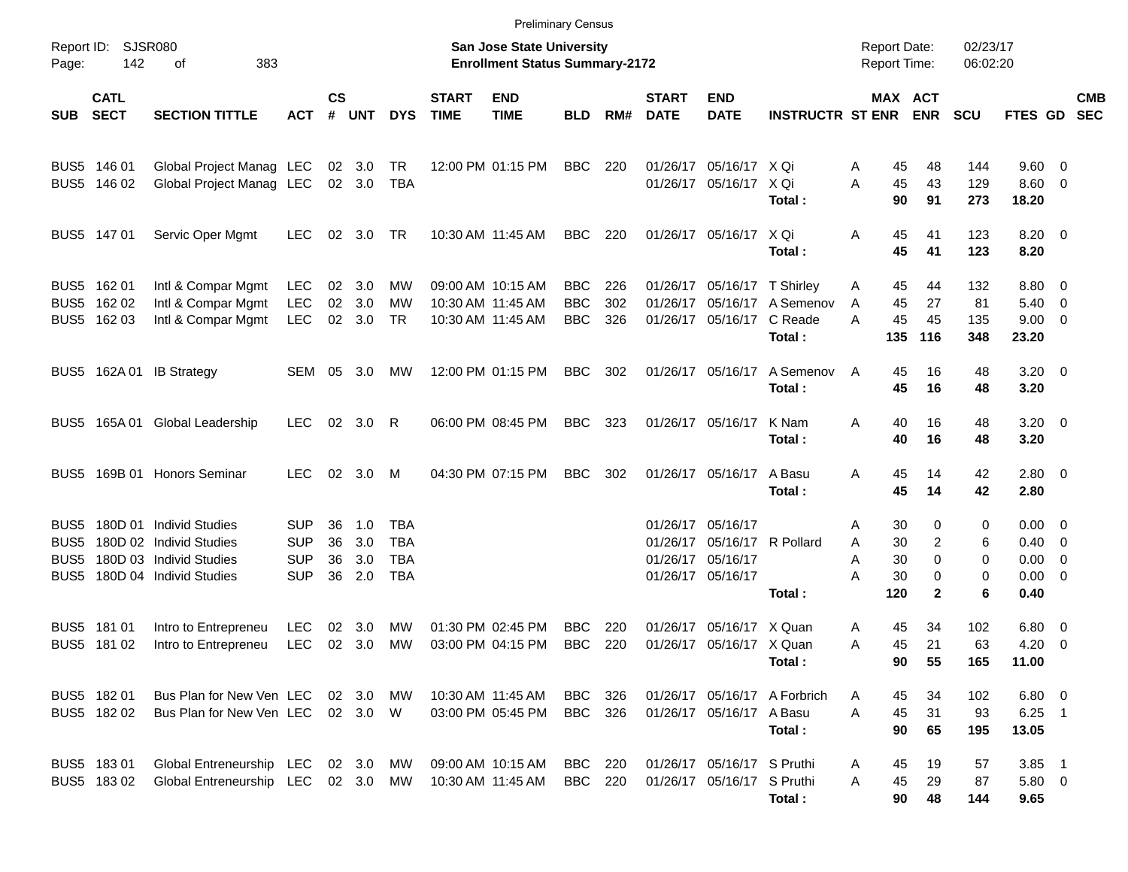|                       |                                           |                                                                                                               |                                                      |                      |                          |                                 |                             | <b>Preliminary Census</b>                                          |                                        |                   |                             |                                                                                            |                                                  |                                                 |                                         |                         |                                                                        |                          |                          |
|-----------------------|-------------------------------------------|---------------------------------------------------------------------------------------------------------------|------------------------------------------------------|----------------------|--------------------------|---------------------------------|-----------------------------|--------------------------------------------------------------------|----------------------------------------|-------------------|-----------------------------|--------------------------------------------------------------------------------------------|--------------------------------------------------|-------------------------------------------------|-----------------------------------------|-------------------------|------------------------------------------------------------------------|--------------------------|--------------------------|
| Page:                 | Report ID: SJSR080<br>142                 | 383<br>οf                                                                                                     |                                                      |                      |                          |                                 |                             | San Jose State University<br><b>Enrollment Status Summary-2172</b> |                                        |                   |                             |                                                                                            |                                                  | <b>Report Date:</b><br><b>Report Time:</b>      |                                         | 02/23/17<br>06:02:20    |                                                                        |                          |                          |
| <b>SUB</b>            | <b>CATL</b><br><b>SECT</b>                | <b>SECTION TITTLE</b>                                                                                         | ACT                                                  | $\mathsf{cs}$<br>#   | <b>UNT</b>               | <b>DYS</b>                      | <b>START</b><br><b>TIME</b> | <b>END</b><br><b>TIME</b>                                          | <b>BLD</b>                             | RM#               | <b>START</b><br><b>DATE</b> | <b>END</b><br><b>DATE</b>                                                                  | <b>INSTRUCTR ST ENR</b>                          | MAX ACT                                         | <b>ENR</b>                              | <b>SCU</b>              | FTES GD                                                                |                          | <b>CMB</b><br><b>SEC</b> |
|                       | BUS5 146 01<br>BUS5 146 02                | Global Project Manag LEC<br>Global Project Manag LEC                                                          |                                                      |                      | 02 3.0<br>02 3.0         | TR<br>TBA                       |                             | 12:00 PM 01:15 PM                                                  | BBC                                    | 220               |                             | 01/26/17 05/16/17 X Qi<br>01/26/17 05/16/17 X Qi                                           | Total:                                           | 45<br>Α<br>45<br>A<br>90                        | 48<br>43<br>91                          | 144<br>129<br>273       | $9.60 \quad 0$<br>$8.60 \quad 0$<br>18.20                              |                          |                          |
|                       | BUS5 147 01                               | Servic Oper Mgmt                                                                                              | <b>LEC</b>                                           | 02                   | 3.0                      | TR                              |                             | 10:30 AM 11:45 AM                                                  | BBC                                    | 220               |                             | 01/26/17 05/16/17 X Qi                                                                     | Total:                                           | Α<br>45<br>45                                   | 41<br>41                                | 123<br>123              | $8.20 \ 0$<br>8.20                                                     |                          |                          |
|                       | BUS5 162 01<br>BUS5 162 02<br>BUS5 162 03 | Intl & Compar Mgmt<br>Intl & Compar Mgmt<br>Intl & Compar Mgmt                                                | <b>LEC</b><br><b>LEC</b><br><b>LEC</b>               | 02<br>02             | 3.0<br>3.0<br>02 3.0     | MW<br>MW<br><b>TR</b>           |                             | 09:00 AM 10:15 AM<br>10:30 AM 11:45 AM<br>10:30 AM 11:45 AM        | <b>BBC</b><br><b>BBC</b><br><b>BBC</b> | 226<br>302<br>326 |                             | 01/26/17 05/16/17 T Shirley<br>01/26/17 05/16/17                                           | 01/26/17 05/16/17 A Semenov<br>C Reade<br>Total: | 45<br>A<br>45<br>A<br>45<br>А<br>135            | 44<br>27<br>45<br>116                   | 132<br>81<br>135<br>348 | 8.80 0<br>$5.40 \ 0$<br>$9.00 \t 0$<br>23.20                           |                          |                          |
|                       |                                           | BUS5 162A 01 IB Strategy                                                                                      | SEM 05 3.0                                           |                      |                          | МW                              |                             | 12:00 PM 01:15 PM                                                  | <b>BBC</b>                             | 302               |                             | 01/26/17 05/16/17                                                                          | A Semenov<br>Total:                              | 45<br>A<br>45                                   | 16<br>16                                | 48<br>48                | $3.20 \ 0$<br>3.20                                                     |                          |                          |
|                       |                                           | BUS5 165A 01 Global Leadership                                                                                | <b>LEC</b>                                           |                      | 02 3.0 R                 |                                 |                             | 06:00 PM 08:45 PM                                                  | <b>BBC</b>                             | 323               |                             | 01/26/17 05/16/17                                                                          | K Nam<br>Total:                                  | A<br>40<br>40                                   | 16<br>16                                | 48<br>48                | $3.20 \ 0$<br>3.20                                                     |                          |                          |
|                       |                                           | BUS5 169B 01 Honors Seminar                                                                                   | <b>LEC</b>                                           |                      | 02 3.0                   | M                               |                             | 04:30 PM 07:15 PM                                                  | <b>BBC</b>                             | 302               |                             | 01/26/17 05/16/17                                                                          | A Basu<br>Total:                                 | A<br>45<br>45                                   | 14<br>14                                | 42<br>42                | $2.80 \ 0$<br>2.80                                                     |                          |                          |
| BUS5<br>BUS5<br>BUS5. |                                           | BUS5 180D 01 Individ Studies<br>180D 02 Individ Studies<br>180D 03 Individ Studies<br>180D 04 Individ Studies | <b>SUP</b><br><b>SUP</b><br><b>SUP</b><br><b>SUP</b> | 36<br>36<br>36<br>36 | 1.0<br>3.0<br>3.0<br>2.0 | TBA<br>TBA<br>TBA<br><b>TBA</b> |                             |                                                                    |                                        |                   |                             | 01/26/17 05/16/17<br>01/26/17 05/16/17 R Pollard<br>01/26/17 05/16/17<br>01/26/17 05/16/17 | Total:                                           | 30<br>Α<br>30<br>Α<br>30<br>Α<br>А<br>30<br>120 | 0<br>2<br>$\Omega$<br>0<br>$\mathbf{2}$ | 0<br>6<br>0<br>0<br>6   | $0.00 \quad 0$<br>$0.40 \quad 0$<br>$0.00 \t 0$<br>$0.00 \t 0$<br>0.40 |                          |                          |
|                       | BUS5 181 01<br>BUS5 181 02                | Intro to Entrepreneu<br>Intro to Entrepreneu                                                                  | <b>LEC</b><br><b>LEC</b>                             | 02                   | 3.0<br>02 3.0            | МW<br>МW                        |                             | 01:30 PM 02:45 PM<br>03:00 PM 04:15 PM                             | <b>BBC</b><br><b>BBC</b>               | 220<br>220        | 01/26/17                    | 05/16/17 X Quan<br>01/26/17 05/16/17 X Quan                                                | Total:                                           | 45<br>Α<br>45<br>Α<br>90                        | 34<br>21<br>55                          | 102<br>63<br>165        | $6.80\quad 0$<br>4.20<br>11.00                                         | $\overline{\phantom{0}}$ |                          |
|                       | BUS5 182 01<br>BUS5 182 02                | Bus Plan for New Ven LEC<br>Bus Plan for New Ven LEC 02 3.0 W                                                 |                                                      |                      | 02 3.0 MW                |                                 | 10:30 AM 11:45 AM           | 03:00 PM 05:45 PM                                                  | BBC<br><b>BBC</b> 326                  | 326               |                             | 01/26/17 05/16/17 A Basu                                                                   | 01/26/17 05/16/17 A Forbrich<br>Total:           | 45<br>A<br>45<br>A<br>90                        | 34<br>31<br>65                          | 102<br>93<br>195        | $6.80$ 0<br>$6.25$ 1<br>13.05                                          |                          |                          |
|                       | BUS5 183 01<br>BUS5 183 02                | Global Entreneurship LEC<br>Global Entreneurship LEC 02 3.0 MW                                                |                                                      |                      | 02 3.0                   | MW                              | 10:30 AM 11:45 AM           | 09:00 AM 10:15 AM                                                  | <b>BBC</b> 220<br><b>BBC</b> 220       |                   |                             | 01/26/17 05/16/17 S Pruthi<br>01/26/17 05/16/17 S Pruthi                                   | Total:                                           | 45<br>A<br>45<br>A<br>90                        | 19<br>29<br>48                          | 57<br>87<br>144         | $3.85$ 1<br>5.80 0<br>9.65                                             |                          |                          |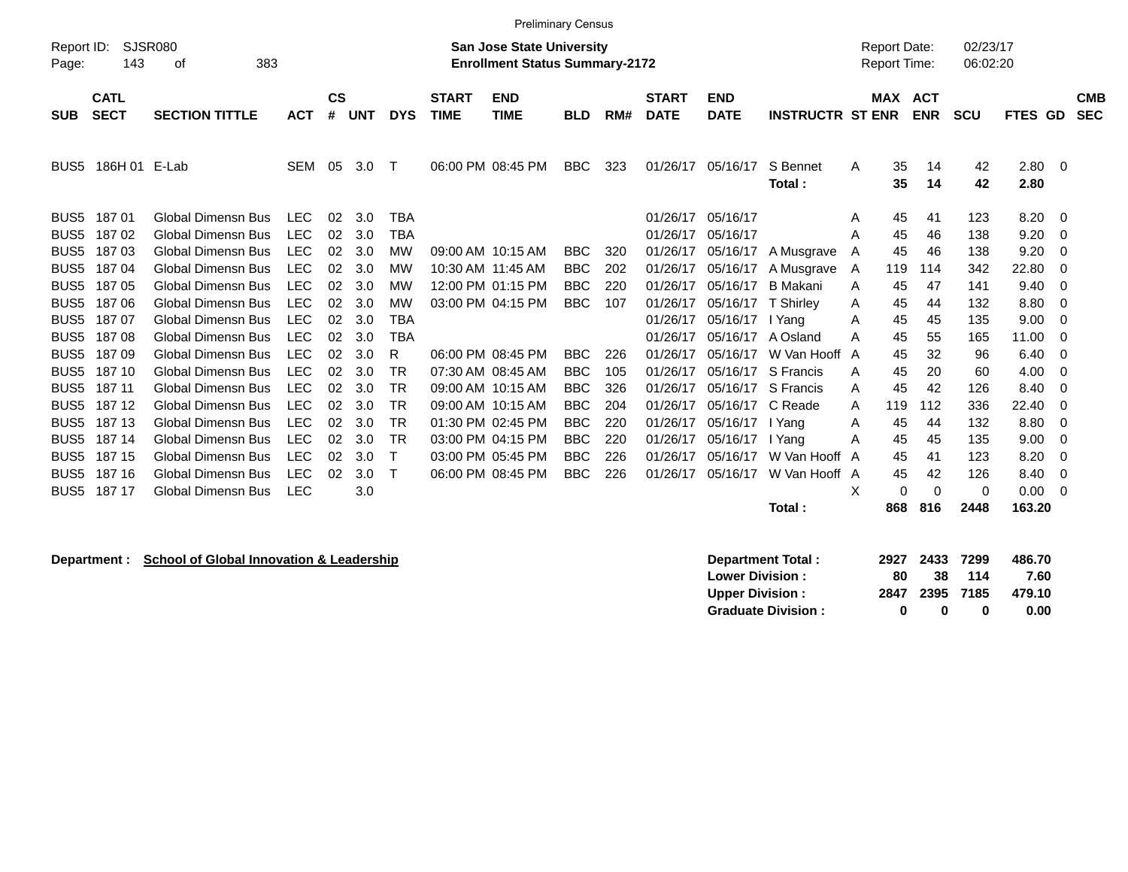|                     |                            |                             |            |                |            |            |                             | <b>Preliminary Census</b>                                                 |            |     |                             |                           |                         |                                            |          |            |                      |              |     |                          |
|---------------------|----------------------------|-----------------------------|------------|----------------|------------|------------|-----------------------------|---------------------------------------------------------------------------|------------|-----|-----------------------------|---------------------------|-------------------------|--------------------------------------------|----------|------------|----------------------|--------------|-----|--------------------------|
| Report ID:<br>Page: | 143                        | <b>SJSR080</b><br>383<br>οf |            |                |            |            |                             | <b>San Jose State University</b><br><b>Enrollment Status Summary-2172</b> |            |     |                             |                           |                         | <b>Report Date:</b><br><b>Report Time:</b> |          |            | 02/23/17<br>06:02:20 |              |     |                          |
| <b>SUB</b>          | <b>CATL</b><br><b>SECT</b> | <b>SECTION TITTLE</b>       | <b>ACT</b> | <b>CS</b><br># | <b>UNT</b> | <b>DYS</b> | <b>START</b><br><b>TIME</b> | <b>END</b><br><b>TIME</b>                                                 | <b>BLD</b> | RM# | <b>START</b><br><b>DATE</b> | <b>END</b><br><b>DATE</b> | <b>INSTRUCTR ST ENR</b> | <b>MAX ACT</b>                             |          | <b>ENR</b> | <b>SCU</b>           | FTES GD      |     | <b>CMB</b><br><b>SEC</b> |
| BUS <sub>5</sub>    | 186H 01                    | E-Lab                       | <b>SEM</b> | 05             | 3.0        | Т          |                             | 06:00 PM 08:45 PM                                                         | <b>BBC</b> | 323 | 01/26/17                    | 05/16/17                  | S Bennet<br>Total:      | A                                          | 35<br>35 | 14<br>14   | 42<br>42             | 2.80<br>2.80 | - 0 |                          |
| BUS <sub>5</sub>    | 18701                      | <b>Global Dimensn Bus</b>   | <b>LEC</b> | 02             | 3.0        | TBA        |                             |                                                                           |            |     | 01/26/17                    | 05/16/17                  |                         | A                                          | 45       | 41         | 123                  | 8.20         | - 0 |                          |
| BUS <sub>5</sub>    | 18702                      | <b>Global Dimensn Bus</b>   | <b>LEC</b> | 02             | 3.0        | <b>TBA</b> |                             |                                                                           |            |     | 01/26/17                    | 05/16/17                  |                         | A                                          | 45       | 46         | 138                  | 9.20         | - 0 |                          |
| BUS <sub>5</sub>    | 18703                      | <b>Global Dimensn Bus</b>   | <b>LEC</b> | 02             | 3.0        | <b>MW</b>  |                             | 09:00 AM 10:15 AM                                                         | <b>BBC</b> | 320 | 01/26/17                    | 05/16/17                  | A Musgrave              | A                                          | 45       | 46         | 138                  | 9.20         | - 0 |                          |
| BUS <sub>5</sub>    | 18704                      | Global Dimensn Bus          | <b>LEC</b> | 02             | 3.0        | <b>MW</b>  |                             | 10:30 AM 11:45 AM                                                         | <b>BBC</b> | 202 | 01/26/17                    | 05/16/17                  | A Musgrave              | A                                          | 119      | 114        | 342                  | 22.80        | -0  |                          |
| BUS <sub>5</sub>    | 18705                      | <b>Global Dimensn Bus</b>   | <b>LEC</b> | 02             | 3.0        | <b>MW</b>  |                             | 12:00 PM 01:15 PM                                                         | <b>BBC</b> | 220 | 01/26/17                    | 05/16/17                  | <b>B</b> Makani         | A                                          | 45       | 47         | 141                  | 9.40         | - 0 |                          |
| BUS <sub>5</sub>    | 18706                      | <b>Global Dimensn Bus</b>   | <b>LEC</b> | 02             | 3.0        | <b>MW</b>  |                             | 03:00 PM 04:15 PM                                                         | <b>BBC</b> | 107 | 01/26/17                    | 05/16/17                  | T Shirley               | A                                          | 45       | 44         | 132                  | 8.80         | - 0 |                          |
| BUS <sub>5</sub>    | 18707                      | Global Dimensn Bus          | <b>LEC</b> | 02             | 3.0        | <b>TBA</b> |                             |                                                                           |            |     | 01/26/17                    | 05/16/17                  | I Yang                  | A                                          | 45       | 45         | 135                  | 9.00         | - 0 |                          |
| BUS <sub>5</sub>    | 18708                      | <b>Global Dimensn Bus</b>   | <b>LEC</b> | 02             | 3.0        | <b>TBA</b> |                             |                                                                           |            |     | 01/26/17                    | 05/16/17                  | A Osland                | A                                          | 45       | 55         | 165                  | 11.00        | 0   |                          |
| BUS <sub>5</sub>    | 18709                      | <b>Global Dimensn Bus</b>   | <b>LEC</b> | 02             | 3.0        | R          |                             | 06:00 PM 08:45 PM                                                         | <b>BBC</b> | 226 | 01/26/17                    | 05/16/17                  | W Van Hooff             | A                                          | 45       | 32         | 96                   | 6.40         | - 0 |                          |
| BUS <sub>5</sub>    | 187 10                     | <b>Global Dimensn Bus</b>   | <b>LEC</b> | 02             | 3.0        | TR         |                             | 07:30 AM 08:45 AM                                                         | <b>BBC</b> | 105 | 01/26/17                    | 05/16/17                  | S Francis               | A                                          | 45       | 20         | 60                   | 4.00         | - 0 |                          |
| BUS <sub>5</sub>    | 187 11                     | <b>Global Dimensn Bus</b>   | <b>LEC</b> | 02             | 3.0        | TR         |                             | 09:00 AM 10:15 AM                                                         | <b>BBC</b> | 326 | 01/26/17                    | 05/16/17                  | S Francis               | A                                          | 45       | 42         | 126                  | 8.40         | - 0 |                          |
| BUS <sub>5</sub>    | 187 12                     | <b>Global Dimensn Bus</b>   | <b>LEC</b> | 02             | 3.0        | <b>TR</b>  |                             | 09:00 AM 10:15 AM                                                         | <b>BBC</b> | 204 | 01/26/17                    | 05/16/17                  | C Reade                 | A                                          | 119      | 112        | 336                  | 22.40        | -0  |                          |
| BUS <sub>5</sub>    | 187 13                     | <b>Global Dimensn Bus</b>   | <b>LEC</b> | 02             | 3.0        | TR         |                             | 01:30 PM 02:45 PM                                                         | <b>BBC</b> | 220 | 01/26/17                    | 05/16/17                  | I Yang                  | A                                          | 45       | 44         | 132                  | 8.80         | - 0 |                          |
| BUS <sub>5</sub>    | 187 14                     | <b>Global Dimensn Bus</b>   | <b>LEC</b> | 02             | 3.0        | <b>TR</b>  |                             | 03:00 PM 04:15 PM                                                         | <b>BBC</b> | 220 | 01/26/17                    | 05/16/17                  | I Yang                  | A                                          | 45       | 45         | 135                  | 9.00         | - 0 |                          |
| BUS <sub>5</sub>    | 187 15                     | Global Dimensn Bus          | <b>LEC</b> | 02             | 3.0        |            |                             | 03:00 PM 05:45 PM                                                         | <b>BBC</b> | 226 | 01/26/17                    | 05/16/17                  | W Van Hooff             | A                                          | 45       | 41         | 123                  | 8.20         | 0   |                          |
| BUS <sub>5</sub>    | 187 16                     | <b>Global Dimensn Bus</b>   | <b>LEC</b> | 02             | 3.0        | Т          |                             | 06:00 PM 08:45 PM                                                         | <b>BBC</b> | 226 | 01/26/17                    | 05/16/17                  | W Van Hooff A           |                                            | 45       | 42         | 126                  | 8.40         | - 0 |                          |
| BUS <sub>5</sub>    | 187 17                     | <b>Global Dimensn Bus</b>   | <b>LEC</b> |                | 3.0        |            |                             |                                                                           |            |     |                             |                           |                         | х                                          | $\Omega$ | $\Omega$   | 0                    | 0.00         | - 0 |                          |
|                     |                            |                             |            |                |            |            |                             |                                                                           |            |     |                             |                           | Total:                  |                                            | 868      | 816        | 2448                 | 163.20       |     |                          |

**Department : School of Global Innovation & Leadership Department Total : 2927 2433 7299 486.70 Lower Division : Upper Division : 2847 2395 7185 479.10<br>
Graduate Division : 0 0 0 0 0.00** Graduate Division : 0 0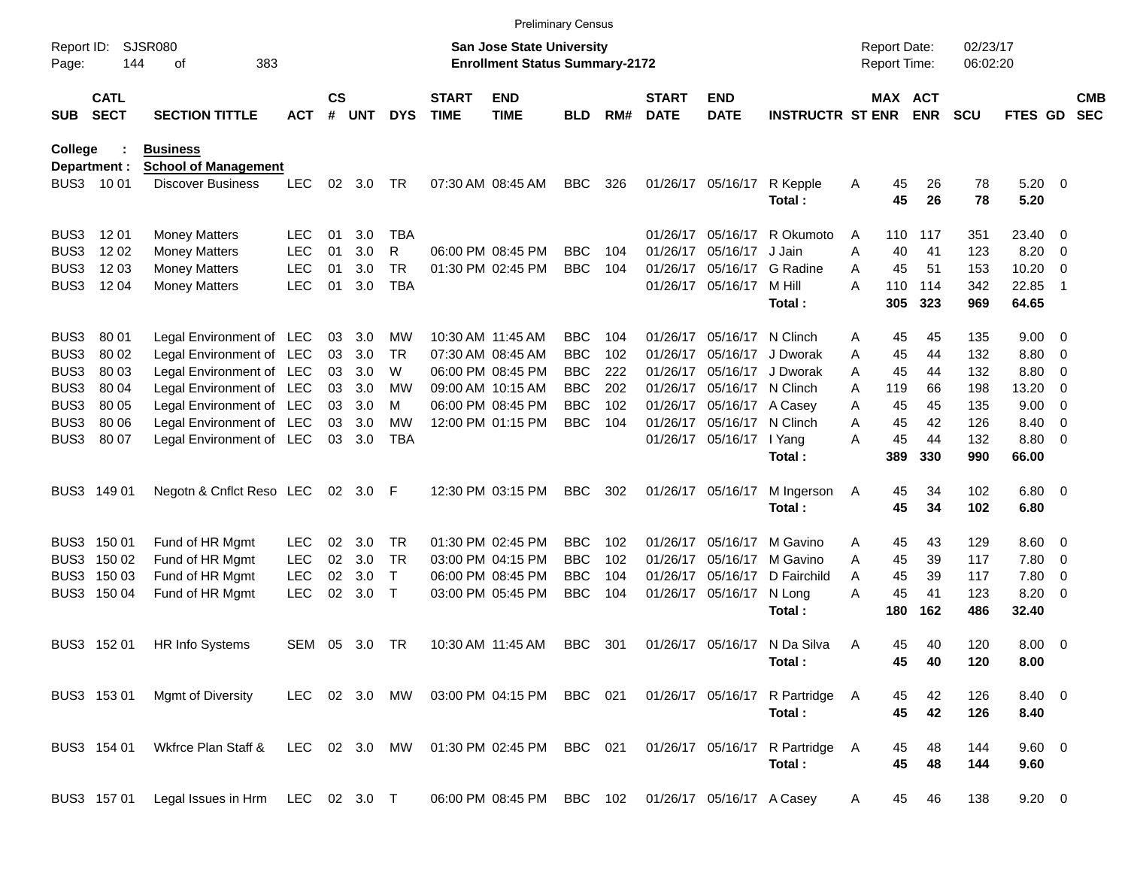|                     |                            |                                                         |            |                    |            |            |                             | <b>Preliminary Census</b>                                                 |            |     |                             |                           |                               |              |                                     |            |                      |                |                          |                          |
|---------------------|----------------------------|---------------------------------------------------------|------------|--------------------|------------|------------|-----------------------------|---------------------------------------------------------------------------|------------|-----|-----------------------------|---------------------------|-------------------------------|--------------|-------------------------------------|------------|----------------------|----------------|--------------------------|--------------------------|
| Report ID:<br>Page: | 144                        | <b>SJSR080</b><br>383<br>οf                             |            |                    |            |            |                             | <b>San Jose State University</b><br><b>Enrollment Status Summary-2172</b> |            |     |                             |                           |                               |              | <b>Report Date:</b><br>Report Time: |            | 02/23/17<br>06:02:20 |                |                          |                          |
| <b>SUB</b>          | <b>CATL</b><br><b>SECT</b> | <b>SECTION TITTLE</b>                                   | <b>ACT</b> | $\mathsf{cs}$<br># | <b>UNT</b> | <b>DYS</b> | <b>START</b><br><b>TIME</b> | <b>END</b><br><b>TIME</b>                                                 | <b>BLD</b> | RM# | <b>START</b><br><b>DATE</b> | <b>END</b><br><b>DATE</b> | <b>INSTRUCTR ST ENR</b>       |              | MAX ACT                             | <b>ENR</b> | <b>SCU</b>           | FTES GD        |                          | <b>CMB</b><br><b>SEC</b> |
| <b>College</b>      |                            | <b>Business</b>                                         |            |                    |            |            |                             |                                                                           |            |     |                             |                           |                               |              |                                     |            |                      |                |                          |                          |
| BUS3                | Department :<br>10 01      | <b>School of Management</b><br><b>Discover Business</b> | <b>LEC</b> | 02                 | 3.0        | TR         |                             | 07:30 AM 08:45 AM                                                         | <b>BBC</b> | 326 | 01/26/17                    | 05/16/17                  | R Kepple<br>Total:            | A            | 45<br>45                            | 26<br>26   | 78<br>78             | 5.20<br>5.20   | $\overline{\mathbf{0}}$  |                          |
| BUS3                | 12 01                      | <b>Money Matters</b>                                    | <b>LEC</b> | 01                 | 3.0        | <b>TBA</b> |                             |                                                                           |            |     | 01/26/17                    | 05/16/17                  | R Okumoto                     | A            | 110                                 | 117        | 351                  | 23.40          | -0                       |                          |
| BUS3                | 12 02                      | <b>Money Matters</b>                                    | <b>LEC</b> | 01                 | 3.0        | R          |                             | 06:00 PM 08:45 PM                                                         | <b>BBC</b> | 104 | 01/26/17                    | 05/16/17                  | J Jain                        | Α            | 40                                  | 41         | 123                  | 8.20           | 0                        |                          |
| BUS3                | 1203                       | <b>Money Matters</b>                                    | <b>LEC</b> | 01                 | 3.0        | <b>TR</b>  |                             | 01:30 PM 02:45 PM                                                         | <b>BBC</b> | 104 | 01/26/17                    | 05/16/17                  | G Radine                      | A            | 45                                  | 51         | 153                  | 10.20          | 0                        |                          |
| BUS3                | 12 04                      | <b>Money Matters</b>                                    | <b>LEC</b> | 01                 | 3.0        | <b>TBA</b> |                             |                                                                           |            |     | 01/26/17                    | 05/16/17                  | M Hill<br>Total:              | Α            | 110<br>305                          | 114<br>323 | 342<br>969           | 22.85<br>64.65 | -1                       |                          |
|                     |                            |                                                         |            |                    |            |            |                             |                                                                           |            |     |                             |                           |                               |              |                                     |            |                      |                |                          |                          |
| BUS3                | 80 01                      | Legal Environment of LEC                                |            | 03                 | 3.0        | МW         |                             | 10:30 AM 11:45 AM                                                         | <b>BBC</b> | 104 | 01/26/17                    | 05/16/17                  | N Clinch                      | Α            | 45                                  | 45         | 135                  | 9.00           | 0                        |                          |
| BUS3                | 80 02                      | Legal Environment of LEC                                |            | 03                 | 3.0        | TR         |                             | 07:30 AM 08:45 AM                                                         | <b>BBC</b> | 102 | 01/26/17                    | 05/16/17                  | J Dworak                      | Α            | 45                                  | 44         | 132                  | 8.80           | 0                        |                          |
| BUS3                | 80 03                      | Legal Environment of LEC                                |            | 03                 | 3.0        | W          |                             | 06:00 PM 08:45 PM                                                         | <b>BBC</b> | 222 | 01/26/17                    | 05/16/17                  | J Dworak                      | A            | 45                                  | 44         | 132                  | 8.80           | 0                        |                          |
| BUS3                | 80 04                      | Legal Environment of LEC                                |            | 03                 | 3.0        | МW         |                             | 09:00 AM 10:15 AM                                                         | <b>BBC</b> | 202 | 01/26/17                    | 05/16/17                  | N Clinch                      | A            | 119                                 | 66         | 198                  | 13.20          | 0                        |                          |
| BUS3                | 80 05                      | Legal Environment of LEC                                |            | 03                 | 3.0        | M          |                             | 06:00 PM 08:45 PM                                                         | <b>BBC</b> | 102 | 01/26/17                    | 05/16/17                  | A Casey                       | Α            | 45                                  | 45         | 135                  | 9.00           | 0                        |                          |
| BUS3                | 80 06                      | Legal Environment of LEC                                |            | 03                 | 3.0        | МW         |                             | 12:00 PM 01:15 PM                                                         | <b>BBC</b> | 104 | 01/26/17                    | 05/16/17                  | N Clinch                      | A            | 45                                  | 42         | 126                  | 8.40           | 0                        |                          |
| BUS3                | 80 07                      | Legal Environment of LEC                                |            | 03                 | 3.0        | <b>TBA</b> |                             |                                                                           |            |     | 01/26/17                    | 05/16/17                  | I Yang                        | Α            | 45                                  | 44         | 132                  | 8.80           | 0                        |                          |
|                     |                            |                                                         |            |                    |            |            |                             |                                                                           |            |     |                             |                           | Total:                        |              | 389                                 | 330        | 990                  | 66.00          |                          |                          |
| BUS3                | 149 01                     | Negotn & Cnflct Reso LEC                                |            | 02                 | 3.0        | F          |                             | 12:30 PM 03:15 PM                                                         | <b>BBC</b> | 302 | 01/26/17                    | 05/16/17                  | M Ingerson                    | A            | 45                                  | 34         | 102                  | 6.80           | $\overline{\phantom{0}}$ |                          |
|                     |                            |                                                         |            |                    |            |            |                             |                                                                           |            |     |                             |                           | Total:                        |              | 45                                  | 34         | 102                  | 6.80           |                          |                          |
| BUS3                | 150 01                     | Fund of HR Mgmt                                         | <b>LEC</b> | 02                 | 3.0        | TR         |                             | 01:30 PM 02:45 PM                                                         | <b>BBC</b> | 102 | 01/26/17                    | 05/16/17                  | M Gavino                      | Α            | 45                                  | 43         | 129                  | 8.60           | $\overline{\mathbf{0}}$  |                          |
| BUS3                | 150 02                     | Fund of HR Mgmt                                         | <b>LEC</b> | 02                 | 3.0        | <b>TR</b>  |                             | 03:00 PM 04:15 PM                                                         | <b>BBC</b> | 102 | 01/26/17                    | 05/16/17                  | M Gavino                      | Α            | 45                                  | 39         | 117                  | 7.80           | 0                        |                          |
| BUS3                | 150 03                     | Fund of HR Mgmt                                         | <b>LEC</b> | 02                 | 3.0        | T          |                             | 06:00 PM 08:45 PM                                                         | <b>BBC</b> | 104 | 01/26/17                    | 05/16/17                  | D Fairchild                   | A            | 45                                  | 39         | 117                  | 7.80           | 0                        |                          |
| BUS3                | 150 04                     | Fund of HR Mgmt                                         | <b>LEC</b> | 02                 | 3.0        | Т          |                             | 03:00 PM 05:45 PM                                                         | <b>BBC</b> | 104 | 01/26/17                    | 05/16/17                  | N Long                        | Α            | 45                                  | 41         | 123                  | 8.20           | 0                        |                          |
|                     |                            |                                                         |            |                    |            |            |                             |                                                                           |            |     |                             |                           | Total:                        |              | 180                                 | 162        | 486                  | 32.40          |                          |                          |
| BUS3                | 152 01                     | <b>HR Info Systems</b>                                  | SEM        | 05                 | 3.0        | TR         |                             | 10:30 AM 11:45 AM                                                         | <b>BBC</b> | 301 | 01/26/17                    | 05/16/17                  | N Da Silva                    | Α            | 45                                  | 40         | 120                  | 8.00           | $\overline{\mathbf{0}}$  |                          |
|                     |                            |                                                         |            |                    |            |            |                             |                                                                           |            |     |                             |                           | Total:                        |              | 45                                  | 40         | 120                  | 8.00           |                          |                          |
|                     | BUS3 153 01                | Mgmt of Diversity                                       | LEC 02 3.0 |                    |            | MW         |                             | 03:00 PM 04:15 PM                                                         | BBC 021    |     |                             |                           | 01/26/17 05/16/17 R Partridge | <sup>A</sup> | 45                                  | 42         | 126                  | 8.40 0         |                          |                          |
|                     |                            |                                                         |            |                    |            |            |                             |                                                                           |            |     |                             |                           | Total:                        |              | 45                                  | 42         | 126                  | 8.40           |                          |                          |
|                     | BUS3 154 01                | Wkfrce Plan Staff &                                     | LEC 02 3.0 |                    |            | MW         |                             | 01:30 PM 02:45 PM                                                         | BBC 021    |     |                             |                           | 01/26/17 05/16/17 R Partridge | <sup>A</sup> | 45                                  | 48         | 144                  | 9.60 0         |                          |                          |
|                     |                            |                                                         |            |                    |            |            |                             |                                                                           |            |     |                             |                           | Total:                        |              | 45                                  | 48         | 144                  | 9.60           |                          |                          |
|                     | BUS3 157 01                | Legal Issues in Hrm LEC 02 3.0 T                        |            |                    |            |            |                             | 06:00 PM 08:45 PM                                                         | BBC 102    |     |                             | 01/26/17 05/16/17 A Casey |                               | A            | 45                                  | 46         | 138                  | $9.20 \ 0$     |                          |                          |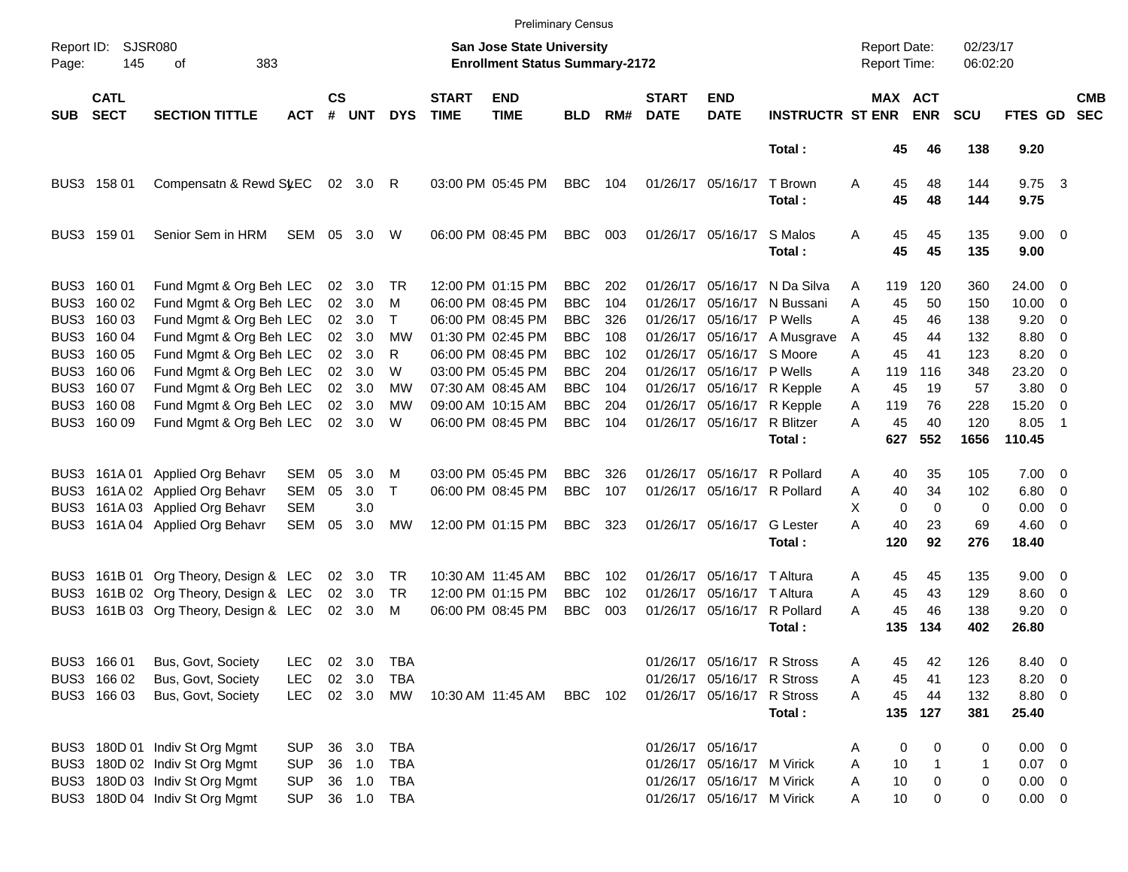|                     |                            |                                       |            |                    |            |            |                             |                                                                           | <b>Preliminary Census</b> |     |                             |                             |                             |   |                                     |          |                      |                        |                          |                          |
|---------------------|----------------------------|---------------------------------------|------------|--------------------|------------|------------|-----------------------------|---------------------------------------------------------------------------|---------------------------|-----|-----------------------------|-----------------------------|-----------------------------|---|-------------------------------------|----------|----------------------|------------------------|--------------------------|--------------------------|
| Report ID:<br>Page: | 145                        | <b>SJSR080</b><br>383<br>οf           |            |                    |            |            |                             | <b>San Jose State University</b><br><b>Enrollment Status Summary-2172</b> |                           |     |                             |                             |                             |   | <b>Report Date:</b><br>Report Time: |          | 02/23/17<br>06:02:20 |                        |                          |                          |
| <b>SUB</b>          | <b>CATL</b><br><b>SECT</b> | <b>SECTION TITTLE</b>                 | <b>ACT</b> | $\mathsf{cs}$<br># | <b>UNT</b> | <b>DYS</b> | <b>START</b><br><b>TIME</b> | <b>END</b><br><b>TIME</b>                                                 | <b>BLD</b>                | RM# | <b>START</b><br><b>DATE</b> | <b>END</b><br><b>DATE</b>   | <b>INSTRUCTR ST ENR ENR</b> |   | MAX ACT                             |          | <b>SCU</b>           | FTES GD                |                          | <b>CMB</b><br><b>SEC</b> |
|                     |                            |                                       |            |                    |            |            |                             |                                                                           |                           |     |                             |                             | Total:                      |   | 45                                  | 46       | 138                  | 9.20                   |                          |                          |
|                     | BUS3 158 01                | Compensatn & Rewd St.EC               |            |                    | 02 3.0 R   |            |                             | 03:00 PM 05:45 PM                                                         | <b>BBC</b>                | 104 |                             | 01/26/17 05/16/17           | T Brown<br>Total:           | Α | 45<br>45                            | 48<br>48 | 144<br>144           | $9.75 \quad 3$<br>9.75 |                          |                          |
|                     | BUS3 159 01                | Senior Sem in HRM                     | SEM        |                    | 05 3.0     | W          |                             | 06:00 PM 08:45 PM                                                         | <b>BBC</b>                | 003 |                             | 01/26/17 05/16/17           | S Malos<br>Total:           | Α | 45<br>45                            | 45<br>45 | 135<br>135           | $9.00 \t 0$<br>9.00    |                          |                          |
|                     | BUS3 160 01                | Fund Mgmt & Org Beh LEC               |            |                    | 02 3.0     | TR         |                             | 12:00 PM 01:15 PM                                                         | <b>BBC</b>                | 202 | 01/26/17                    |                             | 05/16/17 N Da Silva         | A | 119                                 | 120      | 360                  | 24.00 0                |                          |                          |
|                     | BUS3 160 02                | Fund Mgmt & Org Beh LEC               |            | 02                 | 3.0        | м          |                             | 06:00 PM 08:45 PM                                                         | <b>BBC</b>                | 104 | 01/26/17                    |                             | 05/16/17 N Bussani          | A | 45                                  | 50       | 150                  | $10.00 \t 0$           |                          |                          |
|                     | BUS3 160 03                | Fund Mgmt & Org Beh LEC               |            |                    | 02 3.0     | Τ          |                             | 06:00 PM 08:45 PM                                                         | <b>BBC</b>                | 326 | 01/26/17                    | 05/16/17 P Wells            |                             | A | 45                                  | 46       | 138                  | 9.20                   | - 0                      |                          |
|                     | BUS3 160 04                | Fund Mgmt & Org Beh LEC               |            |                    | 02 3.0     | <b>MW</b>  |                             | 01:30 PM 02:45 PM                                                         | <b>BBC</b>                | 108 | 01/26/17                    |                             | 05/16/17 A Musgrave         | A | 45                                  | 44       | 132                  | 8.80 0                 |                          |                          |
|                     | BUS3 160 05                | Fund Mgmt & Org Beh LEC               |            | 02                 | 3.0        | R          |                             | 06:00 PM 08:45 PM                                                         | <b>BBC</b>                | 102 | 01/26/17                    |                             | 05/16/17 S Moore            | A | 45                                  | 41       | 123                  | 8.20                   | - 0                      |                          |
|                     | BUS3 160 06                | Fund Mgmt & Org Beh LEC               |            |                    | 02 3.0     | W          |                             | 03:00 PM 05:45 PM                                                         | <b>BBC</b>                | 204 | 01/26/17                    | 05/16/17 P Wells            |                             | A | 119                                 | 116      | 348                  | 23.20                  | $\overline{0}$           |                          |
|                     | BUS3 160 07                | Fund Mgmt & Org Beh LEC               |            |                    | 02 3.0     | МW         |                             | 07:30 AM 08:45 AM                                                         | <b>BBC</b>                | 104 | 01/26/17                    |                             | 05/16/17 R Kepple           | A | 45                                  | 19       | 57                   | $3.80\ 0$              |                          |                          |
|                     | BUS3 160 08                | Fund Mgmt & Org Beh LEC               |            | 02                 | 3.0        | МW         |                             | 09:00 AM 10:15 AM                                                         | <b>BBC</b>                | 204 | 01/26/17                    | 05/16/17                    | R Kepple                    | A | 119                                 | 76       | 228                  | 15.20                  | $\overline{0}$           |                          |
|                     | BUS3 160 09                | Fund Mgmt & Org Beh LEC               |            |                    | 02 3.0     | W          |                             | 06:00 PM 08:45 PM                                                         | <b>BBC</b>                | 104 |                             | 01/26/17 05/16/17 R Blitzer |                             | A | 45                                  | 40       | 120                  | 8.05                   | $\overline{1}$           |                          |
|                     |                            |                                       |            |                    |            |            |                             |                                                                           |                           |     |                             |                             | Total:                      |   | 627                                 | 552      | 1656                 | 110.45                 |                          |                          |
|                     | BUS3 161A01                | Applied Org Behavr                    | SEM        | 05                 | 3.0        | м          |                             | 03:00 PM 05:45 PM                                                         | <b>BBC</b>                | 326 | 01/26/17                    |                             | 05/16/17 R Pollard          | A | 40                                  | 35       | 105                  | $7.00 \t 0$            |                          |                          |
| BUS3                |                            | 161A 02 Applied Org Behavr            | <b>SEM</b> | 05                 | 3.0        | Τ          |                             | 06:00 PM 08:45 PM                                                         | <b>BBC</b>                | 107 |                             | 01/26/17 05/16/17 R Pollard |                             | Α | 40                                  | 34       | 102                  | $6.80$ 0               |                          |                          |
| BUS3                |                            | 161A 03 Applied Org Behavr            | <b>SEM</b> |                    | 3.0        |            |                             |                                                                           |                           |     |                             |                             |                             | X | $\mathbf 0$                         | $\Omega$ | 0                    | 0.00                   | $\overline{\phantom{0}}$ |                          |
| BUS3                |                            | 161A 04 Applied Org Behavr            | <b>SEM</b> | 05                 | 3.0        | MW         |                             | 12:00 PM 01:15 PM                                                         | <b>BBC</b>                | 323 |                             | 01/26/17 05/16/17           | <b>G</b> Lester             | А | 40                                  | 23       | 69                   | $4.60 \ 0$             |                          |                          |
|                     |                            |                                       |            |                    |            |            |                             |                                                                           |                           |     |                             |                             | Total:                      |   | 120                                 | 92       | 276                  | 18.40                  |                          |                          |
|                     |                            | BUS3 161B 01 Org Theory, Design & LEC |            |                    | 02 3.0     | TR         |                             | 10:30 AM 11:45 AM                                                         | <b>BBC</b>                | 102 | 01/26/17                    | 05/16/17 T Altura           |                             | A | 45                                  | 45       | 135                  | $9.00 \t 0$            |                          |                          |
|                     |                            | BUS3 161B 02 Org Theory, Design & LEC |            |                    | 02 3.0     | TR         |                             | 12:00 PM 01:15 PM                                                         | <b>BBC</b>                | 102 | 01/26/17                    | 05/16/17 T Altura           |                             | A | 45                                  | 43       | 129                  | 8.60 0                 |                          |                          |
|                     |                            | BUS3 161B 03 Org Theory, Design & LEC |            |                    | 02 3.0     | М          |                             | 06:00 PM 08:45 PM                                                         | <b>BBC</b>                | 003 |                             | 01/26/17 05/16/17 R Pollard |                             | A | 45                                  | 46       | 138                  | $9.20 \ 0$             |                          |                          |
|                     |                            |                                       |            |                    |            |            |                             |                                                                           |                           |     |                             |                             | Total:                      |   | 135                                 | 134      | 402                  | 26.80                  |                          |                          |
|                     | BUS3 166 01                | Bus, Govt, Society                    | <b>LEC</b> |                    | 02 3.0     | TBA        |                             |                                                                           |                           |     |                             | 01/26/17 05/16/17 R Stross  |                             | A | 45                                  | 42       | 126                  | 8.40 0                 |                          |                          |
|                     | BUS3 166 02                | Bus, Govt, Society                    | <b>LEC</b> |                    | 02 3.0     | TBA        |                             |                                                                           |                           |     |                             | 01/26/17 05/16/17 R Stross  |                             | A | 45                                  | 41       | 123                  | $8.20 \ 0$             |                          |                          |
|                     | BUS3 166 03                | Bus, Govt, Society                    | <b>LEC</b> |                    | 02 3.0     | MW         |                             | 10:30 AM 11:45 AM                                                         | <b>BBC</b> 102            |     |                             | 01/26/17 05/16/17 R Stross  |                             | Α | 45                                  | 44       | 132                  | 8.80 0                 |                          |                          |
|                     |                            |                                       |            |                    |            |            |                             |                                                                           |                           |     |                             |                             | Total:                      |   | 135                                 | 127      | 381                  | 25.40                  |                          |                          |
|                     |                            | BUS3 180D 01 Indiv St Org Mgmt        | <b>SUP</b> |                    | 36 3.0     | TBA        |                             |                                                                           |                           |     |                             | 01/26/17 05/16/17           |                             | Α | 0                                   | 0        | 0                    | $0.00 \t 0$            |                          |                          |
|                     |                            | BUS3 180D 02 Indiv St Org Mgmt        | <b>SUP</b> |                    | 36 1.0     | TBA        |                             |                                                                           |                           |     |                             | 01/26/17 05/16/17 M Virick  |                             | Α | 10                                  |          | 1                    | $0.07$ 0               |                          |                          |
|                     |                            | BUS3 180D 03 Indiv St Org Mgmt        | <b>SUP</b> |                    | 36 1.0     | TBA        |                             |                                                                           |                           |     |                             | 01/26/17 05/16/17 M Virick  |                             | Α | 10                                  | 0        | 0                    | $0.00 \t 0$            |                          |                          |
|                     |                            | BUS3 180D 04 Indiv St Org Mgmt        | <b>SUP</b> |                    |            | 36 1.0 TBA |                             |                                                                           |                           |     |                             | 01/26/17 05/16/17 M Virick  |                             | A | 10                                  | 0        | 0                    | $0.00 \t 0$            |                          |                          |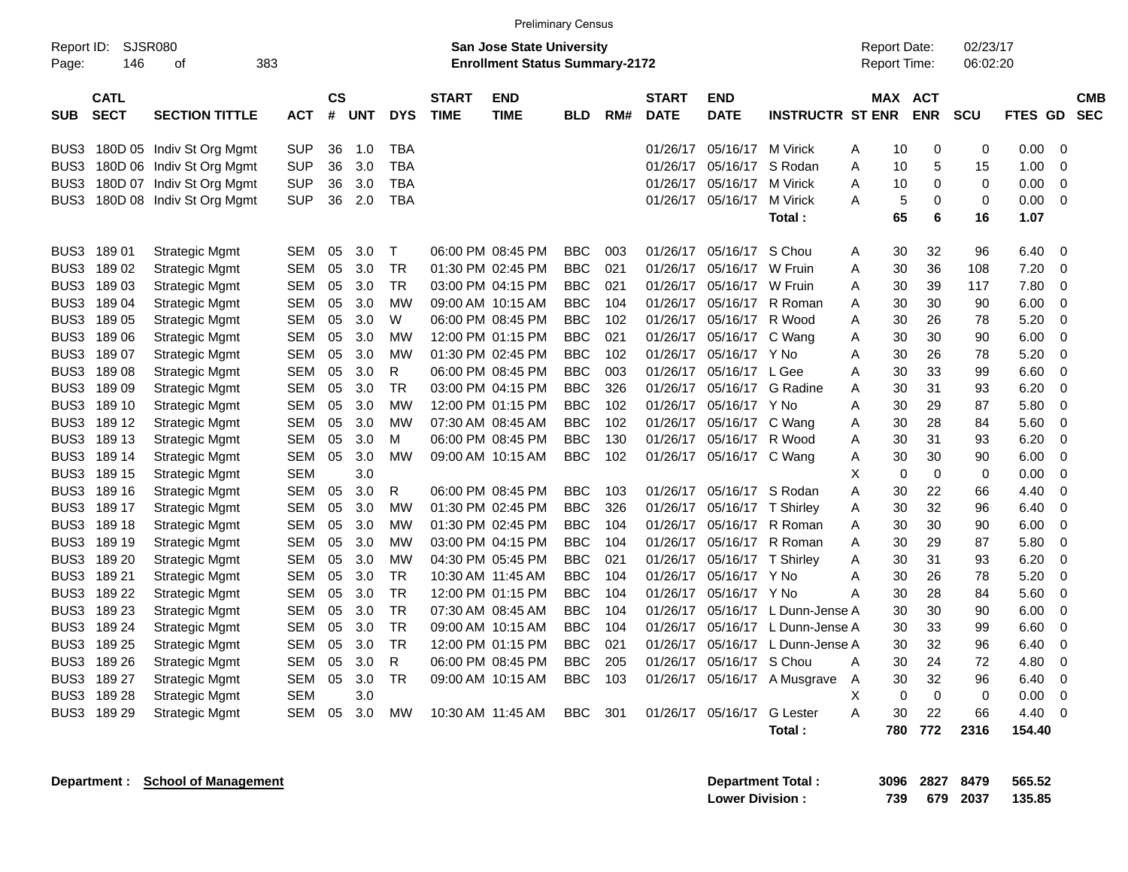|                     |                            |                                |            |                   |            |              |                             | <b>Preliminary Census</b>                                                 |            |     |                             |                             |                         |                                            |                       |                      |         |                |                          |
|---------------------|----------------------------|--------------------------------|------------|-------------------|------------|--------------|-----------------------------|---------------------------------------------------------------------------|------------|-----|-----------------------------|-----------------------------|-------------------------|--------------------------------------------|-----------------------|----------------------|---------|----------------|--------------------------|
| Report ID:<br>Page: | 146                        | SJSR080<br>383<br>0f           |            |                   |            |              |                             | <b>San Jose State University</b><br><b>Enrollment Status Summary-2172</b> |            |     |                             |                             |                         | <b>Report Date:</b><br><b>Report Time:</b> |                       | 02/23/17<br>06:02:20 |         |                |                          |
| <b>SUB</b>          | <b>CATL</b><br><b>SECT</b> | <b>SECTION TITTLE</b>          | <b>ACT</b> | <b>CS</b><br>$\#$ | <b>UNT</b> | <b>DYS</b>   | <b>START</b><br><b>TIME</b> | <b>END</b><br>TIME                                                        | <b>BLD</b> | RM# | <b>START</b><br><b>DATE</b> | <b>END</b><br><b>DATE</b>   | <b>INSTRUCTR ST ENR</b> |                                            | MAX ACT<br><b>ENR</b> | <b>SCU</b>           | FTES GD |                | <b>CMB</b><br><b>SEC</b> |
| BUS3                |                            | 180D 05 Indiv St Org Mgmt      | SUP        | 36                | 1.0        | TBA          |                             |                                                                           |            |     | 01/26/17                    | 05/16/17 M Virick           |                         | 10<br>Α                                    | 0                     | 0                    | 0.00    | - 0            |                          |
|                     |                            | BUS3 180D 06 Indiv St Org Mgmt | <b>SUP</b> | 36                | 3.0        | <b>TBA</b>   |                             |                                                                           |            |     | 01/26/17                    |                             | 05/16/17 S Rodan        | 10<br>A                                    | 5                     | 15                   | 1.00    | $\overline{0}$ |                          |
| BUS3                |                            | 180D 07 Indiv St Org Mgmt      | SUP        | 36                | 3.0        | <b>TBA</b>   |                             |                                                                           |            |     | 01/26/17                    | 05/16/17 M Virick           |                         | Α<br>10                                    | 0                     | $\mathbf 0$          | 0.00    | $\overline{0}$ |                          |
|                     |                            | BUS3 180D 08 Indiv St Org Mgmt | <b>SUP</b> | 36                | 2.0        | <b>TBA</b>   |                             |                                                                           |            |     |                             | 01/26/17 05/16/17 M Virick  |                         | 5<br>A                                     | $\mathbf 0$           | $\mathbf 0$          | 0.00    | $\overline{0}$ |                          |
|                     |                            |                                |            |                   |            |              |                             |                                                                           |            |     |                             |                             | Total :                 | 65                                         | 6                     | 16                   | 1.07    |                |                          |
|                     | BUS3 189 01                | <b>Strategic Mgmt</b>          | <b>SEM</b> | 05                | 3.0        | $\top$       |                             | 06:00 PM 08:45 PM                                                         | <b>BBC</b> | 003 | 01/26/17                    | 05/16/17 S Chou             |                         | 30<br>Α                                    | 32                    | 96                   | 6.40    | - 0            |                          |
|                     | BUS3 189 02                | <b>Strategic Mgmt</b>          | <b>SEM</b> | 05                | 3.0        | <b>TR</b>    |                             | 01:30 PM 02:45 PM                                                         | <b>BBC</b> | 021 | 01/26/17                    | 05/16/17 W Fruin            |                         | 30<br>A                                    | 36                    | 108                  | 7.20    | $\overline{0}$ |                          |
|                     | BUS3 189 03                | <b>Strategic Mgmt</b>          | SEM        | 05                | 3.0        | <b>TR</b>    |                             | 03:00 PM 04:15 PM                                                         | <b>BBC</b> | 021 | 01/26/17                    | 05/16/17 W Fruin            |                         | 30<br>Α                                    | 39                    | 117                  | 7.80    | $\mathbf 0$    |                          |
|                     | BUS3 189 04                | <b>Strategic Mgmt</b>          | <b>SEM</b> | 05                | 3.0        | <b>MW</b>    |                             | 09:00 AM 10:15 AM                                                         | <b>BBC</b> | 104 | 01/26/17                    | 05/16/17                    | R Roman                 | 30<br>A                                    | 30                    | 90                   | 6.00    | $\mathbf 0$    |                          |
|                     | BUS3 189 05                | <b>Strategic Mgmt</b>          | SEM        | 05                | 3.0        | W            |                             | 06:00 PM 08:45 PM                                                         | <b>BBC</b> | 102 |                             | 01/26/17 05/16/17 R Wood    |                         | Α<br>30                                    | 26                    | 78                   | 5.20    | -0             |                          |
|                     | BUS3 189 06                | <b>Strategic Mgmt</b>          | <b>SEM</b> | 05                | 3.0        | MW           |                             | 12:00 PM 01:15 PM                                                         | <b>BBC</b> | 021 |                             | 01/26/17 05/16/17 C Wang    |                         | A<br>30                                    | 30                    | 90                   | 6.00    | $\overline{0}$ |                          |
|                     | BUS3 189 07                | <b>Strategic Mgmt</b>          | SEM        | 05                | 3.0        | MW           |                             | 01:30 PM 02:45 PM                                                         | <b>BBC</b> | 102 |                             | 01/26/17 05/16/17 Y No      |                         | A<br>30                                    | 26                    | 78                   | 5.20    | $\mathbf 0$    |                          |
|                     | BUS3 189 08                | <b>Strategic Mgmt</b>          | <b>SEM</b> | 05                | 3.0        | $\mathsf{R}$ |                             | 06:00 PM 08:45 PM                                                         | <b>BBC</b> | 003 | 01/26/17                    | 05/16/17 L Gee              |                         | 30<br>A                                    | 33                    | 99                   | 6.60    | $\overline{0}$ |                          |
|                     | BUS3 189 09                | <b>Strategic Mgmt</b>          | <b>SEM</b> | 05                | 3.0        | <b>TR</b>    |                             | 03:00 PM 04:15 PM                                                         | <b>BBC</b> | 326 | 01/26/17                    |                             | 05/16/17 G Radine       | A<br>30                                    | 31                    | 93                   | 6.20    | 0              |                          |
|                     | BUS3 189 10                | <b>Strategic Mgmt</b>          | <b>SEM</b> | 05                | 3.0        | <b>MW</b>    |                             | 12:00 PM 01:15 PM                                                         | <b>BBC</b> | 102 | 01/26/17                    | 05/16/17 Y No               |                         | 30<br>A                                    | 29                    | 87                   | 5.80    | $\mathbf 0$    |                          |
|                     | BUS3 189 12                | <b>Strategic Mgmt</b>          | SEM        | 05                | 3.0        | <b>MW</b>    |                             | 07:30 AM 08:45 AM                                                         | <b>BBC</b> | 102 |                             | 01/26/17 05/16/17 C Wang    |                         | 30<br>Α                                    | 28                    | 84                   | 5.60    | $\mathbf 0$    |                          |
|                     | BUS3 189 13                | <b>Strategic Mgmt</b>          | <b>SEM</b> | 05                | 3.0        | М            |                             | 06:00 PM 08:45 PM                                                         | <b>BBC</b> | 130 | 01/26/17                    | 05/16/17 R Wood             |                         | 30<br>A                                    | 31                    | 93                   | 6.20    | $\overline{0}$ |                          |
|                     | BUS3 189 14                | <b>Strategic Mgmt</b>          | SEM        | 05                | 3.0        | <b>MW</b>    |                             | 09:00 AM 10:15 AM                                                         | <b>BBC</b> | 102 |                             | 01/26/17 05/16/17 C Wang    |                         | 30<br>Α                                    | 30                    | 90                   | 6.00    | $\mathbf 0$    |                          |
|                     | BUS3 189 15                | <b>Strategic Mgmt</b>          | <b>SEM</b> |                   | 3.0        |              |                             |                                                                           |            |     |                             |                             |                         | $\mathbf 0$<br>X                           | $\mathbf 0$           | $\mathbf 0$          | 0.00    | $\overline{0}$ |                          |
|                     | BUS3 189 16                | <b>Strategic Mgmt</b>          | SEM        | 05                | 3.0        | R            |                             | 06:00 PM 08:45 PM                                                         | <b>BBC</b> | 103 |                             | 01/26/17 05/16/17 S Rodan   |                         | A<br>30                                    | 22                    | 66                   | 4.40    | $\overline{0}$ |                          |
|                     | BUS3 189 17                | <b>Strategic Mgmt</b>          | <b>SEM</b> | 05                | 3.0        | МW           |                             | 01:30 PM 02:45 PM                                                         | <b>BBC</b> | 326 | 01/26/17                    | 05/16/17 T Shirley          |                         | A<br>30                                    | 32                    | 96                   | 6.40    | $\overline{0}$ |                          |
|                     | BUS3 189 18                | <b>Strategic Mgmt</b>          | <b>SEM</b> | 05                | 3.0        | <b>MW</b>    |                             | 01:30 PM 02:45 PM                                                         | <b>BBC</b> | 104 | 01/26/17                    |                             | 05/16/17 R Roman        | A<br>30                                    | 30                    | 90                   | 6.00    | $\mathbf 0$    |                          |
|                     | BUS3 189 19                | <b>Strategic Mgmt</b>          | <b>SEM</b> | 05                | 3.0        | <b>MW</b>    |                             | 03:00 PM 04:15 PM                                                         | <b>BBC</b> | 104 | 01/26/17                    |                             | 05/16/17 R Roman        | 30<br>Α                                    | 29                    | 87                   | 5.80    | $\mathbf 0$    |                          |
|                     | BUS3 189 20                | <b>Strategic Mgmt</b>          | SEM        | 05                | 3.0        | <b>MW</b>    |                             | 04:30 PM 05:45 PM                                                         | <b>BBC</b> | 021 |                             | 01/26/17 05/16/17 T Shirley |                         | 30<br>Α                                    | 31                    | 93                   | 6.20    | $\overline{0}$ |                          |
|                     | BUS3 189 21                | <b>Strategic Mgmt</b>          | <b>SEM</b> | 05                | 3.0        | <b>TR</b>    |                             | 10:30 AM 11:45 AM                                                         | <b>BBC</b> | 104 | 01/26/17                    | 05/16/17 Y No               |                         | 30<br>Α                                    | 26                    | 78                   | 5.20    | 0              |                          |
|                     | BUS3 189 22                | <b>Strategic Mgmt</b>          | SEM        | 05                | 3.0        | <b>TR</b>    |                             | 12:00 PM 01:15 PM                                                         | <b>BBC</b> | 104 | 01/26/17                    | 05/16/17 Y No               |                         | A<br>30                                    | 28                    | 84                   | 5.60    | $\overline{0}$ |                          |
|                     | BUS3 189 23                | <b>Strategic Mgmt</b>          | <b>SEM</b> | 05                | 3.0        | <b>TR</b>    |                             | 07:30 AM 08:45 AM                                                         | <b>BBC</b> | 104 | 01/26/17                    |                             | 05/16/17 L Dunn-Jense A | 30                                         | 30                    | 90                   | 6.00    | $\mathbf 0$    |                          |
|                     | BUS3 189 24                | <b>Strategic Mgmt</b>          | <b>SEM</b> | 05                | 3.0        | <b>TR</b>    |                             | 09:00 AM 10:15 AM                                                         | <b>BBC</b> | 104 | 01/26/17                    |                             | 05/16/17 L Dunn-Jense A | 30                                         | 33                    | 99                   | 6.60    | $\overline{0}$ |                          |
|                     | BUS3 189 25                | <b>Strategic Mgmt</b>          | SEM        | 05                | 3.0        | <b>TR</b>    |                             | 12:00 PM 01:15 PM                                                         | <b>BBC</b> | 021 | 01/26/17                    |                             | 05/16/17 L Dunn-Jense A | 30                                         | 32                    | 96                   | 6.40    | 0              |                          |
|                     | BUS3 189 26                | <b>Strategic Mgmt</b>          | SEM        | 05                | 3.0        | $\mathsf{R}$ |                             | 06:00 PM 08:45 PM                                                         | <b>BBC</b> | 205 | 01/26/17                    | 05/16/17 S Chou             |                         | 30<br>A                                    | 24                    | 72                   | 4.80    | 0              |                          |
|                     | BUS3 189 27                | <b>Strategic Mgmt</b>          | SEM        | 05                | 3.0        | <b>TR</b>    |                             | 09:00 AM 10:15 AM                                                         | <b>BBC</b> | 103 | 01/26/17                    |                             | 05/16/17 A Musgrave     | 30<br>A                                    | 32                    | 96                   | 6.40    | $\mathbf 0$    |                          |
|                     | BUS3 189 28                | <b>Strategic Mgmt</b>          | <b>SEM</b> |                   | 3.0        |              |                             |                                                                           |            |     |                             |                             |                         | X<br>0                                     | 0                     | $\mathbf 0$          | 0.00    | $\mathbf 0$    |                          |
|                     | BUS3 189 29                | <b>Strategic Mgmt</b>          | SEM        | 05                | 3.0        | МW           |                             | 10:30 AM 11:45 AM                                                         | <b>BBC</b> | 301 |                             | 01/26/17 05/16/17           | <b>G</b> Lester         | A<br>30                                    | 22                    | 66                   | 4.40    | 0              |                          |
|                     |                            |                                |            |                   |            |              |                             |                                                                           |            |     |                             |                             | Total:                  | 780                                        | 772                   | 2316                 | 154.40  |                |                          |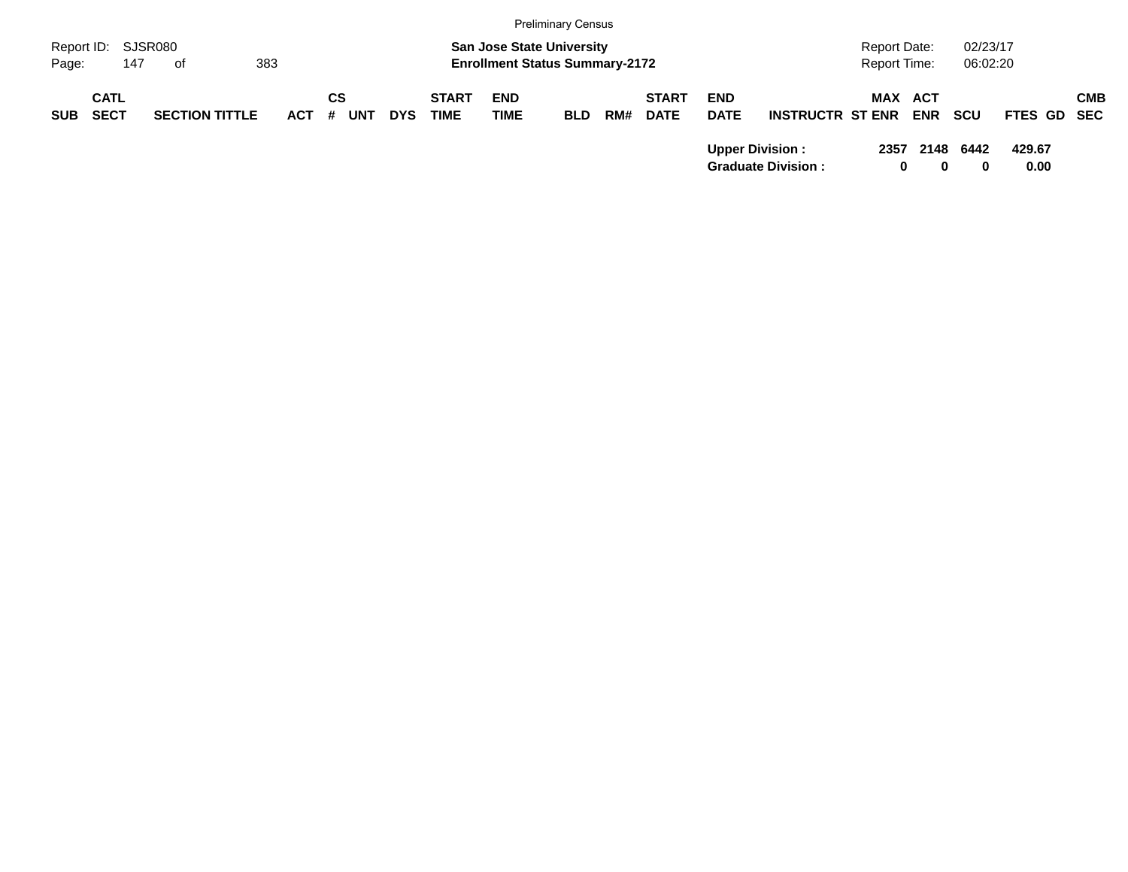|                     |                            |                       |         |                  |            |                             |                                                                           | <b>Preliminary Census</b> |     |                             |                           |                                                     |                                     |                       |                      |                |     |
|---------------------|----------------------------|-----------------------|---------|------------------|------------|-----------------------------|---------------------------------------------------------------------------|---------------------------|-----|-----------------------------|---------------------------|-----------------------------------------------------|-------------------------------------|-----------------------|----------------------|----------------|-----|
| Report ID:<br>Page: | 147                        | SJSR080<br>of         | 383     |                  |            |                             | <b>San Jose State University</b><br><b>Enrollment Status Summary-2172</b> |                           |     |                             |                           |                                                     | <b>Report Date:</b><br>Report Time: |                       | 02/23/17<br>06:02:20 |                |     |
| <b>SUB</b>          | <b>CATL</b><br><b>SECT</b> | <b>SECTION TITTLE</b> | $ACT$ # | СS<br><b>UNT</b> | <b>DYS</b> | <b>START</b><br><b>TIME</b> | <b>END</b><br>TIME                                                        | <b>BLD</b>                | RM# | <b>START</b><br><b>DATE</b> | <b>END</b><br><b>DATE</b> | <b>INSTRUCTR ST ENR</b>                             |                                     | MAX ACT<br><b>ENR</b> | <b>SCU</b>           | FTES GD SEC    | СМВ |
|                     |                            |                       |         |                  |            |                             |                                                                           |                           |     |                             |                           | <b>Upper Division:</b><br><b>Graduate Division:</b> | 2357                                | 2148<br>0<br>0        | 6442<br>0            | 429.67<br>0.00 |     |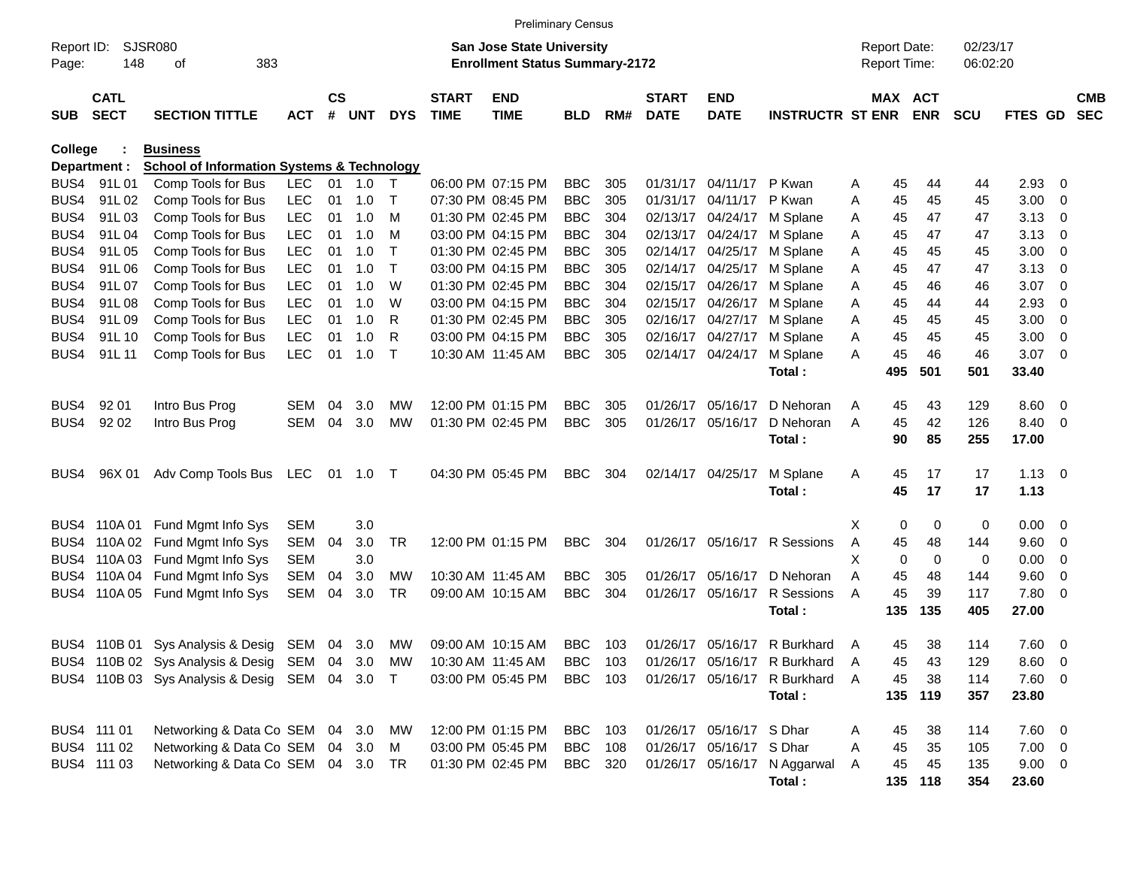|                     |                            |                                                       |            |                       |            |              |                             | <b>Preliminary Census</b>                                                 |            |     |                             |                           |                                |   |                                     |                       |                      |             |                          |                          |
|---------------------|----------------------------|-------------------------------------------------------|------------|-----------------------|------------|--------------|-----------------------------|---------------------------------------------------------------------------|------------|-----|-----------------------------|---------------------------|--------------------------------|---|-------------------------------------|-----------------------|----------------------|-------------|--------------------------|--------------------------|
| Report ID:<br>Page: | 148                        | <b>SJSR080</b><br>383<br>οf                           |            |                       |            |              |                             | <b>San Jose State University</b><br><b>Enrollment Status Summary-2172</b> |            |     |                             |                           |                                |   | <b>Report Date:</b><br>Report Time: |                       | 02/23/17<br>06:02:20 |             |                          |                          |
| <b>SUB</b>          | <b>CATL</b><br><b>SECT</b> | <b>SECTION TITTLE</b>                                 | <b>ACT</b> | $\mathsf{cs}$<br>$\#$ | <b>UNT</b> | <b>DYS</b>   | <b>START</b><br><b>TIME</b> | <b>END</b><br><b>TIME</b>                                                 | <b>BLD</b> | RM# | <b>START</b><br><b>DATE</b> | <b>END</b><br><b>DATE</b> | <b>INSTRUCTR ST ENR</b>        |   |                                     | MAX ACT<br><b>ENR</b> | <b>SCU</b>           | FTES GD     |                          | <b>CMB</b><br><b>SEC</b> |
| <b>College</b>      |                            | <b>Business</b>                                       |            |                       |            |              |                             |                                                                           |            |     |                             |                           |                                |   |                                     |                       |                      |             |                          |                          |
|                     | Department :               | <b>School of Information Systems &amp; Technology</b> |            |                       |            |              |                             |                                                                           |            |     |                             |                           |                                |   |                                     |                       |                      |             |                          |                          |
| BUS4                | 91L01                      | Comp Tools for Bus                                    | <b>LEC</b> | 01                    | 1.0        | $\top$       |                             | 06:00 PM 07:15 PM                                                         | <b>BBC</b> | 305 |                             | 01/31/17 04/11/17         | P Kwan                         | Α | 45                                  | 44                    | 44                   | $2.93$ 0    |                          |                          |
| BUS4                | 91L02                      | Comp Tools for Bus                                    | <b>LEC</b> | 01                    | 1.0        | $\top$       |                             | 07:30 PM 08:45 PM                                                         | <b>BBC</b> | 305 |                             | 01/31/17 04/11/17         | P Kwan                         | Α | 45                                  | 45                    | 45                   | 3.00        | - 0                      |                          |
| BUS4                | 91L03                      | Comp Tools for Bus                                    | <b>LEC</b> | 01                    | 1.0        | м            |                             | 01:30 PM 02:45 PM                                                         | <b>BBC</b> | 304 |                             | 02/13/17 04/24/17         | M Splane                       | Α | 45                                  | 47                    | 47                   | 3.13        | - 0                      |                          |
| BUS4                | 91L04                      | Comp Tools for Bus                                    | <b>LEC</b> | 01                    | 1.0        | M            |                             | 03:00 PM 04:15 PM                                                         | <b>BBC</b> | 304 |                             | 02/13/17 04/24/17         | M Splane                       | Α | 45                                  | 47                    | 47                   | 3.13        | - 0                      |                          |
| BUS4                | 91L05                      | Comp Tools for Bus                                    | <b>LEC</b> | 01                    | 1.0        | $\mathsf{T}$ |                             | 01:30 PM 02:45 PM                                                         | <b>BBC</b> | 305 |                             | 02/14/17 04/25/17         | M Splane                       | Α | 45                                  | 45                    | 45                   | 3.00        | - 0                      |                          |
| BUS4                | 91L06                      | Comp Tools for Bus                                    | <b>LEC</b> | 01                    | 1.0        | $\mathsf{T}$ |                             | 03:00 PM 04:15 PM                                                         | <b>BBC</b> | 305 |                             | 02/14/17 04/25/17         | M Splane                       | Α | 45                                  | 47                    | 47                   | 3.13        | $\overline{0}$           |                          |
| BUS4                | 91L07                      | Comp Tools for Bus                                    | <b>LEC</b> | 01                    | 1.0        | W            |                             | 01:30 PM 02:45 PM                                                         | <b>BBC</b> | 304 |                             | 02/15/17 04/26/17         | M Splane                       | Α | 45                                  | 46                    | 46                   | 3.07        | - 0                      |                          |
| BUS4                | 91L08                      | Comp Tools for Bus                                    | <b>LEC</b> | 01                    | 1.0        | W            |                             | 03:00 PM 04:15 PM                                                         | <b>BBC</b> | 304 |                             | 02/15/17 04/26/17         | M Splane                       | Α | 45                                  | 44                    | 44                   | 2.93        | - 0                      |                          |
| BUS4                | 91L09                      | Comp Tools for Bus                                    | <b>LEC</b> | 01                    | 1.0        | R            |                             | 01:30 PM 02:45 PM                                                         | <b>BBC</b> | 305 |                             | 02/16/17 04/27/17         | M Splane                       | Α | 45                                  | 45                    | 45                   | 3.00        | $\overline{0}$           |                          |
| BUS4                | 91L 10                     | Comp Tools for Bus                                    | <b>LEC</b> | 01                    | 1.0        | $\mathsf{R}$ |                             | 03:00 PM 04:15 PM                                                         | <b>BBC</b> | 305 |                             | 02/16/17 04/27/17         | M Splane                       | Α | 45                                  | 45                    | 45                   | 3.00        | 0                        |                          |
| BUS4                | 91L 11                     | Comp Tools for Bus                                    | <b>LEC</b> | 01                    | 1.0        | $\top$       |                             | 10:30 AM 11:45 AM                                                         | <b>BBC</b> | 305 |                             | 02/14/17 04/24/17         | M Splane                       | Α | 45                                  | 46                    | 46                   | 3.07        | $\overline{\phantom{0}}$ |                          |
|                     |                            |                                                       |            |                       |            |              |                             |                                                                           |            |     |                             |                           | Total:                         |   | 495                                 | 501                   | 501                  | 33.40       |                          |                          |
| BUS4                | 92 01                      | Intro Bus Prog                                        | <b>SEM</b> | 04                    | 3.0        | MW           |                             | 12:00 PM 01:15 PM                                                         | <b>BBC</b> | 305 | 01/26/17                    | 05/16/17                  | D Nehoran                      | A | 45                                  | 43                    | 129                  | 8.60        | $\overline{\mathbf{0}}$  |                          |
| BUS4                | 92 02                      | Intro Bus Prog                                        | <b>SEM</b> | 04                    | 3.0        | <b>MW</b>    |                             | 01:30 PM 02:45 PM                                                         | <b>BBC</b> | 305 |                             | 01/26/17 05/16/17         | D Nehoran                      | Α | 45                                  | 42                    | 126                  | 8.40        | $\overline{\phantom{0}}$ |                          |
|                     |                            |                                                       |            |                       |            |              |                             |                                                                           |            |     |                             |                           | Total:                         |   | 90                                  | 85                    | 255                  | 17.00       |                          |                          |
|                     |                            |                                                       |            |                       |            |              |                             |                                                                           |            |     |                             |                           |                                |   |                                     |                       |                      |             |                          |                          |
| BUS4                | 96X 01                     | Adv Comp Tools Bus                                    | LEC        | -01                   | 1.0 T      |              |                             | 04:30 PM 05:45 PM                                                         | <b>BBC</b> | 304 |                             | 02/14/17 04/25/17         | M Splane                       | Α | 45                                  | 17                    | 17                   | $1.13 \ 0$  |                          |                          |
|                     |                            |                                                       |            |                       |            |              |                             |                                                                           |            |     |                             |                           | Total:                         |   | 45                                  | 17                    | 17                   | 1.13        |                          |                          |
|                     |                            |                                                       |            |                       |            |              |                             |                                                                           |            |     |                             |                           |                                |   |                                     |                       |                      |             |                          |                          |
|                     |                            | BUS4 110A 01 Fund Mgmt Info Sys                       | <b>SEM</b> |                       | 3.0        |              |                             |                                                                           |            |     |                             |                           |                                | Χ | 0                                   | 0                     | 0                    | 0.00        | $\overline{\phantom{0}}$ |                          |
| BUS4                | 110A 02                    | Fund Mgmt Info Sys                                    | SEM        | 04                    | 3.0        | <b>TR</b>    |                             | 12:00 PM 01:15 PM                                                         | <b>BBC</b> | 304 |                             | 01/26/17 05/16/17         | R Sessions                     | A | 45                                  | 48                    | 144                  | 9.60        | - 0                      |                          |
| BUS4                | 110A 03                    | Fund Mgmt Info Sys                                    | <b>SEM</b> |                       | 3.0        |              |                             |                                                                           |            |     |                             |                           |                                | X | 0                                   | 0                     | 0                    | 0.00        | $\mathbf 0$              |                          |
| BUS4                |                            | 110A 04 Fund Mgmt Info Sys                            | <b>SEM</b> | 04                    | 3.0        | MW           |                             | 10:30 AM 11:45 AM                                                         | <b>BBC</b> | 305 | 01/26/17                    | 05/16/17                  | D Nehoran                      | Α | 45                                  | 48                    | 144                  | 9.60        | 0                        |                          |
| BUS4                | 110A 05                    | Fund Mgmt Info Sys                                    | <b>SEM</b> | 04                    | 3.0        | <b>TR</b>    |                             | 09:00 AM 10:15 AM                                                         | <b>BBC</b> | 304 |                             | 01/26/17 05/16/17         | R Sessions                     | A | 45                                  | 39                    | 117                  | 7.80        | $\overline{\phantom{0}}$ |                          |
|                     |                            |                                                       |            |                       |            |              |                             |                                                                           |            |     |                             |                           | Total:                         |   | 135                                 | 135                   | 405                  | 27.00       |                          |                          |
|                     |                            |                                                       |            |                       |            |              |                             |                                                                           |            |     |                             |                           |                                |   |                                     |                       |                      |             |                          |                          |
|                     |                            | BUS4 110B 01 Sys Analysis & Desig SEM 04 3.0          |            |                       |            | MW           |                             | 09:00 AM 10:15 AM                                                         | <b>BBC</b> | 103 |                             | 01/26/17 05/16/17         | R Burkhard                     | A | 45                                  | 38                    | 114                  | 7.60 0      |                          |                          |
|                     |                            | BUS4 110B 02 Sys Analysis & Desig SEM 04 3.0 MW       |            |                       |            |              |                             | 10:30 AM 11:45 AM                                                         | BBC        | 103 |                             |                           | 01/26/17 05/16/17 R Burkhard   | A | 45                                  | 43                    | 129                  | $8.60$ 0    |                          |                          |
|                     |                            | BUS4 110B 03 Sys Analysis & Desig SEM 04 3.0 T        |            |                       |            |              |                             | 03:00 PM 05:45 PM                                                         | BBC        | 103 |                             |                           | 01/26/17 05/16/17 R Burkhard A |   | 45                                  | 38                    | 114                  | 7.60 0      |                          |                          |
|                     |                            |                                                       |            |                       |            |              |                             |                                                                           |            |     |                             |                           | Total:                         |   | 135                                 | 119                   | 357                  | 23.80       |                          |                          |
|                     |                            |                                                       |            |                       |            |              |                             |                                                                           |            |     |                             |                           |                                |   |                                     |                       |                      |             |                          |                          |
|                     | BUS4 111 01                | Networking & Data Co SEM 04 3.0                       |            |                       |            | МW           |                             | 12:00 PM 01:15 PM                                                         | <b>BBC</b> | 103 |                             | 01/26/17 05/16/17 S Dhar  |                                | A | 45                                  | 38                    | 114                  | 7.60 0      |                          |                          |
|                     | BUS4 111 02                | Networking & Data Co SEM 04 3.0                       |            |                       |            | M            |                             | 03:00 PM 05:45 PM                                                         | <b>BBC</b> | 108 |                             | 01/26/17 05/16/17 S Dhar  |                                | Α | 45                                  | 35                    | 105                  | $7.00 \t 0$ |                          |                          |
|                     | BUS4 111 03                | Networking & Data Co SEM 04 3.0 TR                    |            |                       |            |              |                             | 01:30 PM 02:45 PM                                                         | BBC 320    |     |                             |                           | 01/26/17 05/16/17 N Aggarwal   | A | 45                                  | 45                    | 135                  | $9.00 \t 0$ |                          |                          |
|                     |                            |                                                       |            |                       |            |              |                             |                                                                           |            |     |                             |                           | Total:                         |   |                                     | 135 118               | 354                  | 23.60       |                          |                          |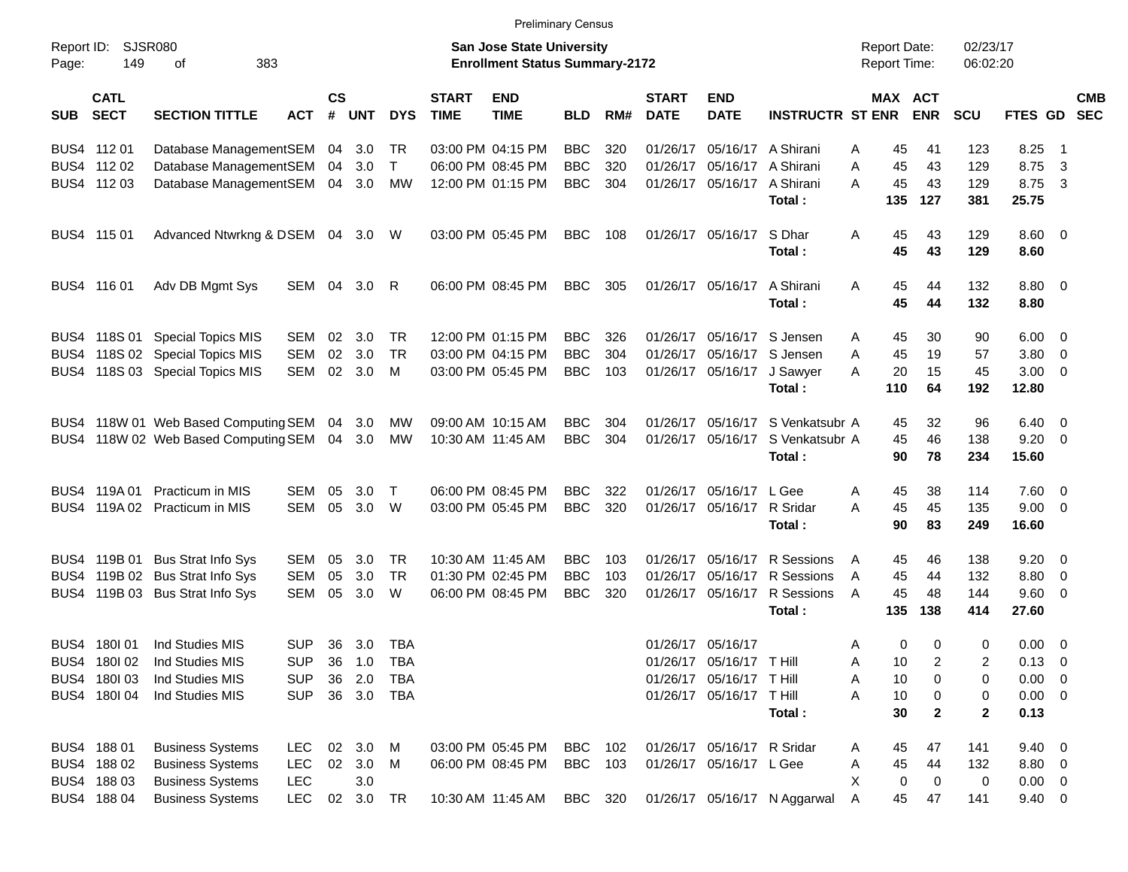| Page:      | Report ID:<br><b>SJSR080</b><br>149<br>383<br>оf |                                      |            |                    |            |            |                             | <b>San Jose State University</b><br><b>Enrollment Status Summary-2172</b> |            |     |                             |                             |                              | <b>Report Date:</b><br><b>Report Time:</b> |                       | 02/23/17<br>06:02:20             |                        |                         |            |
|------------|--------------------------------------------------|--------------------------------------|------------|--------------------|------------|------------|-----------------------------|---------------------------------------------------------------------------|------------|-----|-----------------------------|-----------------------------|------------------------------|--------------------------------------------|-----------------------|----------------------------------|------------------------|-------------------------|------------|
| <b>SUB</b> | <b>CATL</b><br><b>SECT</b>                       | <b>SECTION TITTLE</b>                | <b>ACT</b> | $\mathsf{cs}$<br># | <b>UNT</b> | <b>DYS</b> | <b>START</b><br><b>TIME</b> | <b>END</b><br><b>TIME</b>                                                 | <b>BLD</b> | RM# | <b>START</b><br><b>DATE</b> | <b>END</b><br><b>DATE</b>   | <b>INSTRUCTR ST ENR</b>      |                                            | MAX ACT<br><b>ENR</b> | <b>SCU</b>                       | FTES GD SEC            |                         | <b>CMB</b> |
|            | BUS4 112 01                                      | Database ManagementSEM               |            |                    | 04 3.0     | TR         |                             | 03:00 PM 04:15 PM                                                         | <b>BBC</b> | 320 |                             | 01/26/17 05/16/17 A Shirani |                              | Α                                          | 45<br>41              | 123                              | 8.25                   | - 1                     |            |
|            | BUS4 112 02                                      | Database ManagementSEM               |            | 04                 | 3.0        | $\top$     |                             | 06:00 PM 08:45 PM                                                         | <b>BBC</b> | 320 | 01/26/17                    | 05/16/17                    | A Shirani                    | A                                          | 45<br>43              | 129                              | 8.75                   | $\overline{\mathbf{3}}$ |            |
|            | BUS4 112 03                                      | Database ManagementSEM               |            |                    | 04 3.0     | MW         |                             | 12:00 PM 01:15 PM                                                         | <b>BBC</b> | 304 |                             | 01/26/17 05/16/17           | A Shirani<br>Total:          | A<br>135                                   | 45<br>43<br>127       | 129<br>381                       | 8.75<br>25.75          | $\overline{\mathbf{3}}$ |            |
|            | BUS4 115 01                                      | Advanced Ntwrkng & DSEM 04 3.0 W     |            |                    |            |            |                             | 03:00 PM 05:45 PM                                                         | BBC        | 108 |                             | 01/26/17 05/16/17           | S Dhar<br>Total:             | Α                                          | 45<br>43<br>45<br>43  | 129<br>129                       | $8.60 \quad 0$<br>8.60 |                         |            |
|            | BUS4 116 01                                      | Adv DB Mgmt Sys                      | SEM 04     |                    | 3.0        | -R         |                             | 06:00 PM 08:45 PM                                                         | BBC        | 305 |                             | 01/26/17 05/16/17           | A Shirani<br>Total:          | A                                          | 45<br>44<br>45<br>44  | 132<br>132                       | 8.80 0<br>8.80         |                         |            |
|            |                                                  | BUS4 118S 01 Special Topics MIS      | <b>SEM</b> | 02                 | 3.0        | TR         |                             | 12:00 PM 01:15 PM                                                         | <b>BBC</b> | 326 |                             | 01/26/17 05/16/17 S Jensen  |                              | A                                          | 30<br>45              | 90                               | $6.00 \t 0$            |                         |            |
|            |                                                  | BUS4 118S 02 Special Topics MIS      | <b>SEM</b> | 02                 | 3.0        | <b>TR</b>  |                             | 03:00 PM 04:15 PM                                                         | <b>BBC</b> | 304 |                             | 01/26/17 05/16/17 S Jensen  |                              | A                                          | 45<br>19              | 57                               | 3.80 0                 |                         |            |
|            |                                                  | BUS4 118S 03 Special Topics MIS      | <b>SEM</b> | 02                 | 3.0        | M          |                             | 03:00 PM 05:45 PM                                                         | <b>BBC</b> | 103 |                             | 01/26/17 05/16/17           | J Sawyer                     | А                                          | 20<br>15              | 45                               | $3.00 \ 0$             |                         |            |
|            |                                                  |                                      |            |                    |            |            |                             |                                                                           |            |     |                             |                             | Total:                       | 110                                        | 64                    | 192                              | 12.80                  |                         |            |
|            |                                                  | BUS4 118W 01 Web Based Computing SEM |            |                    | 04 3.0     | <b>MW</b>  |                             | 09:00 AM 10:15 AM                                                         | <b>BBC</b> | 304 |                             | 01/26/17 05/16/17           | S Venkatsubr A               |                                            | 45<br>32              | 96                               | $6.40\ 0$              |                         |            |
|            |                                                  | BUS4 118W 02 Web Based Computing SEM |            |                    | 04 3.0     | MW         |                             | 10:30 AM 11:45 AM                                                         | <b>BBC</b> | 304 |                             | 01/26/17 05/16/17           | S Venkatsubr A<br>Total:     |                                            | 45<br>46<br>90<br>78  | 138<br>234                       | $9.20 \ 0$<br>15.60    |                         |            |
|            | BUS4 119A 01                                     | <b>Practicum in MIS</b>              | <b>SEM</b> | 05                 | 3.0        | $\top$     |                             | 06:00 PM 08:45 PM                                                         | <b>BBC</b> | 322 |                             | 01/26/17 05/16/17 L Gee     |                              |                                            | 38<br>45              | 114                              | 7.60 0                 |                         |            |
|            |                                                  | BUS4 119A 02 Practicum in MIS        | <b>SEM</b> | 05                 | 3.0        | W          |                             | 03:00 PM 05:45 PM                                                         | <b>BBC</b> | 320 |                             | 01/26/17 05/16/17 R Sridar  |                              | Α<br>A                                     | 45<br>45              | 135                              | $9.00 \t 0$            |                         |            |
|            |                                                  |                                      |            |                    |            |            |                             |                                                                           |            |     |                             |                             | Total:                       |                                            | 90<br>83              | 249                              | 16.60                  |                         |            |
|            |                                                  | BUS4 119B 01 Bus Strat Info Sys      | <b>SEM</b> | 05                 | 3.0        | TR         |                             | 10:30 AM 11:45 AM                                                         | <b>BBC</b> | 103 |                             | 01/26/17 05/16/17           | R Sessions                   | A                                          | 46<br>45              | 138                              | $9.20 \ 0$             |                         |            |
|            |                                                  | BUS4 119B 02 Bus Strat Info Sys      | <b>SEM</b> | 05                 | 3.0        | TR.        |                             | 01:30 PM 02:45 PM                                                         | <b>BBC</b> | 103 | 01/26/17                    | 05/16/17                    | R Sessions                   | A                                          | 45<br>44              | 132                              | 8.80 0                 |                         |            |
|            |                                                  | BUS4 119B 03 Bus Strat Info Sys      | <b>SEM</b> | 05                 | 3.0        | W          |                             | 06:00 PM 08:45 PM                                                         | <b>BBC</b> | 320 |                             | 01/26/17 05/16/17           | R Sessions                   | A                                          | 45<br>48              | 144                              | 9.60 0                 |                         |            |
|            |                                                  |                                      |            |                    |            |            |                             |                                                                           |            |     |                             |                             | Total:                       | 135                                        | 138                   | 414                              | 27.60                  |                         |            |
|            | BUS4 180 01                                      | Ind Studies MIS                      | <b>SUP</b> | 36                 | 3.0        | TBA        |                             |                                                                           |            |     |                             | 01/26/17 05/16/17           |                              | Α                                          | 0<br>0                | 0                                | $0.00 \t 0$            |                         |            |
|            | BUS4 180102                                      | Ind Studies MIS                      | <b>SUP</b> | 36                 | 1.0        | TBA        |                             |                                                                           |            |     |                             | 01/26/17 05/16/17 THill     |                              | Α                                          | 10                    | 2<br>2                           | $0.13 \quad 0$         |                         |            |
|            | BUS4 180103                                      | Ind Studies MIS                      | <b>SUP</b> |                    | 36 2.0     | <b>TBA</b> |                             |                                                                           |            |     |                             | 01/26/17 05/16/17 T Hill    |                              | Α                                          | 10                    | 0<br>0                           | $0.00 \t 0$            |                         |            |
|            | BUS4 180I 04                                     | Ind Studies MIS                      | <b>SUP</b> |                    | 36 3.0 TBA |            |                             |                                                                           |            |     |                             | 01/26/17 05/16/17 T Hill    | Total:                       | Α                                          | 10<br>0<br>30         | 0<br>$\mathbf{2}$<br>$\mathbf 2$ | $0.00 \t 0$<br>0.13    |                         |            |
|            | BUS4 188 01                                      | <b>Business Systems</b>              | LEC.       |                    | 02 3.0     | M          |                             | 03:00 PM 05:45 PM                                                         | BBC        | 102 |                             | 01/26/17 05/16/17 R Sridar  |                              | Α                                          | 45<br>47              | 141                              | $9.40 \quad 0$         |                         |            |
|            | BUS4 188 02                                      | <b>Business Systems</b>              | <b>LEC</b> |                    | 02 3.0 M   |            |                             | 06:00 PM 08:45 PM                                                         | <b>BBC</b> | 103 |                             | 01/26/17 05/16/17 L Gee     |                              | Α                                          | 45<br>44              | 132                              | 8.80 0                 |                         |            |
|            | BUS4 188 03                                      | <b>Business Systems</b>              | <b>LEC</b> |                    | 3.0        |            |                             |                                                                           |            |     |                             |                             |                              | X                                          | 0<br>0                | 0                                | $0.00 \t 0$            |                         |            |
|            | BUS4 188 04                                      | <b>Business Systems</b>              | <b>LEC</b> |                    | 02 3.0 TR  |            |                             | 10:30 AM 11:45 AM                                                         | BBC 320    |     |                             |                             | 01/26/17 05/16/17 N Aggarwal | A                                          | 45<br>47              | 141                              | $9.40 \ 0$             |                         |            |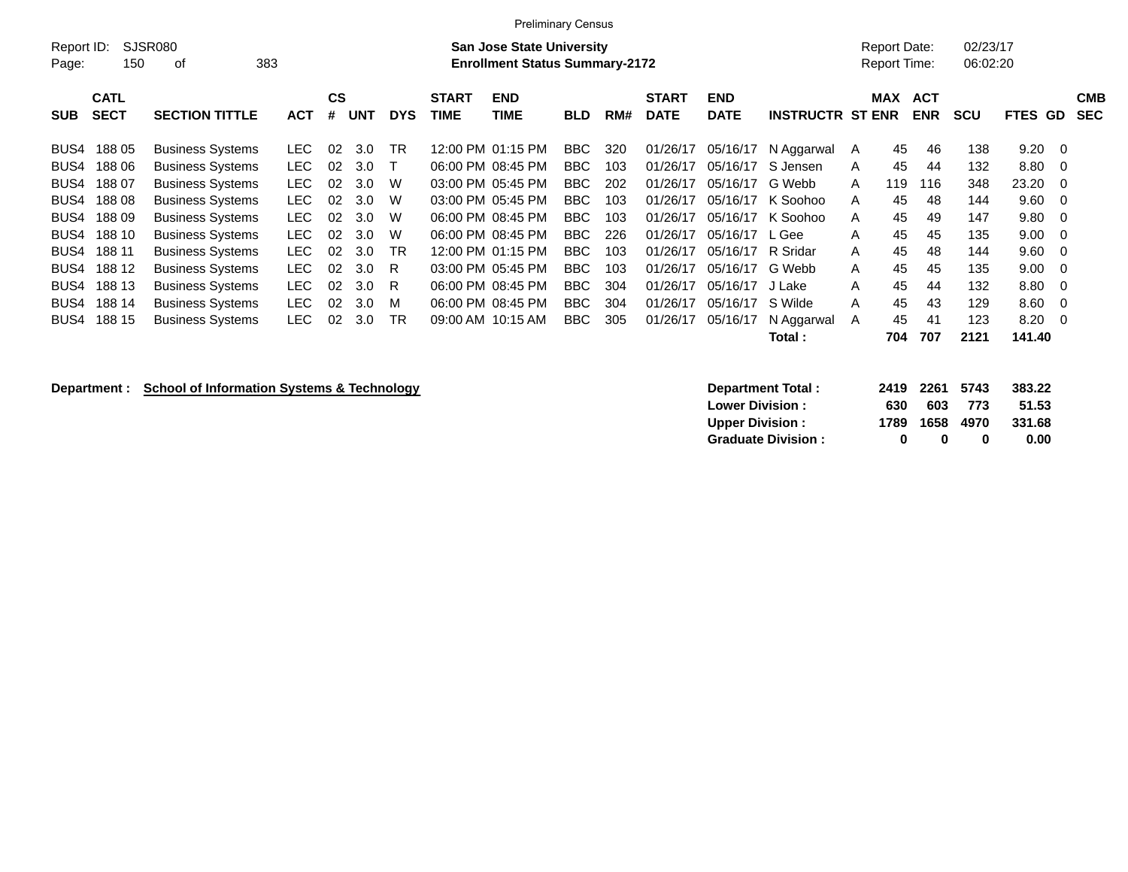| <b>Preliminary Census</b> |             |                         |            |           |            |            |              |                                       |            |     |              |             |                         |   |                     |            |            |                |            |
|---------------------------|-------------|-------------------------|------------|-----------|------------|------------|--------------|---------------------------------------|------------|-----|--------------|-------------|-------------------------|---|---------------------|------------|------------|----------------|------------|
| Report ID:                |             | SJSR080                 |            |           |            |            |              | <b>San Jose State University</b>      |            |     |              |             |                         |   | <b>Report Date:</b> |            | 02/23/17   |                |            |
| Page:                     | 150         | 383<br>οf               |            |           |            |            |              | <b>Enrollment Status Summary-2172</b> |            |     |              |             |                         |   | Report Time:        |            | 06:02:20   |                |            |
|                           | <b>CATL</b> |                         |            | <b>CS</b> |            |            | <b>START</b> | <b>END</b>                            |            |     | <b>START</b> | <b>END</b>  |                         |   | <b>MAX</b>          | <b>ACT</b> |            |                | <b>CMB</b> |
| <b>SUB</b>                | <b>SECT</b> | <b>SECTION TITTLE</b>   | <b>ACT</b> | #         | <b>UNT</b> | <b>DYS</b> | <b>TIME</b>  | TIME                                  | <b>BLD</b> | RM# | <b>DATE</b>  | <b>DATE</b> | <b>INSTRUCTR ST ENR</b> |   |                     | <b>ENR</b> | <b>SCU</b> | <b>FTES GD</b> | <b>SEC</b> |
| BUS4                      | 18805       | <b>Business Systems</b> | LEC.       | 02        | 3.0        | TR         |              | 12:00 PM 01:15 PM                     | <b>BBC</b> | 320 | 01/26/17     | 05/16/17    | N Aggarwal              | A | 45                  | 46         | 138        | $9.20 \quad 0$ |            |
| BUS4                      | 18806       | <b>Business Systems</b> | LEC.       | 02        | 3.0        |            |              | 06:00 PM 08:45 PM                     | <b>BBC</b> | 103 | 01/26/17     | 05/16/17    | S Jensen                | A | 45                  | 44         | 132        | $8.80\quad 0$  |            |
| BUS4                      | 188 07      | <b>Business Systems</b> | <b>LEC</b> | 02        | 3.0        | W          |              | 03:00 PM 05:45 PM                     | <b>BBC</b> | 202 | 01/26/17     | 05/16/17    | G Webb                  | A | 119                 | 116        | 348        | 23.20 0        |            |
| BUS4                      | 18808       | <b>Business Systems</b> | <b>LEC</b> | 02        | 3.0        | W          |              | 03:00 PM 05:45 PM                     | <b>BBC</b> | 103 | 01/26/17     | 05/16/17    | K Soohoo                | A | 45                  | 48         | 144        | $9.60 \quad 0$ |            |
| BUS4                      | 18809       | <b>Business Systems</b> | <b>LEC</b> | 02        | 3.0        | W          |              | 06:00 PM 08:45 PM                     | <b>BBC</b> | 103 | 01/26/17     | 05/16/17    | K Soohoo                | A | 45                  | 49         | 147        | $9.80 \quad 0$ |            |
| BUS4                      | 188 10      | <b>Business Systems</b> | <b>LEC</b> | 02        | 3.0        | W          |              | 06:00 PM 08:45 PM                     | <b>BBC</b> | 226 | 01/26/17     | 05/16/17    | L Gee                   | A | 45                  | 45         | 135        | $9.00 \quad 0$ |            |
| BUS4                      | 188 11      | <b>Business Systems</b> | <b>LEC</b> | 02        | 3.0        | <b>TR</b>  |              | 12:00 PM 01:15 PM                     | <b>BBC</b> | 103 | 01/26/17     | 05/16/17    | R Sridar                | A | 45                  | 48         | 144        | $9.60 \quad 0$ |            |
| BUS4                      | 188 12      | <b>Business Systems</b> | LEC.       | 02        | 3.0        | R          |              | 03:00 PM 05:45 PM                     | <b>BBC</b> | 103 | 01/26/17     | 05/16/17    | G Webb                  | A | 45                  | 45         | 135        | $9.00 \quad 0$ |            |
| BUS4                      | 188 13      | <b>Business Systems</b> | LEC.       | 02        | 3.0        | R          |              | 06:00 PM 08:45 PM                     | BBC.       | 304 | 01/26/17     | 05/16/17    | J Lake                  | A | 45                  | 44         | 132        | $8.80\quad 0$  |            |
| BUS4                      | 188 14      | <b>Business Systems</b> | <b>LEC</b> | 02        | 3.0        | M          |              | 06:00 PM 08:45 PM                     | <b>BBC</b> | 304 | 01/26/17     | 05/16/17    | S Wilde                 | A | 45                  | 43         | 129        | $8.60 \quad 0$ |            |
| BUS4                      | 188 15      | <b>Business Systems</b> | LEC.       | 02        | 3.0        | <b>TR</b>  |              | 09:00 AM 10:15 AM                     | BBC.       | 305 | 01/26/17     | 05/16/17    | N Aggarwal              | A | 45                  | 41         | 123        | $8.20 \ 0$     |            |
|                           |             |                         |            |           |            |            |              |                                       |            |     |              |             | Total :                 |   | 704                 | 707        | 2121       | 141.40         |            |

## **Department : School of Information Systems & Technology**

| <b>Department Total:</b>  |     | 2419 2261 5743 |     | 383.22 |
|---------------------------|-----|----------------|-----|--------|
| <b>Lower Division:</b>    | 630 | 603            | 773 | 51.53  |
| <b>Upper Division:</b>    |     | 1789 1658 4970 |     | 331.68 |
| <b>Graduate Division:</b> | 0   | $\mathbf{u}$   | o   | 0.00   |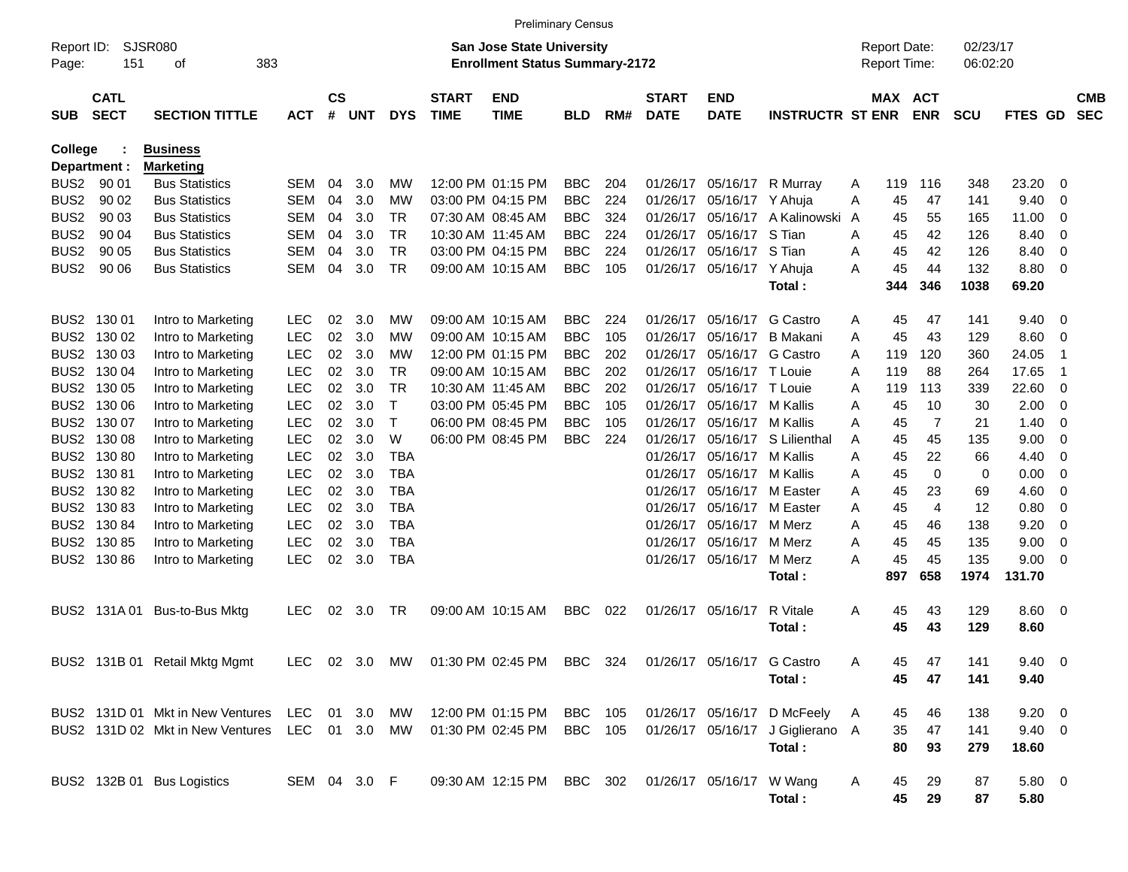|                     |                            |                                  |               |                    |     |            |                             |                                                                           | <b>Preliminary Census</b> |     |                             |                            |                                  |              |                                            |                |                      |                |                          |                          |
|---------------------|----------------------------|----------------------------------|---------------|--------------------|-----|------------|-----------------------------|---------------------------------------------------------------------------|---------------------------|-----|-----------------------------|----------------------------|----------------------------------|--------------|--------------------------------------------|----------------|----------------------|----------------|--------------------------|--------------------------|
| Report ID:<br>Page: | 151                        | SJSR080<br>383<br>οf             |               |                    |     |            |                             | <b>San Jose State University</b><br><b>Enrollment Status Summary-2172</b> |                           |     |                             |                            |                                  |              | <b>Report Date:</b><br><b>Report Time:</b> |                | 02/23/17<br>06:02:20 |                |                          |                          |
| <b>SUB</b>          | <b>CATL</b><br><b>SECT</b> | <b>SECTION TITTLE</b>            | <b>ACT</b>    | $\mathsf{cs}$<br># | UNT | <b>DYS</b> | <b>START</b><br><b>TIME</b> | <b>END</b><br><b>TIME</b>                                                 | <b>BLD</b>                | RM# | <b>START</b><br><b>DATE</b> | <b>END</b><br><b>DATE</b>  | <b>INSTRUCTR ST ENR ENR</b>      |              |                                            | MAX ACT        | <b>SCU</b>           | <b>FTES GD</b> |                          | <b>CMB</b><br><b>SEC</b> |
| <b>College</b>      |                            | <b>Business</b>                  |               |                    |     |            |                             |                                                                           |                           |     |                             |                            |                                  |              |                                            |                |                      |                |                          |                          |
|                     | Department :               | <b>Marketing</b>                 |               |                    |     |            |                             |                                                                           |                           |     |                             |                            |                                  |              |                                            |                |                      |                |                          |                          |
| BUS <sub>2</sub>    | 90 01                      | <b>Bus Statistics</b>            | SEM           | 04                 | 3.0 | МW         |                             | 12:00 PM 01:15 PM                                                         | <b>BBC</b>                | 204 | 01/26/17                    | 05/16/17                   | R Murray                         | A            | 119                                        | 116            | 348                  | 23.20          | -0                       |                          |
| BUS <sub>2</sub>    | 90 02                      | <b>Bus Statistics</b>            | <b>SEM</b>    | 04                 | 3.0 | МW         |                             | 03:00 PM 04:15 PM                                                         | <b>BBC</b>                | 224 | 01/26/17                    | 05/16/17 Y Ahuja           |                                  | A            | 45                                         | 47             | 141                  | 9.40           | -0                       |                          |
| BUS <sub>2</sub>    | 90 03                      | <b>Bus Statistics</b>            | SEM           | 04                 | 3.0 | TR         |                             | 07:30 AM 08:45 AM                                                         | <b>BBC</b>                | 324 | 01/26/17                    | 05/16/17                   | A Kalinowski                     | $\mathsf{A}$ | 45                                         | 55             | 165                  | 11.00          | 0                        |                          |
| BUS <sub>2</sub>    | 90 04                      | <b>Bus Statistics</b>            | SEM           | 04                 | 3.0 | TR.        |                             | 10:30 AM 11:45 AM                                                         | <b>BBC</b>                | 224 | 01/26/17                    | 05/16/17 S Tian            |                                  | A            | 45                                         | 42             | 126                  | 8.40           | $\overline{0}$           |                          |
| BUS <sub>2</sub>    | 90 05                      | <b>Bus Statistics</b>            | <b>SEM</b>    | 04                 | 3.0 | <b>TR</b>  |                             | 03:00 PM 04:15 PM                                                         | <b>BBC</b>                | 224 | 01/26/17                    | 05/16/17 S Tian            |                                  | A            | 45                                         | 42             | 126                  | 8.40           | $\overline{0}$           |                          |
| BUS <sub>2</sub>    | 90 06                      | <b>Bus Statistics</b>            | <b>SEM</b>    | 04                 | 3.0 | TR.        |                             | 09:00 AM 10:15 AM                                                         | <b>BBC</b>                | 105 |                             | 01/26/17 05/16/17 Y Ahuja  | Total:                           | A            | 45<br>344                                  | 44<br>346      | 132<br>1038          | 8.80<br>69.20  | - 0                      |                          |
|                     | BUS2 130 01                | Intro to Marketing               | <b>LEC</b>    | 02                 | 3.0 | МW         |                             | 09:00 AM 10:15 AM                                                         | <b>BBC</b>                | 224 | 01/26/17                    | 05/16/17                   | G Castro                         | Α            | 45                                         | 47             | 141                  | 9.40           | - 0                      |                          |
| BUS2                | 130 02                     | Intro to Marketing               | <b>LEC</b>    | 02                 | 3.0 | МW         |                             | 09:00 AM 10:15 AM                                                         | <b>BBC</b>                | 105 | 01/26/17                    | 05/16/17                   | B Makani                         | A            | 45                                         | 43             | 129                  | 8.60           | - 0                      |                          |
|                     | BUS2 130 03                | Intro to Marketing               | <b>LEC</b>    | 02                 | 3.0 | МW         |                             | 12:00 PM 01:15 PM                                                         | <b>BBC</b>                | 202 | 01/26/17                    | 05/16/17                   | G Castro                         | A            | 119                                        | 120            | 360                  | 24.05          | -1                       |                          |
|                     | BUS2 130 04                | Intro to Marketing               | <b>LEC</b>    | 02                 | 3.0 | TR         |                             | 09:00 AM 10:15 AM                                                         | <b>BBC</b>                | 202 | 01/26/17                    | 05/16/17 T Louie           |                                  | A            | 119                                        | 88             | 264                  | 17.65          | -1                       |                          |
|                     | BUS2 130 05                | Intro to Marketing               | <b>LEC</b>    | 02                 | 3.0 | TR         |                             | 10:30 AM 11:45 AM                                                         | <b>BBC</b>                | 202 | 01/26/17                    | 05/16/17 T Louie           |                                  | A            | 119                                        | 113            | 339                  | 22.60          | - 0                      |                          |
|                     | BUS2 130 06                | Intro to Marketing               | <b>LEC</b>    | 02                 | 3.0 | Т          |                             | 03:00 PM 05:45 PM                                                         | <b>BBC</b>                | 105 | 01/26/17                    | 05/16/17 M Kallis          |                                  | A            | 45                                         | 10             | 30                   | 2.00           | 0                        |                          |
|                     | BUS2 130 07                | Intro to Marketing               | <b>LEC</b>    | 02                 | 3.0 | Т          |                             | 06:00 PM 08:45 PM                                                         | <b>BBC</b>                | 105 | 01/26/17                    | 05/16/17 M Kallis          |                                  | A            | 45                                         | 7              | 21                   | 1.40           | $\overline{0}$           |                          |
|                     | BUS2 130 08                | Intro to Marketing               | <b>LEC</b>    | 02                 | 3.0 | W          |                             | 06:00 PM 08:45 PM                                                         | <b>BBC</b>                | 224 | 01/26/17                    | 05/16/17                   | S Lilienthal                     | A            | 45                                         | 45             | 135                  | 9.00           | $\overline{0}$           |                          |
|                     | BUS2 130 80                | Intro to Marketing               | <b>LEC</b>    | 02                 | 3.0 | TBA        |                             |                                                                           |                           |     | 01/26/17                    | 05/16/17                   | M Kallis                         | A            | 45                                         | 22             | 66                   | 4.40           | $\overline{0}$           |                          |
|                     | BUS2 130 81                | Intro to Marketing               | <b>LEC</b>    | 02                 | 3.0 | TBA        |                             |                                                                           |                           |     | 01/26/17                    | 05/16/17                   | M Kallis                         | A            | 45                                         | $\Omega$       | 0                    | 0.00           | $\overline{0}$           |                          |
|                     | BUS2 130 82                | Intro to Marketing               | <b>LEC</b>    | 02                 | 3.0 | TBA        |                             |                                                                           |                           |     | 01/26/17                    | 05/16/17                   | M Easter                         | A            | 45                                         | 23             | 69                   | 4.60           | $\overline{0}$           |                          |
|                     | BUS2 130 83                | Intro to Marketing               | <b>LEC</b>    | 02                 | 3.0 | TBA        |                             |                                                                           |                           |     | 01/26/17                    | 05/16/17                   | M Easter                         | A            | 45                                         | $\overline{4}$ | 12                   | 0.80           | 0                        |                          |
|                     | BUS2 130 84                | Intro to Marketing               | <b>LEC</b>    | 02                 | 3.0 | TBA        |                             |                                                                           |                           |     | 01/26/17                    | 05/16/17                   | M Merz                           | A            | 45                                         | 46             | 138                  | 9.20           | 0                        |                          |
|                     | BUS2 130 85                | Intro to Marketing               | <b>LEC</b>    | 02                 | 3.0 | TBA        |                             |                                                                           |                           |     | 01/26/17                    | 05/16/17                   | M Merz                           | A            | 45                                         | 45             | 135                  | 9.00           | 0                        |                          |
|                     | BUS2 130 86                | Intro to Marketing               | <b>LEC</b>    | 02                 | 3.0 | <b>TBA</b> |                             |                                                                           |                           |     |                             | 01/26/17 05/16/17          | M Merz                           | A            | 45                                         | 45             | 135                  | 9.00           | $\overline{\phantom{0}}$ |                          |
|                     |                            |                                  |               |                    |     |            |                             |                                                                           |                           |     |                             |                            | Total:                           |              | 897                                        | 658            | 1974                 | 131.70         |                          |                          |
|                     | BUS2 131A01                | Bus-to-Bus Mktg                  | <b>LEC</b>    | 02                 | 3.0 | TR         |                             | 09:00 AM 10:15 AM                                                         | <b>BBC</b>                | 022 |                             | 01/26/17 05/16/17          | R Vitale                         | Α            | 45                                         | 43             | 129                  | 8.60 0         |                          |                          |
|                     |                            |                                  |               |                    |     |            |                             |                                                                           |                           |     |                             |                            | Total:                           |              | 45                                         | 43             | 129                  | 8.60           |                          |                          |
|                     |                            | BUS2 131B 01 Retail Mktg Mgmt    |               |                    |     |            |                             | LEC 02 3.0 MW 01:30 PM 02:45 PM BBC 324                                   |                           |     |                             | 01/26/17 05/16/17 G Castro |                                  | Α            | 45                                         | 47             | 141                  | $9.40 \quad 0$ |                          |                          |
|                     |                            |                                  |               |                    |     |            |                             |                                                                           |                           |     |                             |                            | Total:                           |              | 45                                         | 47             | 141                  | 9.40           |                          |                          |
|                     |                            | BUS2 131D 01 Mkt in New Ventures | LEC 01 3.0 MW |                    |     |            |                             | 12:00 PM 01:15 PM BBC 105                                                 |                           |     |                             |                            | 01/26/17 05/16/17 D McFeely      | A            | 45                                         | 46             | 138                  | $9.20 \ 0$     |                          |                          |
|                     |                            | BUS2 131D 02 Mkt in New Ventures | LEC 01 3.0 MW |                    |     |            |                             | 01:30 PM 02:45 PM                                                         | <b>BBC</b> 105            |     |                             |                            | 01/26/17 05/16/17 J Giglierano A |              | 35                                         | 47             | 141                  | $9.40 \quad 0$ |                          |                          |
|                     |                            |                                  |               |                    |     |            |                             |                                                                           |                           |     |                             |                            | Total:                           |              | 80                                         | 93             | 279                  | 18.60          |                          |                          |
|                     |                            | BUS2 132B 01 Bus Logistics       | SEM 04 3.0 F  |                    |     |            |                             | 09:30 AM 12:15 PM BBC 302                                                 |                           |     |                             | 01/26/17 05/16/17 W Wang   |                                  | A            | 45                                         | 29             | 87                   | 5.80 0         |                          |                          |
|                     |                            |                                  |               |                    |     |            |                             |                                                                           |                           |     |                             |                            | Total:                           |              | 45                                         | 29             | 87                   | 5.80           |                          |                          |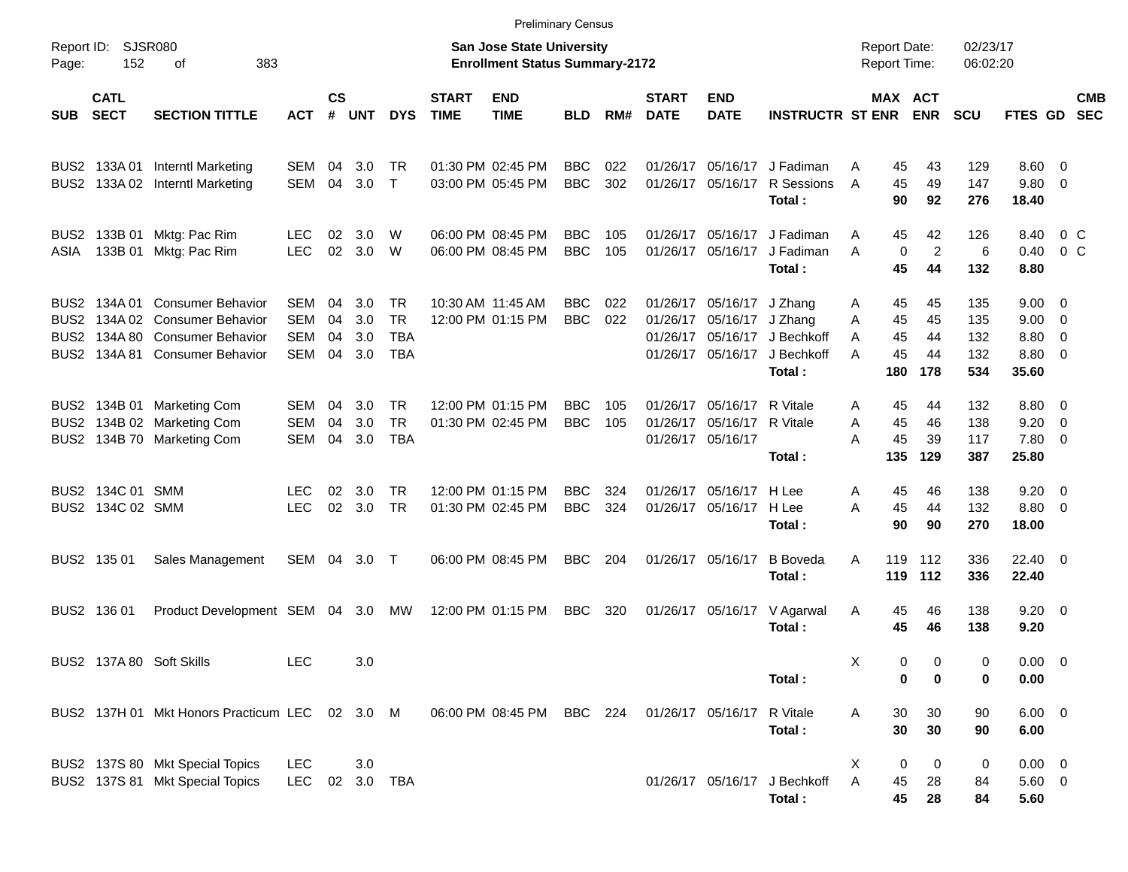|                     |                                      |                                                                                                                                      |                                        |                      |                          |                                              |                             | <b>Preliminary Census</b>                                                 |                          |            |                             |                                                             |                                                                        |                                                 |                             |                                 |                                                            |                          |                          |
|---------------------|--------------------------------------|--------------------------------------------------------------------------------------------------------------------------------------|----------------------------------------|----------------------|--------------------------|----------------------------------------------|-----------------------------|---------------------------------------------------------------------------|--------------------------|------------|-----------------------------|-------------------------------------------------------------|------------------------------------------------------------------------|-------------------------------------------------|-----------------------------|---------------------------------|------------------------------------------------------------|--------------------------|--------------------------|
| Report ID:<br>Page: | 152                                  | <b>SJSR080</b><br>383<br>οf                                                                                                          |                                        |                      |                          |                                              |                             | <b>San Jose State University</b><br><b>Enrollment Status Summary-2172</b> |                          |            |                             |                                                             |                                                                        | <b>Report Date:</b><br>Report Time:             |                             | 02/23/17<br>06:02:20            |                                                            |                          |                          |
| <b>SUB</b>          | <b>CATL</b><br><b>SECT</b>           | <b>SECTION TITTLE</b>                                                                                                                | АСТ                                    | $\mathsf{cs}$<br>#   | <b>UNT</b>               | <b>DYS</b>                                   | <b>START</b><br><b>TIME</b> | <b>END</b><br><b>TIME</b>                                                 | <b>BLD</b>               | RM#        | <b>START</b><br><b>DATE</b> | <b>END</b><br><b>DATE</b>                                   | <b>INSTRUCTR ST ENR ENR</b>                                            |                                                 | <b>MAX ACT</b>              | <b>SCU</b>                      | FTES GD                                                    |                          | <b>CMB</b><br><b>SEC</b> |
|                     | BUS2 133A01                          | <b>Interntl Marketing</b><br>BUS2 133A 02 Interntl Marketing                                                                         | SEM<br>SEM                             | 04<br>04             | 3.0<br>3.0               | TR<br>$\top$                                 |                             | 01:30 PM 02:45 PM<br>03:00 PM 05:45 PM                                    | <b>BBC</b><br><b>BBC</b> | 022<br>302 | 01/26/17                    |                                                             | 05/16/17 J Fadiman<br>01/26/17 05/16/17 R Sessions<br>Total:           | 45<br>A<br>45<br>A<br>90                        | 43<br>49<br>92              | 129<br>147<br>276               | $8.60 \quad 0$<br>9.80 0<br>18.40                          |                          |                          |
| ASIA                | BUS2 133B 01<br>133B 01              | Mktg: Pac Rim<br>Mktg: Pac Rim                                                                                                       | <b>LEC</b><br><b>LEC</b>               | 02<br>02             | 3.0<br>3.0               | W<br><b>W</b>                                |                             | 06:00 PM 08:45 PM<br>06:00 PM 08:45 PM                                    | <b>BBC</b><br><b>BBC</b> | 105<br>105 |                             |                                                             | 01/26/17 05/16/17 J Fadiman<br>01/26/17 05/16/17 J Fadiman<br>Total:   | 45<br>A<br>$\mathbf 0$<br>A<br>45               | 42<br>$\overline{c}$<br>44  | 126<br>6<br>132                 | 8.40<br>0.40<br>8.80                                       |                          | $0\,$ C<br>$0\,$ C       |
|                     |                                      | BUS2 134A 01 Consumer Behavior<br>BUS2 134A 02 Consumer Behavior<br>BUS2 134A 80 Consumer Behavior<br>BUS2 134A 81 Consumer Behavior | SEM<br><b>SEM</b><br><b>SEM</b><br>SEM | 04<br>04<br>04<br>04 | 3.0<br>3.0<br>3.0<br>3.0 | TR.<br><b>TR</b><br><b>TBA</b><br><b>TBA</b> |                             | 10:30 AM 11:45 AM<br>12:00 PM 01:15 PM                                    | <b>BBC</b><br><b>BBC</b> | 022<br>022 | 01/26/17                    | 01/26/17 05/16/17 J Zhang<br>05/16/17 J Zhang               | 01/26/17 05/16/17 J Bechkoff<br>01/26/17 05/16/17 J Bechkoff<br>Total: | 45<br>A<br>45<br>A<br>45<br>A<br>45<br>A<br>180 | 45<br>45<br>44<br>44<br>178 | 135<br>135<br>132<br>132<br>534 | $9.00 \quad 0$<br>$9.00 \t 0$<br>8.80 0<br>8.80 0<br>35.60 |                          |                          |
|                     |                                      | BUS2 134B 01 Marketing Com<br>BUS2 134B 02 Marketing Com<br>BUS2 134B 70 Marketing Com                                               | SEM<br><b>SEM</b><br>SEM               | 04<br>04<br>04       | 3.0<br>3.0<br>3.0        | <b>TR</b><br><b>TR</b><br><b>TBA</b>         |                             | 12:00 PM 01:15 PM<br>01:30 PM 02:45 PM                                    | <b>BBC</b><br><b>BBC</b> | 105<br>105 | 01/26/17<br>01/26/17        | 05/16/17 R Vitale<br>05/16/17 R Vitale<br>01/26/17 05/16/17 | Total:                                                                 | 45<br>A<br>45<br>A<br>45<br>A<br>135            | 44<br>46<br>39<br>129       | 132<br>138<br>117<br>387        | 8.80 0<br>9.20<br>7.80 0<br>25.80                          | $\overline{\phantom{0}}$ |                          |
|                     | BUS2 134C 01 SMM<br>BUS2 134C 02 SMM |                                                                                                                                      | <b>LEC</b><br><b>LEC</b>               | 02<br>02             | 3.0<br>3.0               | <b>TR</b><br><b>TR</b>                       |                             | 12:00 PM 01:15 PM<br>01:30 PM 02:45 PM                                    | <b>BBC</b><br><b>BBC</b> | 324<br>324 | 01/26/17                    | 05/16/17 H Lee<br>01/26/17 05/16/17 H Lee                   | Total:                                                                 | 45<br>A<br>45<br>A<br>90                        | 46<br>44<br>90              | 138<br>132<br>270               | $9.20 \ 0$<br>8.80 0<br>18.00                              |                          |                          |
|                     | BUS2 135 01                          | Sales Management                                                                                                                     | SEM 04 3.0 T                           |                      |                          |                                              |                             | 06:00 PM 08:45 PM                                                         | <b>BBC</b>               | 204        |                             | 01/26/17 05/16/17                                           | <b>B</b> Boveda<br>Total:                                              | A<br>119                                        | 119 112<br>112              | 336<br>336                      | 22.40 0<br>22.40                                           |                          |                          |
|                     | BUS2 136 01                          | Product Development SEM 04 3.0 MW                                                                                                    |                                        |                      |                          |                                              |                             | 12:00 PM 01:15 PM                                                         | BBC                      | 320        |                             |                                                             | 01/26/17 05/16/17 V Agarwal<br>Total:                                  | 45<br>A<br>45                                   | 46<br>46                    | 138<br>138                      | $9.20 \ 0$<br>9.20                                         |                          |                          |
|                     |                                      | BUS2 137A 80 Soft Skills                                                                                                             | LEC                                    |                      | 3.0                      |                                              |                             |                                                                           |                          |            |                             |                                                             | Total:                                                                 | Х<br>0<br>0                                     | 0<br>0                      | 0<br>0                          | $0.00 \t 0$<br>0.00                                        |                          |                          |
|                     |                                      | BUS2 137H 01 Mkt Honors Practicum LEC 02 3.0 M                                                                                       |                                        |                      |                          |                                              |                             | 06:00 PM 08:45 PM BBC 224                                                 |                          |            |                             | 01/26/17 05/16/17 R Vitale                                  | Total:                                                                 | 30<br>A<br>30                                   | 30<br>30                    | 90<br>90                        | $6.00 \t 0$<br>6.00                                        |                          |                          |
|                     |                                      | BUS2 137S 80 Mkt Special Topics<br>BUS2 137S 81 Mkt Special Topics                                                                   | LEC<br>LEC                             |                      | 3.0                      | 02 3.0 TBA                                   |                             |                                                                           |                          |            |                             |                                                             | 01/26/17 05/16/17 J Bechkoff<br>Total:                                 | 0<br>X.<br>A<br>45<br>45                        | 0<br>28<br>28               | 0<br>84<br>84                   | $0.00 \t 0$<br>$5.60$ 0<br>5.60                            |                          |                          |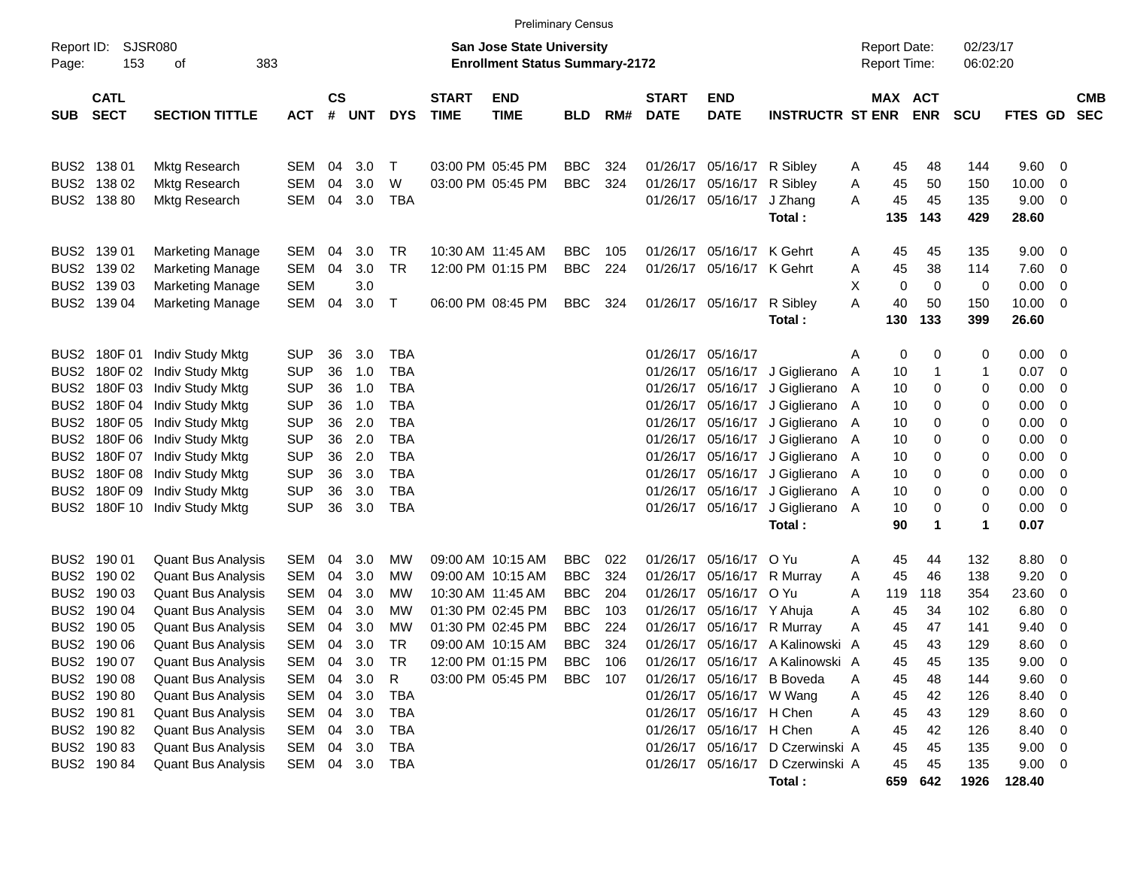|                     | <b>Preliminary Census</b>                 |                                                                                     |                                        |                    |                   |                          |                             |                                                                    |                                        |                   |                             |                                                             |                                                                                |                                     |                 |                       |                      |                               |                |                          |
|---------------------|-------------------------------------------|-------------------------------------------------------------------------------------|----------------------------------------|--------------------|-------------------|--------------------------|-----------------------------|--------------------------------------------------------------------|----------------------------------------|-------------------|-----------------------------|-------------------------------------------------------------|--------------------------------------------------------------------------------|-------------------------------------|-----------------|-----------------------|----------------------|-------------------------------|----------------|--------------------------|
| Report ID:<br>Page: | SJSR080<br>153                            | 383<br>οf                                                                           |                                        |                    |                   |                          |                             | San Jose State University<br><b>Enrollment Status Summary-2172</b> |                                        |                   |                             |                                                             |                                                                                | <b>Report Date:</b><br>Report Time: |                 |                       | 02/23/17<br>06:02:20 |                               |                |                          |
| <b>SUB</b>          | <b>CATL</b><br><b>SECT</b>                | <b>SECTION TITTLE</b>                                                               | <b>ACT</b>                             | $\mathsf{cs}$<br># | <b>UNT</b>        | <b>DYS</b>               | <b>START</b><br><b>TIME</b> | <b>END</b><br><b>TIME</b>                                          | <b>BLD</b>                             | RM#               | <b>START</b><br><b>DATE</b> | <b>END</b><br><b>DATE</b>                                   | <b>INSTRUCTR ST ENR</b>                                                        |                                     |                 | MAX ACT<br><b>ENR</b> | <b>SCU</b>           | FTES GD                       |                | <b>CMB</b><br><b>SEC</b> |
|                     | BUS2 138 01<br>BUS2 138 02                | <b>Mktg Research</b>                                                                | <b>SEM</b><br><b>SEM</b>               | 04<br>04           | 3.0<br>3.0        | $\mathsf T$<br>W         |                             | 03:00 PM 05:45 PM                                                  | <b>BBC</b><br><b>BBC</b>               | 324<br>324        |                             | 01/26/17 05/16/17<br>01/26/17 05/16/17                      | R Sibley<br>R Sibley                                                           | A<br>Α                              | 45              | 48<br>50              | 144<br>150           | 9.60<br>10.00                 | 0<br>0         |                          |
|                     | BUS2 138 80                               | <b>Mktg Research</b><br><b>Mktg Research</b>                                        | <b>SEM</b>                             | 04                 | 3.0               | <b>TBA</b>               |                             | 03:00 PM 05:45 PM                                                  |                                        |                   |                             | 01/26/17 05/16/17                                           | J Zhang<br>Total:                                                              | Α                                   | 45<br>45<br>135 | 45<br>143             | 135<br>429           | 9.00<br>28.60                 | 0              |                          |
|                     | BUS2 139 01                               | <b>Marketing Manage</b>                                                             | <b>SEM</b>                             | 04                 | 3.0               | TR                       |                             | 10:30 AM 11:45 AM                                                  | <b>BBC</b>                             | 105               |                             | 01/26/17 05/16/17                                           | K Gehrt                                                                        | Α                                   | 45              | 45                    | 135                  | 9.00                          | 0              |                          |
|                     | BUS2 139 02<br>BUS2 139 03                | <b>Marketing Manage</b><br><b>Marketing Manage</b>                                  | <b>SEM</b><br><b>SEM</b>               | 04                 | 3.0<br>3.0        | <b>TR</b>                |                             | 12:00 PM 01:15 PM                                                  | <b>BBC</b>                             | 224               |                             | 01/26/17 05/16/17 K Gehrt                                   |                                                                                | Α<br>X                              | 45<br>0         | 38<br>$\mathbf 0$     | 114<br>0             | 7.60<br>0.00                  | 0<br>0         |                          |
|                     | BUS2 139 04                               | <b>Marketing Manage</b>                                                             | <b>SEM</b>                             | 04                 | 3.0               | $\mathsf{T}$             |                             | 06:00 PM 08:45 PM                                                  | <b>BBC</b>                             | 324               |                             | 01/26/17 05/16/17                                           | R Sibley<br>Total:                                                             | Α                                   | 40<br>130       | 50<br>133             | 150<br>399           | 10.00<br>26.60                | $\overline{0}$ |                          |
|                     | BUS2 180F 01<br>BUS2 180F 02              | Indiv Study Mktg<br>Indiv Study Mktg                                                | <b>SUP</b><br><b>SUP</b>               | 36<br>36           | 3.0<br>1.0        | <b>TBA</b><br><b>TBA</b> |                             |                                                                    |                                        |                   |                             | 01/26/17 05/16/17                                           | 01/26/17 05/16/17 J Giglierano                                                 | Α<br>A                              | 0<br>10         | 0                     | 0<br>1               | 0.00<br>0.07                  | 0<br>0         |                          |
|                     | BUS2 180F 03<br>BUS2 180F 04              | Indiv Study Mktg<br>Indiv Study Mktg                                                | <b>SUP</b><br><b>SUP</b>               | 36<br>36           | 1.0<br>1.0        | <b>TBA</b><br><b>TBA</b> |                             |                                                                    |                                        |                   |                             | 01/26/17 05/16/17<br>01/26/17 05/16/17                      | J Giglierano<br>J Giglierano                                                   | A<br>A                              | 10<br>10        | 0<br>0                | 0<br>0               | 0.00<br>0.00                  | 0<br>0         |                          |
|                     | BUS2 180F 05<br>BUS2 180F 06              | Indiv Study Mktg<br>Indiv Study Mktg                                                | <b>SUP</b><br><b>SUP</b>               | 36<br>36           | 2.0<br>2.0        | <b>TBA</b><br><b>TBA</b> |                             |                                                                    |                                        |                   |                             | 01/26/17 05/16/17                                           | J Giglierano<br>01/26/17 05/16/17 J Giglierano                                 | A<br>A                              | 10<br>10        | 0<br>0                | 0<br>0               | 0.00<br>0.00                  | 0<br>0         |                          |
|                     | BUS2 180F 07<br>BUS2 180F 08              | Indiv Study Mktg<br>Indiv Study Mktg                                                | <b>SUP</b><br><b>SUP</b>               | 36<br>36           | 2.0<br>3.0        | <b>TBA</b><br><b>TBA</b> |                             |                                                                    |                                        |                   |                             | 01/26/17 05/16/17<br>01/26/17 05/16/17                      | J Giglierano<br>J Giglierano                                                   | A<br>A                              | 10<br>10        | 0<br>0                | 0<br>0               | 0.00<br>0.00                  | 0<br>0         |                          |
|                     | BUS2 180F 09                              | Indiv Study Mktg<br>BUS2 180F 10 Indiv Study Mktg                                   | <b>SUP</b><br><b>SUP</b>               | 36<br>36           | 3.0<br>3.0        | <b>TBA</b><br><b>TBA</b> |                             |                                                                    |                                        |                   |                             | 01/26/17 05/16/17<br>01/26/17 05/16/17                      | J Giglierano<br>J Giglierano A                                                 | A                                   | 10<br>10        | 0<br>$\mathbf 0$      | 0<br>0               | 0.00<br>0.00                  | 0<br>0         |                          |
|                     |                                           |                                                                                     |                                        |                    |                   |                          |                             |                                                                    |                                        |                   |                             |                                                             | Total:                                                                         |                                     | 90              | 1                     | 1                    | 0.07                          |                |                          |
|                     | BUS2 190 01<br>BUS2 190 02<br>BUS2 190 03 | <b>Quant Bus Analysis</b><br><b>Quant Bus Analysis</b><br><b>Quant Bus Analysis</b> | <b>SEM</b><br><b>SEM</b><br><b>SEM</b> | 04<br>04<br>04     | 3.0<br>3.0<br>3.0 | MW<br>MW<br>MW           |                             | 09:00 AM 10:15 AM<br>09:00 AM 10:15 AM<br>10:30 AM 11:45 AM        | <b>BBC</b><br><b>BBC</b><br><b>BBC</b> | 022<br>324<br>204 |                             | 01/26/17 05/16/17<br>01/26/17 05/16/17<br>01/26/17 05/16/17 | O Yu<br>R Murray<br>O Yu                                                       | Α<br>Α<br>A                         | 45<br>45<br>119 | 44<br>46<br>118       | 132<br>138<br>354    | 8.80<br>9.20<br>23.60         | 0<br>0<br>0    |                          |
|                     | BUS2 190 04<br>BUS2 190 05                | <b>Quant Bus Analysis</b><br><b>Quant Bus Analysis</b>                              | <b>SEM</b><br><b>SEM</b>               | 04<br>04           | 3.0<br>3.0        | MW<br><b>MW</b>          |                             | 01:30 PM 02:45 PM<br>01:30 PM 02:45 PM                             | <b>BBC</b><br><b>BBC</b>               | 103<br>224        |                             | 01/26/17 05/16/17 Y Ahuja<br>01/26/17 05/16/17              | R Murray                                                                       | Α<br>A                              | 45<br>45        | 34<br>47              | 102<br>141           | 6.80<br>9.40                  | 0<br>0         |                          |
|                     | BUS2 190 06<br>BUS2 190 07                | <b>Quant Bus Analysis</b><br><b>Quant Bus Analysis</b>                              | <b>SEM</b><br>SEM                      | 04<br>04           | 3.0<br>3.0        | TR<br>TR                 |                             | 09:00 AM 10:15 AM<br>12:00 PM 01:15 PM                             | <b>BBC</b><br>BBC                      | 324<br>106        |                             |                                                             | 01/26/17 05/16/17 A Kalinowski A<br>01/26/17 05/16/17 A Kalinowski A           |                                     | 45<br>45        | 43<br>45              | 129<br>135           | 8.60<br>9.00                  | 0<br>0         |                          |
|                     | BUS2 190 08<br>BUS2 190 80                | <b>Quant Bus Analysis</b><br><b>Quant Bus Analysis</b>                              | SEM<br>SEM                             | 04                 | 3.0<br>04 3.0     | R<br>TBA                 |                             | 03:00 PM 05:45 PM                                                  | BBC                                    | 107               |                             | 01/26/17 05/16/17 W Wang                                    | 01/26/17 05/16/17 B Boveda                                                     | A<br>Α                              | 45<br>45        | 48<br>42              | 144<br>126           | 9.60<br>8.40                  | 0<br>0         |                          |
|                     | BUS2 190 81<br>BUS2 190 82                | <b>Quant Bus Analysis</b><br><b>Quant Bus Analysis</b>                              | SEM<br>SEM                             |                    | 04 3.0<br>04 3.0  | TBA<br>TBA               |                             |                                                                    |                                        |                   |                             | 01/26/17 05/16/17 H Chen<br>01/26/17 05/16/17 H Chen        |                                                                                | Α<br>Α                              | 45<br>45        | 43<br>42              | 129<br>126           | 8.60<br>8.40                  | 0<br>0         |                          |
|                     | BUS2 190 83<br>BUS2 190 84                | <b>Quant Bus Analysis</b><br><b>Quant Bus Analysis</b>                              | SEM<br>SEM                             |                    | 04 3.0<br>04 3.0  | TBA<br>TBA               |                             |                                                                    |                                        |                   |                             |                                                             | 01/26/17 05/16/17 D Czerwinski A<br>01/26/17 05/16/17 D Czerwinski A<br>Total: |                                     | 45<br>45<br>659 | 45<br>45<br>642       | 135<br>135<br>1926   | 9.00<br>$9.00 \t 0$<br>128.40 | 0              |                          |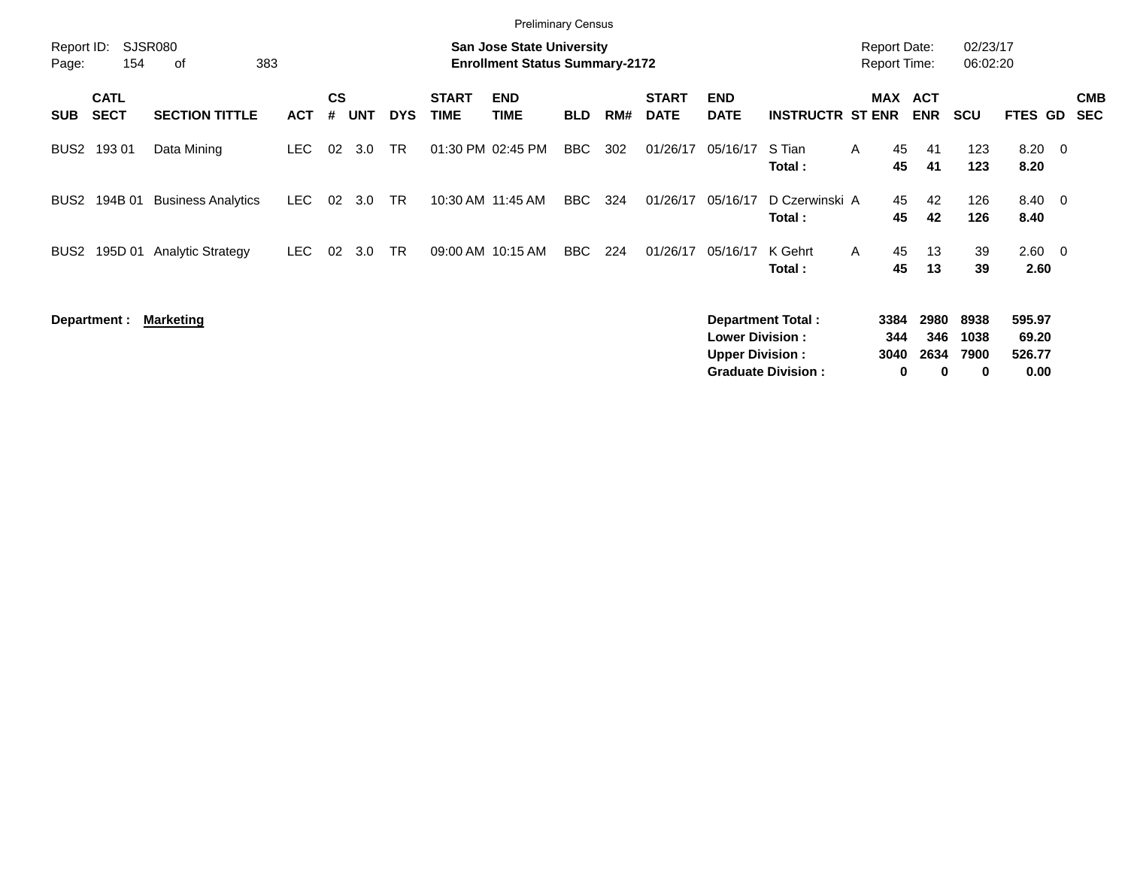|                     |                            |                           |            |                    |            |            |                             | <b>Preliminary Census</b>                                                 |            |     |                             |                           |                           |                                            |                              |                      |                    |                          |
|---------------------|----------------------------|---------------------------|------------|--------------------|------------|------------|-----------------------------|---------------------------------------------------------------------------|------------|-----|-----------------------------|---------------------------|---------------------------|--------------------------------------------|------------------------------|----------------------|--------------------|--------------------------|
| Report ID:<br>Page: | 154                        | SJSR080<br>383<br>оf      |            |                    |            |            |                             | <b>San Jose State University</b><br><b>Enrollment Status Summary-2172</b> |            |     |                             |                           |                           | <b>Report Date:</b><br><b>Report Time:</b> |                              | 02/23/17<br>06:02:20 |                    |                          |
| <b>SUB</b>          | <b>CATL</b><br><b>SECT</b> | <b>SECTION TITTLE</b>     | <b>ACT</b> | $\mathsf{cs}$<br># | <b>UNT</b> | <b>DYS</b> | <b>START</b><br><b>TIME</b> | <b>END</b><br><b>TIME</b>                                                 | <b>BLD</b> | RM# | <b>START</b><br><b>DATE</b> | <b>END</b><br><b>DATE</b> | <b>INSTRUCTR ST ENR</b>   |                                            | <b>MAX ACT</b><br><b>ENR</b> | <b>SCU</b>           | <b>FTES GD</b>     | <b>CMB</b><br><b>SEC</b> |
| BUS <sub>2</sub>    | 193 01                     | Data Mining               | LEC.       | 02                 | 3.0        | TR         |                             | 01:30 PM 02:45 PM                                                         | <b>BBC</b> | 302 | 01/26/17                    | 05/16/17                  | S Tian<br>Total :         | 45<br>A<br>45                              | 41<br>41                     | 123<br>123           | $8.20 \ 0$<br>8.20 |                          |
| BUS <sub>2</sub>    | 194B 01                    | <b>Business Analytics</b> | LEC.       | 02                 | 3.0        | <b>TR</b>  |                             | 10:30 AM 11:45 AM                                                         | BBC        | 324 | 01/26/17                    | 05/16/17                  | D Czerwinski A<br>Total:  | 45<br>45                                   | 42<br>42                     | 126<br>126           | 8.40 0<br>8.40     |                          |
| BUS <sub>2</sub>    | 195D 01                    | <b>Analytic Strategy</b>  | LEC.       | 02                 | 3.0        | <b>TR</b>  | 09:00 AM 10:15 AM           |                                                                           | BBC        | 224 | 01/26/17                    | 05/16/17                  | K Gehrt<br>Total :        | 45<br>$\mathsf{A}$<br>45                   | 13<br>13                     | 39<br>39             | 2.60<br>2.60       | $\overline{\phantom{0}}$ |
|                     | Department :               | <b>Marketing</b>          |            |                    |            |            |                             |                                                                           |            |     |                             | <b>Lower Division:</b>    | <b>Department Total:</b>  | 3384<br>344                                | 2980<br>346                  | 8938<br>1038         | 595.97<br>69.20    |                          |
|                     |                            |                           |            |                    |            |            |                             |                                                                           |            |     |                             | <b>Upper Division:</b>    | <b>Graduate Division:</b> | 3040                                       | 2634<br>0<br>0               | 7900<br>0            | 526.77<br>0.00     |                          |